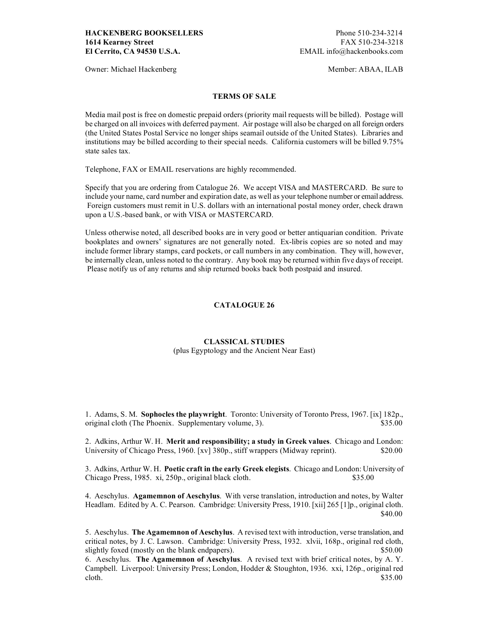Owner: Michael Hackenberg Member: ABAA, ILAB

### **TERMS OF SALE**

Media mail post is free on domestic prepaid orders (priority mail requests will be billed). Postage will be charged on all invoices with deferred payment. Air postage will also be charged on all foreign orders (the United States Postal Service no longer ships seamail outside of the United States). Libraries and institutions may be billed according to their special needs. California customers will be billed 9.75% state sales tax.

Telephone, FAX or EMAIL reservations are highly recommended.

Specify that you are ordering from Catalogue 26. We accept VISA and MASTERCARD. Be sure to include your name, card number and expiration date, as well as your telephone number or email address. Foreign customers must remit in U.S. dollars with an international postal money order, check drawn upon a U.S.-based bank, or with VISA or MASTERCARD.

Unless otherwise noted, all described books are in very good or better antiquarian condition. Private bookplates and owners' signatures are not generally noted. Ex-libris copies are so noted and may include former library stamps, card pockets, or call numbers in any combination. They will, however, be internally clean, unless noted to the contrary. Any book may be returned within five days of receipt. Please notify us of any returns and ship returned books back both postpaid and insured.

## **CATALOGUE 26**

#### **CLASSICAL STUDIES**

(plus Egyptology and the Ancient Near East)

1. Adams, S. M. **Sophocles the playwright**. Toronto: University of Toronto Press, 1967. [ix] 182p., original cloth (The Phoenix. Supplementary volume, 3). \$35.00

2. Adkins, Arthur W. H. **Merit and responsibility; a study in Greek values**. Chicago and London: University of Chicago Press, 1960. [xv] 380p., stiff wrappers (Midway reprint). \$20.00

3. Adkins, Arthur W. H. **Poetic craft in the early Greek elegists**. Chicago and London: University of Chicago Press, 1985. xi, 250p., original black cloth. \$35.00

4. Aeschylus. **Agamemnon of Aeschylus**. With verse translation, introduction and notes, by Walter Headlam. Edited by A. C. Pearson. Cambridge: University Press, 1910. [xii] 265 [1]p., original cloth. \$40.00

5. Aeschylus. **The Agamemnon of Aeschylus**. A revised text with introduction, verse translation, and critical notes, by J. C. Lawson. Cambridge: University Press, 1932. xlvii, 168p., original red cloth, slightly foxed (mostly on the blank endpapers).  $$50.00$ 

6. Aeschylus. **The Agamemnon of Aeschylus**. A revised text with brief critical notes, by A. Y. Campbell. Liverpool: University Press; London, Hodder & Stoughton, 1936. xxi, 126p., original red cloth.  $$35.00$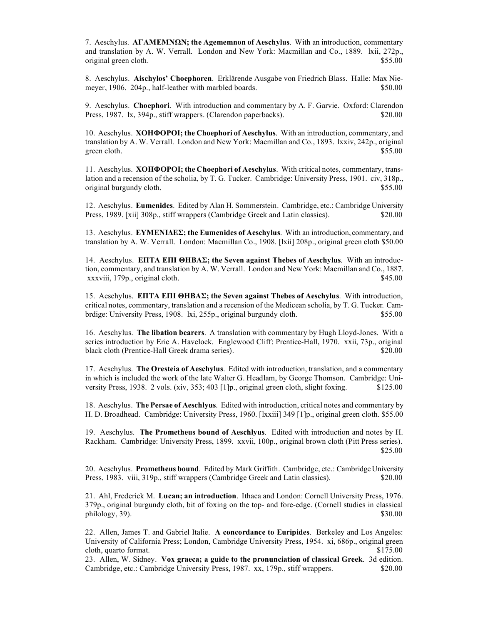7. Aeschylus. **ΑΓΑΜΕΜΝΩΝ; the Agememnon of Aeschylus**. With an introduction, commentary and translation by A. W. Verrall. London and New York: Macmillan and Co., 1889. lxii, 272p., original green cloth.  $$55.00$ 

8. Aeschylus. **Aischylos' Choephoren**. Erklärende Ausgabe von Friedrich Blass. Halle: Max Niemeyer, 1906. 204p., half-leather with marbled boards. \$50.00

9. Aeschylus. **Choephori**. With introduction and commentary by A. F. Garvie. Oxford: Clarendon Press, 1987. lx, 394p., stiff wrappers. (Clarendon paperbacks). \$20.00

10. Aeschylus. **ΧΟΗΦΟΡΟI; the Choephori of Aeschylus**. With an introduction, commentary, and translation by A. W. Verrall. London and New York: Macmillan and Co., 1893. lxxiv, 242p., original green cloth.  $$55.00$ 

11. Aeschylus. **ΧΟΗΦΟΡΟI; the Choephori of Aeschylus**. With critical notes, commentary, translation and a recension of the scholia, by T. G. Tucker. Cambridge: University Press, 1901. civ, 318p., original burgundy cloth.  $$55.00$ 

12. Aeschylus. **Eumenides**. Edited by Alan H. Sommerstein. Cambridge, etc.: Cambridge University Press, 1989. [xii] 308p., stiff wrappers (Cambridge Greek and Latin classics). \$20.00

13. Aeschylus. **ΕΥΜΕΝIΔΕΣ; the Eumenides of Aeschylus**. With an introduction, commentary, and translation by A. W. Verrall. London: Macmillan Co., 1908. [lxii] 208p., original green cloth \$50.00

14. Aeschylus. **ΕΠΤΑ ΕΠI ΘΗΒΑΣ; the Seven against Thebes of Aeschylus**. With an introduction, commentary, and translation by A. W. Verrall. London and New York: Macmillan and Co., 1887. xxxviii, 179p., original cloth. \$45.00

15. Aeschylus. **ΕΠΤΑ ΕΠI ΘΗΒΑΣ; the Seven against Thebes of Aeschylus**. With introduction, critical notes, commentary, translation and a recension of the Medicean scholia, by T. G. Tucker. Cambrdige: University Press, 1908. lxi, 255p., original burgundy cloth. \$55.00

16. Aeschylus. **The libation bearers**. A translation with commentary by Hugh Lloyd-Jones. With a series introduction by Eric A. Havelock. Englewood Cliff: Prentice-Hall, 1970. xxii, 73p., original black cloth (Prentice-Hall Greek drama series). \$20.00

17. Aeschylus. **The Oresteia of Aeschylus**. Edited with introduction, translation, and a commentary in which is included the work of the late Walter G. Headlam, by George Thomson. Cambridge: University Press, 1938. 2 vols. (xiv, 353; 403 [1]p., original green cloth, slight foxing. \$125.00

18. Aeschylus. **The Persae of Aeschlyus**. Edited with introduction, critical notes and commentary by H. D. Broadhead. Cambridge: University Press, 1960. [lxxiii] 349 [1]p., original green cloth. \$55.00

19. Aeschylus. **The Prometheus bound of Aeschlyus**. Edited with introduction and notes by H. Rackham. Cambridge: University Press, 1899. xxvii, 100p., original brown cloth (Pitt Press series). \$25.00

20. Aeschylus. **Prometheus bound**. Edited by Mark Griffith. Cambridge, etc.: Cambridge University Press, 1983. viii, 319p., stiff wrappers (Cambridge Greek and Latin classics). \$20.00

21. Ahl, Frederick M. **Lucan; an introduction**. Ithaca and London: Cornell University Press, 1976. 379p., original burgundy cloth, bit of foxing on the top- and fore-edge. (Cornell studies in classical  $\mu$ bhilology, 39).  $\frac{1}{30.00}$ 

22. Allen, James T. and Gabriel Italie. **A concordance to Euripides**. Berkeley and Los Angeles: University of California Press; London, Cambridge University Press, 1954. xi, 686p., original green cloth, quarto format.  $$175.00$ 

23. Allen, W. Sidney. **Vox graeca; a guide to the pronunciation of classical Greek**. 3d edition. Cambridge, etc.: Cambridge University Press, 1987. xx, 179p., stiff wrappers. \$20.00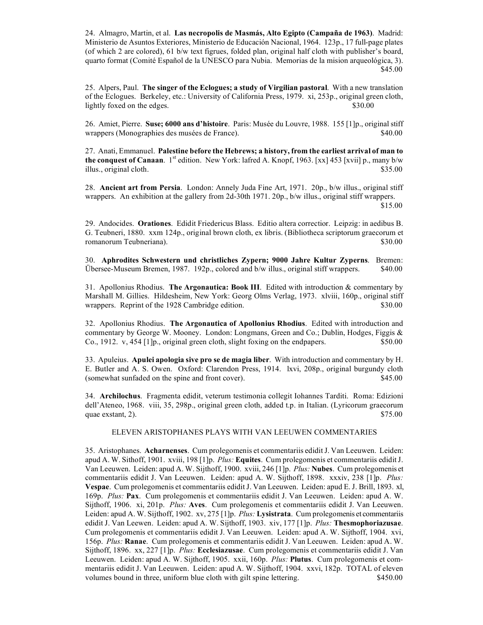24. Almagro, Martin, et al. **Las necropolis de Masmás, Alto Egipto (Campaña de 1963)**. Madrid: Ministerio de Asuntos Exteriores, Ministerio de Educación Nacional, 1964. 123p., 17 full-page plates (of which 2 are colored), 61 b/w text figrues, folded plan, original half cloth with publisher's board, quarto format (Comité Español de la UNESCO para Nubia. Memorias de la mision arqueológica, 3). \$45.00

25. Alpers, Paul. **The singer of the Eclogues; a study of Virgilian pastoral**. With a new translation of the Eclogues. Berkeley, etc.: University of California Press, 1979. xi, 253p., original green cloth, lightly foxed on the edges. \$30.00

26. Amiet, Pierre. **Suse; 6000 ans d'histoire**. Paris: Musée du Louvre, 1988. 155 [1]p., original stiff wrappers (Monographies des musées de France).  $$40.00$ 

27. Anati, Emmanuel. **Palestine before the Hebrews; a history, from the earliest arrival of man to the conquest of Canaan**. 1<sup>st</sup> edition. New York: lafred A. Knopf, 1963. [xx] 453 [xvii] p., many b/w illus., original cloth. \$35.00

28. **Ancient art from Persia**. London: Annely Juda Fine Art, 1971. 20p., b/w illus., original stiff wrappers. An exhibition at the gallery from 2d-30th 1971. 20p., b/w illus., original stiff wrappers. \$15.00

29. Andocides. **Orationes**. Edidit Friedericus Blass. Editio altera correctior. Leipzig: in aedibus B. G. Teubneri, 1880. xxm 124p., original brown cloth, ex libris. (Bibliotheca scriptorum graecorum et romanorum Teubneriana). \$30.00

30. **Aphrodites Schwestern und christliches Zypern; 9000 Jahre Kultur Zyperns**. Bremen: Übersee-Museum Bremen, 1987. 192p., colored and b/w illus., original stiff wrappers. \$40.00

31. Apollonius Rhodius. **The Argonautica: Book III**. Edited with introduction & commentary by Marshall M. Gillies. Hildesheim, New York: Georg Olms Verlag, 1973. xlviii, 160p., original stiff wrappers. Reprint of the 1928 Cambridge edition. \$30.00

32. Apollonius Rhodius. **The Argonautica of Apollonius Rhodius**. Edited with introduction and commentary by George W. Mooney. London: Longmans, Green and Co.; Dublin, Hodges, Figgis & Co., 1912. v, 454 [1]p., original green cloth, slight foxing on the endpapers. \$50.00

33. Apuleius. **Apulei apologia sive pro se de magia liber**. With introduction and commentary by H. E. Butler and A. S. Owen. Oxford: Clarendon Press, 1914. lxvi, 208p., original burgundy cloth (somewhat sunfaded on the spine and front cover). \$45.00

34. **Archilochus**. Fragmenta edidit, veterum testimonia collegit Iohannes Tarditi. Roma: Edizioni dell'Ateneo, 1968. viii, 35, 298p., original green cloth, added t.p. in Italian. (Lyricorum graecorum quae exstant, 2).  $$75.00$ 

## ELEVEN ARISTOPHANES PLAYS WITH VAN LEEUWEN COMMENTARIES

35. Aristophanes. **Acharnenses**. Cum prolegomenis et commentariis edidit J. Van Leeuwen. Leiden: apud A. W. Sithoff, 1901. xviii, 198 [1]p. *Plus:* **Equites**. Cum prolegomenis et commentariis edidit J. Van Leeuwen. Leiden: apud A. W. Sijthoff, 1900. xviii, 246 [1]p. *Plus:* **Nubes**. Cum prolegomenis et commentariis edidit J. Van Leeuwen. Leiden: apud A. W. Sijthoff, 1898. xxxiv, 238 [1]p. *Plus:* **Vespae**. Cum prolegomenis et commentariis edidit J. Van Leeuwen. Leiden: apud E. J. Brill, 1893. xl, 169p. *Plus:* **Pax**. Cum prolegomenis et commentariis edidit J. Van Leeuwen. Leiden: apud A. W. Sijthoff, 1906. xi, 201p. *Plus:* **Aves**. Cum prolegomenis et commentariis edidit J. Van Leeuwen. Leiden: apud A. W. Sijthoff, 1902. xv, 275 [1]p. *Plus:* **Lysistrata**. Cum prolegomenis et commentariis edidit J. Van Leewen. Leiden: apud A. W. Sijthoff, 1903. xiv, 177 [1]p. *Plus:* **Thesmophoriazusae**. Cum prolegomenis et commentariis edidit J. Van Leeuwen. Leiden: apud A. W. Sijthoff, 1904. xvi, 156p. *Plus:* **Ranae**. Cum prolegomenis et commentariis edidit J. Van Leeuwen. Leiden: apud A. W. Sijthoff, 1896. xx, 227 [1]p. *Plus:* **Ecclesiazusae**. Cum prolegomenis et commentariis edidit J. Van Leeuwen. Leiden: apud A. W. Sijthoff, 1905. xxii, 160p. *Plus:* **Plutus**. Cum prolegomenis et commentariis edidit J. Van Leeuwen. Leiden: apud A. W. Sijthoff, 1904. xxvi, 182p. TOTAL of eleven volumes bound in three, uniform blue cloth with gilt spine lettering. \$450.00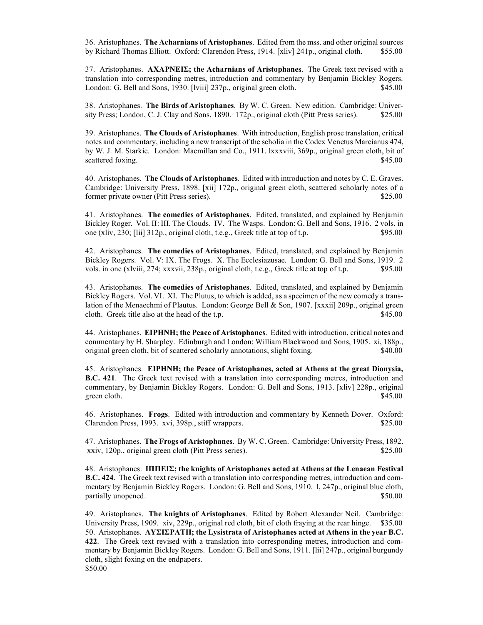36. Aristophanes. **The Acharnians of Aristophanes**. Edited from the mss. and other original sources by Richard Thomas Elliott. Oxford: Clarendon Press, 1914. [xliv] 241p., original cloth. \$55.00

37. Aristophanes. **ΑΧΑΡΝΕIΣ; the Acharnians of Aristophanes**. The Greek text revised with a translation into corresponding metres, introduction and commentary by Benjamin Bickley Rogers. London: G. Bell and Sons, 1930. [Iviii] 237p., original green cloth. \$45.00

38. Aristophanes. **The Birds of Aristophanes**. By W. C. Green. New edition. Cambridge: University Press; London, C. J. Clay and Sons, 1890. 172p., original cloth (Pitt Press series). \$25.00

39. Aristophanes. **The Clouds of Aristophanes**. With introduction, English prose translation, critical notes and commentary, including a new transcript of the scholia in the Codex Venetus Marcianus 474, by W. J. M. Starkie. London: Macmillan and Co., 1911. lxxxviii, 369p., original green cloth, bit of scattered foxing. \$45.00

40. Aristophanes. **The Clouds of Aristophanes**. Edited with introduction and notes by C. E. Graves. Cambridge: University Press, 1898. [xii] 172p., original green cloth, scattered scholarly notes of a former private owner (Pitt Press series). \$25.00

41. Aristophanes. **The comedies of Aristophanes**. Edited, translated, and explained by Benjamin Bickley Roger. Vol. II: III. The Clouds. IV. The Wasps. London: G. Bell and Sons, 1916. 2 vols. in one (xliv, 230; [lii] 312p., original cloth, t.e.g., Greek title at top of t.p. \$95.00

42. Aristophanes. **The comedies of Aristophanes**. Edited, translated, and explained by Benjamin Bickley Rogers. Vol. V: IX. The Frogs. X. The Ecclesiazusae. London: G. Bell and Sons, 1919. 2 vols. in one (xlviii, 274; xxxvii, 238p., original cloth, t.e.g., Greek title at top of t.p. \$95.00

43. Aristophanes. **The comedies of Aristophanes**. Edited, translated, and explained by Benjamin Bickley Rogers. Vol. VI. XI. The Plutus, to which is added, as a specimen of the new comedy a translation of the Menaechmi of Plautus. London: George Bell & Son, 1907. [xxxii] 209p., original green cloth. Greek title also at the head of the t.p. \$45.00

44. Aristophanes. **ΕIΡΗΝΗ; the Peace of Aristophanes**. Edited with introduction, critical notes and commentary by H. Sharpley. Edinburgh and London: William Blackwood and Sons, 1905. xi, 188p., original green cloth, bit of scattered scholarly annotations, slight foxing. \$40.00

45. Aristophanes. **ΕIΡΗΝΗ; the Peace of Aristophanes, acted at Athens at the great Dionysia, B.C. 421**. The Greek text revised with a translation into corresponding metres, introduction and commentary, by Benjamin Bickley Rogers. London: G. Bell and Sons, 1913. [xliv] 228p., original green cloth. \$45.00

46. Aristophanes. **Frogs**. Edited with introduction and commentary by Kenneth Dover. Oxford: Clarendon Press, 1993. xvi, 398p., stiff wrappers.  $$25.00$ 

47. Aristophanes. **The Frogs of Aristophanes**. By W. C. Green. Cambridge: University Press, 1892. xxiv, 120p., original green cloth (Pitt Press series). \$25.00

48. Aristophanes. **IΠΠΕIΣ; the knights of Aristophanes acted at Athens at the Lenaean Festival B.C. 424**. The Greek text revised with a translation into corresponding metres, introduction and commentary by Benjamin Bickley Rogers. London: G. Bell and Sons, 1910. l, 247p., original blue cloth, partially unopened.  $$50.00$ 

49. Aristophanes. **The knights of Aristophanes**. Edited by Robert Alexander Neil. Cambridge: University Press, 1909. xiv, 229p., original red cloth, bit of cloth fraying at the rear hinge. \$35.00 50. Aristophanes. **ΛΥΣIΣΡΑΤΗ; the Lysistrata of Aristophanes acted at Athens in the year B.C. 422**. The Greek text revised with a translation into corresponding metres, introduction and commentary by Benjamin Bickley Rogers. London: G. Bell and Sons, 1911. [lii] 247p., original burgundy cloth, slight foxing on the endpapers. \$50.00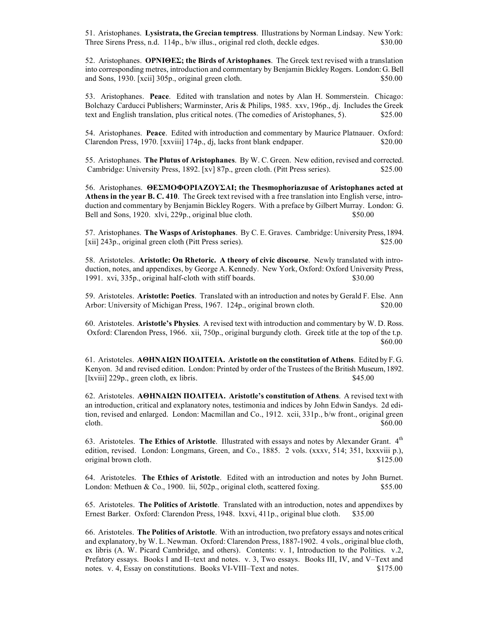51. Aristophanes. **Lysistrata, the Grecian temptress**. Illustrations by Norman Lindsay. New York: Three Sirens Press, n.d. 114p., b/w illus., original red cloth, deckle edges. \$30.00

52. Aristophanes. **ΟΡΝIΘΕΣ; the Birds of Aristophanes**. The Greek text revised with a translation into corresponding metres, introduction and commentary by Benjamin Bickley Rogers. London: G. Bell and Sons, 1930. [xcii] 305p., original green cloth. \$50.00

53. Aristophanes. **Peace**. Edited with translation and notes by Alan H. Sommerstein. Chicago: Bolchazy Carducci Publishers; Warminster, Aris & Philips, 1985. xxv, 196p., dj. Includes the Greek text and English translation, plus critical notes. (The comedies of Aristophanes, 5). \$25.00

54. Aristophanes. **Peace**. Edited with introduction and commentary by Maurice Platnauer. Oxford: Clarendon Press, 1970. [xxviii] 174p., dj, lacks front blank endpaper. \$20.00

55. Aristophanes. **The Plutus of Aristophanes**. By W. C. Green. New edition, revised and corrected. Cambridge: University Press, 1892. [xv] 87p., green cloth. (Pitt Press series). \$25.00

56. Aristophanes. **ΘΕΣΜΟΦΟΡIΑZΟΥΣΑI; the Thesmophoriazusae of Aristophanes acted at Athens in the year B. C. 410**. The Greek text revised with a free translation into English verse, introduction and commentary by Benjamin Bickley Rogers. With a preface by Gilbert Murray. London: G. Bell and Sons, 1920. xlvi, 229p., original blue cloth. \$50.00

57. Aristophanes. **The Wasps of Aristophanes**. By C. E. Graves. Cambridge: University Press, 1894. [xii] 243p., original green cloth (Pitt Press series). \$25.00

58. Aristoteles. **Aristotle: On Rhetoric. A theory of civic discourse**. Newly translated with introduction, notes, and appendixes, by George A. Kennedy. New York, Oxford: Oxford University Press, 1991. xvi, 335p., original half-cloth with stiff boards. \$30.00

59. Aristoteles. **Aristotle: Poetics**. Translated with an introduction and notes by Gerald F. Else. Ann Arbor: University of Michigan Press, 1967. 124p., original brown cloth. \$20.00

60. Aristoteles. **Aristotle's Physics**. A revised text with introduction and commentary by W. D. Ross. Oxford: Clarendon Press, 1966. xii, 750p., original burgundy cloth. Greek title at the top of the t.p. \$60.00

61. Aristoteles. **ΑΘΗΝΑIΩΝ ΠΟΛIΤΕIΑ. Aristotle on the constitution of Athens**. Edited by F. G. Kenyon. 3d and revised edition. London: Printed by order of the Trustees of the British Museum, 1892. [lxviii] 229p., green cloth, ex libris. \$45.00

62. Aristoteles. **ΑΘΗΝΑIΩΝ ΠΟΛIΤΕIΑ. Aristotle's constitution of Athens**. A revised text with an introduction, critical and explanatory notes, testimonia and indices by John Edwin Sandys. 2d edition, revised and enlarged. London: Macmillan and Co., 1912. xcii, 331p., b/w front., original green  $\text{clobh.}}$  \$60.00

63. Aristoteles. **The Ethics of Aristotle**. Illustrated with essays and notes by Alexander Grant. 4th edition, revised. London: Longmans, Green, and Co., 1885. 2 vols. (xxxv, 514; 351, lxxxviii p.), original brown cloth.  $$125.00$ 

64. Aristoteles. **The Ethics of Aristotle**. Edited with an introduction and notes by John Burnet. London: Methuen  $\&$  Co., 1900. lii, 502p., original cloth, scattered foxing.  $$55.00$ 

65. Aristoteles. **The Politics of Aristotle**. Translated with an introduction, notes and appendixes by Ernest Barker. Oxford: Clarendon Press, 1948. lxxvi, 411p., original blue cloth. \$35.00

66. Aristoteles. **The Politics of Aristotle**. With an introduction, two prefatory essays and notes critical and explanatory, by W. L. Newman. Oxford: Clarendon Press, 1887-1902. 4 vols., original blue cloth, ex libris (A. W. Picard Cambridge, and others). Contents: v. 1, Introduction to the Politics. v.2, Prefatory essays. Books I and II–text and notes. v. 3, Two essays. Books III, IV, and V–Text and notes. v. 4, Essay on constitutions. Books VI-VIII–Text and notes. \$175.00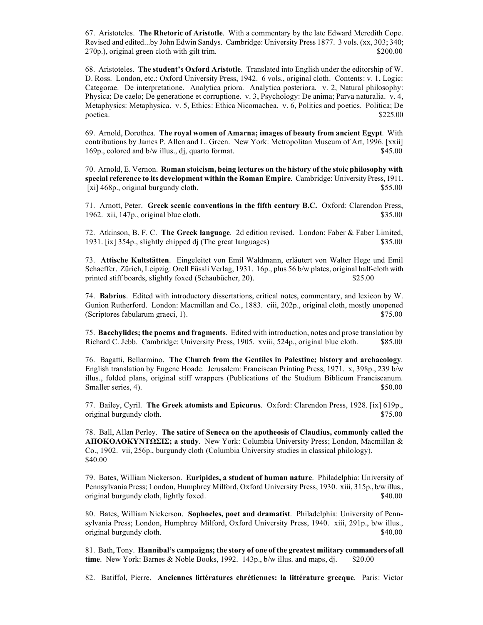67. Aristoteles. **The Rhetoric of Aristotle**. With a commentary by the late Edward Meredith Cope. Revised and edited...by John Edwin Sandys. Cambridge: University Press 1877. 3 vols. (xx, 303; 340; 270p.), original green cloth with gilt trim. \$200.00

68. Aristoteles. **The student's Oxford Aristotle**. Translated into English under the editorship of W. D. Ross. London, etc.: Oxford University Press, 1942. 6 vols., original cloth. Contents: v. 1, Logic: Categorae. De interpretatione. Analytica priora. Analytica posteriora. v. 2, Natural philosophy: Physica; De caelo; De generatione et corruptione. v. 3, Psychology: De anima; Parva naturalia. v. 4, Metaphysics: Metaphysica. v. 5, Ethics: Ethica Nicomachea. v. 6, Politics and poetics. Politica; De  $\mu$  poetica.  $$225.00$ 

69. Arnold, Dorothea. **The royal women of Amarna; images of beauty from ancient Egypt**. With contributions by James P. Allen and L. Green. New York: Metropolitan Museum of Art, 1996. [xxii] 169p., colored and b/w illus., dj, quarto format. \$45.00

70. Arnold, E. Vernon. **Roman stoicism, being lectures on the history of the stoic philosophy with special reference to its development within the Roman Empire**. Cambridge: University Press, 1911. [xi] 468p., original burgundy cloth.  $$55.00$ 

71. Arnott, Peter. **Greek scenic conventions in the fifth century B.C.** Oxford: Clarendon Press, 1962. xii, 147p., original blue cloth.  $$35.00$ 

72. Atkinson, B. F. C. **The Greek language**. 2d edition revised. London: Faber & Faber Limited, 1931. [ix] 354p., slightly chipped dj (The great languages) \$35.00

73. **Attische Kultstätten**. Eingeleitet von Emil Waldmann, erläutert von Walter Hege und Emil Schaeffer. Zürich, Leipzig: Orell Füssli Verlag, 1931. 16p., plus 56 b/w plates, original half-cloth with printed stiff boards, slightly foxed (Schaubücher, 20). \$25.00

74. **Babrius**. Edited with introductory dissertations, critical notes, commentary, and lexicon by W. Gunion Rutherford. London: Macmillan and Co., 1883. ciii, 202p., original cloth, mostly unopened (Scriptores fabularum graeci, 1).  $$75.00$ 

75. **Bacchylides; the poems and fragments**. Edited with introduction, notes and prose translation by Richard C. Jebb. Cambridge: University Press, 1905. xviii, 524p., original blue cloth. \$85.00

76. Bagatti, Bellarmino. **The Church from the Gentiles in Palestine; history and archaeology**. English translation by Eugene Hoade. Jerusalem: Franciscan Printing Press, 1971. x, 398p., 239 b/w illus., folded plans, original stiff wrappers (Publications of the Studium Biblicum Franciscanum. Smaller series, 4). \$50.00

77. Bailey, Cyril. **The Greek atomists and Epicurus**. Oxford: Clarendon Press, 1928. [ix] 619p., original burgundy cloth. \$75.00

78. Ball, Allan Perley. **The satire of Seneca on the apotheosis of Claudius, commonly called the ΑΠΟΚΟΛΟΚΥΝΤΩΣIΣ; a study**. New York: Columbia University Press; London, Macmillan & Co., 1902. vii, 256p., burgundy cloth (Columbia University studies in classical philology). \$40.00

79. Bates, William Nickerson. **Euripides, a student of human nature**. Philadelphia: University of Pennsylvania Press; London, Humphrey Milford, Oxford University Press, 1930. xiii, 315p., b/w illus., original burgundy cloth, lightly foxed.  $\$\frac{40.00}{90}$ 

80. Bates, William Nickerson. **Sophocles, poet and dramatist**. Philadelphia: University of Pennsylvania Press; London, Humphrey Milford, Oxford University Press, 1940. xiii, 291p., b/w illus., original burgundy cloth. \$40.00

81. Bath, Tony. **Hannibal's campaigns; the story of one of the greatest military commanders of all time**. New York: Barnes & Noble Books, 1992. 143p., b/w illus. and maps, dj. \$20.00

82. Batiffol, Pierre. **Anciennes littératures chrétiennes: la littérature grecque**. Paris: Victor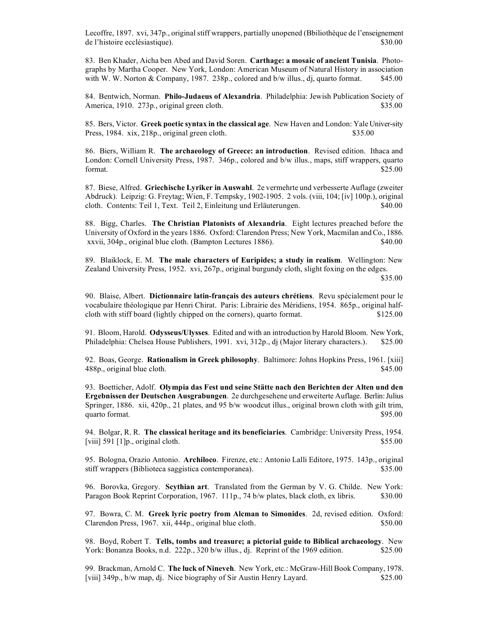Lecoffre, 1897. xvi, 347p., original stiff wrappers, partially unopened (Bbiliothèque de l'enseignement de l'histoire ecclésiastique). \$30.00

83. Ben Khader, Aicha ben Abed and David Soren. **Carthage: a mosaic of ancient Tunisia**. Photographs by Martha Cooper. New York, London: American Museum of Natural History in association with W. W. Norton & Company, 1987. 238p., colored and b/w illus., dj, quarto format. \$45.00

84. Bentwich, Norman. **Philo-Judaeus of Alexandria**. Philadelphia: Jewish Publication Society of America, 1910. 273p., original green cloth.  $$35.00$ 

85. Bers, Victor. **Greek poetic syntax in the classical age**. New Haven and London: Yale Univer-sity Press, 1984. xix, 218p., original green cloth.  $$35.00$ 

86. Biers, William R. **The archaeology of Greece: an introduction**. Revised edition. Ithaca and London: Cornell University Press, 1987. 346p., colored and b/w illus., maps, stiff wrappers, quarto format.  $$25.00$ 

87. Biese, Alfred. **Griechische Lyriker in Auswahl**. 2e vermehrte und verbesserte Auflage (zweiter Abdruck). Leipzig: G. Freytag; Wien, F. Tempsky, 1902-1905. 2 vols. (viii, 104; [iv] 100p.), original cloth. Contents: Teil 1, Text. Teil 2, Einleitung und Erläuterungen. \$40.00

88. Bigg, Charles. **The Christian Platonists of Alexandria**. Eight lectures preached before the University of Oxford in the years 1886. Oxford: Clarendon Press; New York, Macmilan and Co., 1886. xxvii, 304p., original blue cloth. (Bampton Lectures 1886). \$40.00

89. Blaiklock, E. M. **The male characters of Euripides; a study in realism**. Wellington: New Zealand University Press, 1952. xvi, 267p., original burgundy cloth, slight foxing on the edges.

90. Blaise, Albert. **Dictionnaire latin-français des auteurs chrétiens**. Revu spécialement pour le vocabulaire théologique par Henri Chirat. Paris: Librairie des Méridiens, 1954. 865p., original halfcloth with stiff board (lightly chipped on the corners), quarto format. \$125.00

91. Bloom, Harold. **Odysseus/Ulysses**. Edited and with an introduction by Harold Bloom. New York, Philadelphia: Chelsea House Publishers, 1991. xvi, 312p., dj (Major literary characters.). \$25.00

92. Boas, George. **Rationalism in Greek philosophy**. Baltimore: Johns Hopkins Press, 1961. [xiii] 488p., original blue cloth. \$45.00

93. Boetticher, Adolf. **Olympia das Fest und seine Stätte nach den Berichten der Alten und den Ergebnissen der Deutschen Ausgrabungen**. 2e durchgesehene und erweiterte Auflage. Berlin: Julius Springer, 1886. xii, 420p., 21 plates, and 95 b/w woodcut illus., original brown cloth with gilt trim, quarto format. \$95.00

94. Bolgar, R. R. **The classical heritage and its beneficiaries**. Cambridge: University Press, 1954.  $[viii]$  591 [1]p., original cloth.  $$55.00$ 

95. Bologna, Orazio Antonio. **Archiloco**. Firenze, etc.: Antonio Lalli Editore, 1975. 143p., original stiff wrappers (Biblioteca saggistica contemporanea). \$35.00

96. Borovka, Gregory. **Scythian art**. Translated from the German by V. G. Childe. New York: Paragon Book Reprint Corporation, 1967. 111p., 74 b/w plates, black cloth, ex libris. \$30.00

97. Bowra, C. M. **Greek lyric poetry from Alcman to Simonides**. 2d, revised edition. Oxford: Clarendon Press, 1967. xii, 444p., original blue cloth. \$50.00

98. Boyd, Robert T. **Tells, tombs and treasure; a pictorial guide to Biblical archaeology**. New York: Bonanza Books, n.d. 222p., 320 b/w illus., dj. Reprint of the 1969 edition. \$25.00

99. Brackman, Arnold C. **The luck of Nineveh**. New York, etc.: McGraw-Hill Book Company, 1978. [viii] 349p., b/w map, dj. Nice biography of Sir Austin Henry Layard. \$25.00

 <sup>\$35.00</sup>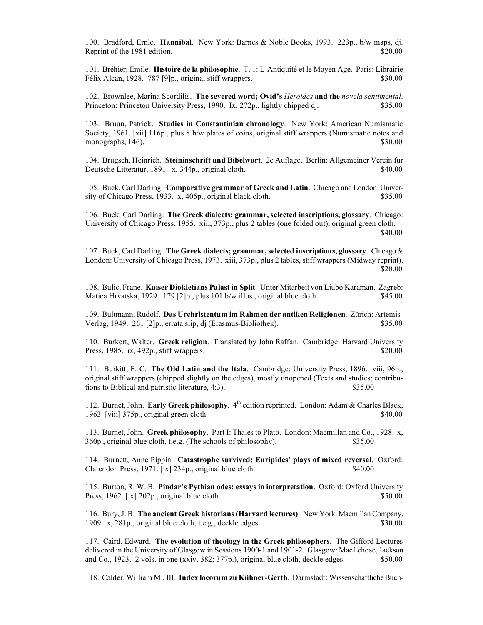100. Bradford, Ernle. **Hannibal**. New York: Barnes & Noble Books, 1993. 223p., b/w maps, dj. Reprint of the 1981 edition. \$20.00

101. Bréhier, Émile. **Histoire de la philosophie**. T. 1: L'Antiquité et le Moyen Age. Paris: Librairie Félix Alcan, 1928. 787 [9]p., original stiff wrappers. \$30.000 \$30.00

102. Brownlee, Marina Scordilis. **The severed word; Ovid's** *Heroides* **and the** *novela sentimental*. Princeton: Princeton University Press, 1990. Ix, 272p., lightly chipped dj. \$35.00

103. Bruun, Patrick. **Studies in Constantinian chronology**. New York: American Numismatic Society, 1961. [xii] 116p., plus 8 b/w plates of coins, original stiff wrappers (Numismatic notes and monographs,  $146$ ).  $$30.00$ 

104. Brugsch, Heinrich. **Steininschrift und Bibelwort**. 2e Auflage. Berlin: Allgemeiner Verein für Deutsche Litteratur, 1891. x, 344p., original cloth. \$40.00

105. Buck, Carl Darling. **Comparative grammar of Greek and Latin**. Chicago and London: University of Chicago Press, 1933. x, 405p., original black cloth. \$35.00

106. Buck, Carl Darling. **The Greek dialects; grammar, selected inscriptions, glossary**. Chicago: University of Chicago Press, 1955. xiii, 373p., plus 2 tables (one folded out), original green cloth. \$40.00

107. Buck, Carl Darling. **The Greek dialects; grammar, selected inscriptions, glossary**. Chicago & London: University of Chicago Press, 1973. xiii, 373p., plus 2 tables, stiff wrappers (Midway reprint). \$20.00

108. Bulic, Frane. **Kaiser Diokletians Palast in Split**. Unter Mitarbeit von Ljubo Karaman. Zagreb: Matica Hrvatska, 1929. 179 [2]p., plus 101 b/w illus., original blue cloth. \$45.00

109. Bultmann, Rudolf. **Das Urchristentum im Rahmen der antiken Religionen**. Zürich: Artemis-Verlag, 1949. 261 [2]p., errata slip, dj (Erasmus-Bibliothek). \$35.00

110. Burkert, Walter. **Greek religion**. Translated by John Raffan. Cambridge: Harvard University Press, 1985. ix, 492p., stiff wrappers. \$20.00

111. Burkitt, F. C. **The Old Latin and the Itala**. Cambridge: University Press, 1896. viii, 96p., original stiff wrappers (chipped slightly on the edges), mostly unopened (Texts and studies; contributions to Biblical and patristic literature, 4:3). \$35.00

112. Burnet, John. **Early Greek philosophy**. 4<sup>th</sup> edition reprinted. London: Adam & Charles Black, 1963. [viii] 375p., original green cloth.  $\$\frac{40.00}{200}$ 

113. Burnet, John. **Greek philosophy**. Part I: Thales to Plato. London: Macmillan and Co., 1928. x, 360p., original blue cloth, t.e.g. (The schools of philosophy). \$35.00

114. Burnett, Anne Pippin. **Catastrophe survived; Euripides' plays of mixed reversal**. Oxford: Clarendon Press, 1971. [ix] 234p., original blue cloth. \$40.00

115. Burton, R. W. B. **Pindar's Pythian odes; essays in interpretation**. Oxford: Oxford University Press, 1962. [ix] 202p., original blue cloth.  $$50.00$ 

116. Bury, J. B. **The ancient Greek historians (Harvard lectures)**. New York: Macmillan Company, 1909. x, 281p., original blue cloth, t.e.g., deckle edges. \$30.00

117. Caird, Edward. **The evolution of theology in the Greek philosophers**. The Gifford Lectures delivered in the University of Glasgow in Sessions 1900-1 and 1901-2. Glasgow: MacLehose, Jackson and Co., 1923. 2 vols. in one (xxiv, 382; 377p.), original blue cloth, deckle edges. \$50.00

118. Calder, William M., III. **Index locorum zu Kühner-Gerth**. Darmstadt: Wissenschaftliche Buch-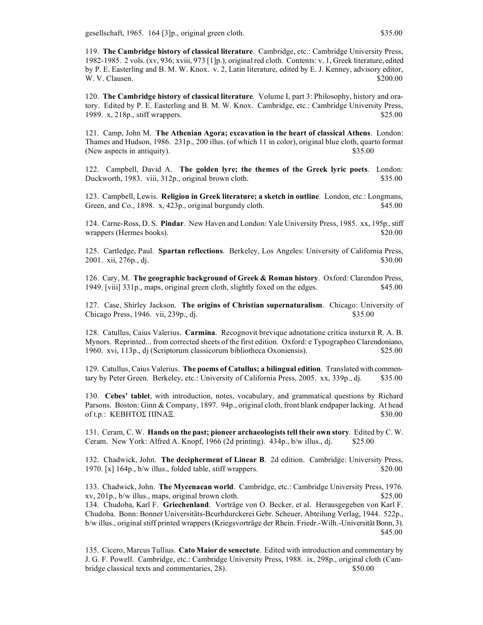gesellschaft, 1965. 164 [3]p., original green cloth. \$35.00

119. **The Cambridge history of classical literature**. Cambridge, etc.: Cambridge University Press, 1982-1985. 2 vols. (xv, 936; xviii, 973 [1]p.), original red cloth. Contents: v. 1, Greek literature, edited by P. E. Easterling and B. M. W. Knox. v. 2, Latin literature, edited by E. J. Kenney, advisory editor, W. V. Clausen.  $\$200.00$ 

120. **The Cambridge history of classical literature**. Volume I, part 3: Philosophy, history and oratory. Edited by P. E. Easterling and B. M. W. Knox. Cambridge, etc.: Cambridge University Press, 1989. x, 218p., stiff wrappers. \$25.00

121. Camp, John M. **The Athenian Agora; excavation in the heart of classical Athens**. London: Thames and Hudson, 1986. 231p., 200 illus. (of which 11 in color), original blue cloth, quarto format (New aspects in antiquity).  $$35.00$ 

122. Campbell, David A. **The golden lyre; the themes of the Greek lyric poets**. London: Duckworth, 1983. viii, 312p., original brown cloth. \$35.00

123. Campbell, Lewis. **Religion in Greek literature; a sketch in outline**. London, etc.: Longmans, Green, and Co., 1898. x, 423p., original burgundy cloth. \$45.00

124. Carne-Ross, D. S. **Pindar**. New Haven and London: Yale University Press, 1985. xx, 195p., stiff wrappers (Hermes books).  $$20.00$ 

125. Cartledge, Paul. **Spartan reflections**. Berkeley, Los Angeles: University of California Press, 2001. xii, 276p., dj. \$30.00

126. Cary, M. **The geographic background of Greek & Roman history**. Oxford: Clarendon Press, 1949. [viii] 331p., maps, original green cloth, slightly foxed on the edges. \$45.00

127. Case, Shirley Jackson. **The origins of Christian supernaturalism**. Chicago: University of Chicago Press, 1946. vii, 239p., dj.  $$35.00$ 

128. Catullus, Caius Valerius. **Carmina**. Recognovit brevique adnotatione critica insturxit R. A. B. Mynors. Reprinted... from corrected sheets of the first edition. Oxford: e Typographeo Clarendoniano, 1960. xvi, 113p., dj (Scriptorum classicorum bibliotheca Oxoniensis). \$25.00

129. Catullus, Caius Valerius. **The poems of Catullus; a bilingual edition**. Translated with commentary by Peter Green. Berkeley, etc.: University of California Press, 2005. xx, 339p., dj. \$35.00

130. **Cebes' tablet**, with introduction, notes, vocabulary, and grammatical questions by Richard Parsons. Boston: Ginn & Company, 1897. 94p., original cloth, front blank endpaper lacking. At head of t.p.: ΚΕΒΗΤΟΣ ΠΙΝΑΞ.  $$30.00$ 

131. Ceram, C. W. **Hands on the past; pioneer archaeologists tell their own story**. Edited by C. W. Ceram. New York: Alfred A. Knopf, 1966 (2d printing).  $434p$ ., b/w illus., dj. \$25.00

132. Chadwick, John. **The decipherment of Linear B**. 2d edition. Cambridge: University Press, 1970. [x] 164p., b/w illus., folded table, stiff wrappers. \$20.00

133. Chadwick, John. **The Mycenaean world**. Cambridge, etc.: Cambridge University Press, 1976. xv, 201p., b/w illus., maps, original brown cloth. \$25.00 134. Chudoba, Karl F. **Griechenland**. Vorträge von O. Becker, et al. Herausgegeben von Karl F. Chudoba. Bonn: Bonner Universitäts-Bcurhdurckerei Gebr. Scheuer, Abteilung Verlag, 1944. 522p., b/w illus., original stiff printed wrappers (Kriegsvorträge der Rhein. Friedr.-Wilh.-Universität Bonn, 3). \$45.00

135. Cicero, Marcus Tullius. **Cato Maior de senectute**. Edited with introduction and commentary by J. G. F. Powell. Cambridge, etc.: Cambridge University Press, 1988. ix, 298p., original cloth (Cambridge classical texts and commentaries, 28). \$50.00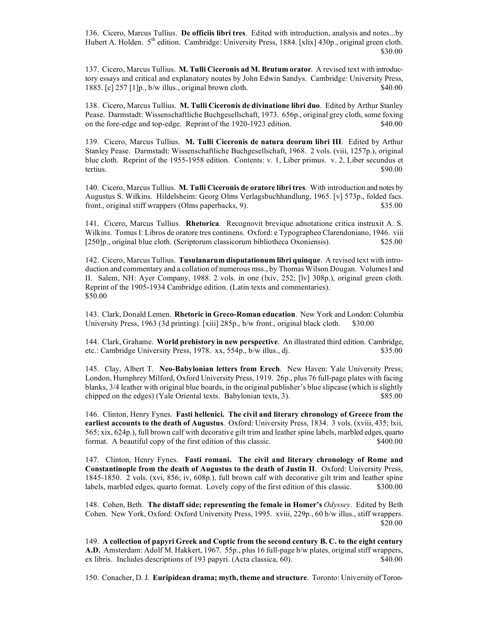136. Cicero, Marcus Tullius. **De officiis libri tres**. Edited with introduction, analysis and notes...by Hubert A. Holden. 5<sup>th</sup> edition. Cambridge: University Press, 1884. [xlix] 430p., original green cloth. \$30.00

137. Cicero, Marcus Tullius. **M. Tulli Ciceronis ad M. Brutum orator**. A revised text with introductory essays and critical and explanatory noates by John Edwin Sandys. Cambridge: University Press, 1885. [c] 257 [1]p., b/w illus., original brown cloth. \$40.00

138. Cicero, Marcus Tullius. **M. Tulli Ciceronis de divinatione libri duo**. Edited by Arthur Stanley Pease. Darmstadt: Wissenschaftliche Buchgesellschaft, 1973. 656p., original grey cloth, some foxing on the fore-edge and top-edge. Reprint of the 1920-1923 edition. \$40.00

139. Cicero, Marcus Tullius. **M. Tulli Ciceronis de natura deorum libri III**. Edited by Arthur Stanley Pease. Darmstadt: Wissenschaftliche Buchgesellschaft, 1968. 2 vols. (viii, 1257p.), original blue cloth. Reprint of the 1955-1958 edition. Contents: v. 1, Liber primus. v. 2, Liber secundus et tertius. Solomonic states of the states of the states of the states of the states of the states of the states of the states of the states of the states of the states of the states of the states of the states of the states

140. Cicero, Marcus Tullius. **M. Tulli Ciceronis de oratore libri tres**. With introduction and notes by Augustus S. Wilkins. Hildelsheim: Georg Olms Verlagsbuchhandlung, 1965. [v] 573p., folded facs. front., original stiff wrappers (Olms paperbacks, 9). \$35.00

141. Cicero, Marcus Tullius. **Rhetorica**. Recognovit brevique adnotatione critica instruxit A. S. Wilkins. Tomus I: Libros de oratore tres continens. Oxford: e Typographeo Clarendoniano, 1946. viii [250]p., original blue cloth. (Scriptorum classicorum bibliotheca Oxoniensis). \$25.00

142. Cicero, Marcus Tullius. **Tusulanarum disputationum libri quinque**. A revised text with introduction and commentary and a collation of numerous mss., by Thomas Wilson Dougan. Volumes I and II. Salem, NH: Ayer Company, 1988. 2 vols. in one (lxiv, 252; [lv] 308p.), original green cloth. Reprint of the 1905-1934 Cambridge edition. (Latin texts and commentaries). \$50.00

143. Clark, Donald Lemen. **Rhetoric in Greco-Roman education**. New York and London: Columbia University Press, 1963 (3d printing). [xiii] 285p., b/w front., original black cloth. \$30.00

144. Clark, Grahame. **World prehistory in new perspective**. An illustrated third edition. Cambridge, etc.: Cambridge University Press, 1978. xx, 554p., b/w illus., dj. \$35.00

145. Clay, Albert T. **Neo-Babylonian letters from Erech**. New Haven: Yale University Press; London, Humphrey Milford, Oxford University Press, 1919. 26p., plus 76 full-page plates with facing blanks, 3/4 leather with original blue boards, in the original publisher's blue slipcase (which is slightly chipped on the edges) (Yale Oriental texts. Babylonian texts, 3). \$85.00

146. Clinton, Henry Fynes. **Fasti hellenici. The civil and literary chronology of Greece from the earliest accounts to the death of Augustus**. Oxford: University Press, 1834. 3 vols. (xviii, 435; lxii, 565; xix, 624p.), full brown calf with decorative gilt trim and leather spine labels, marbled edges, quarto format. A beautiful copy of the first edition of this classic. \$400.00

147. Clinton, Henry Fynes. **Fasti romani. The civil and literary chronology of Rome and Constantinople from the death of Augustus to the death of Justin II**. Oxford: University Press, 1845-1850. 2 vols. (xvi, 856; iv, 608p.), full brown calf with decorative gilt trim and leather spine labels, marbled edges, quarto format. Lovely copy of the first edition of this classic. \$300.00

148. Cohen, Beth. **The distaff side; representing the female in Homer's** *Odyssey*. Edited by Beth Cohen. New York, Oxford: Oxford University Press, 1995. xviii, 229p., 60 b/w illus., stiff wrappers. \$20.00

149. **A collection of papyri Greek and Coptic from the second century B. C. to the eight century A.D.** Amsterdam: Adolf M. Hakkert, 1967. 55p., plus 16 full-page b/w plates, original stiff wrappers, ex libris. Includes descriptions of 193 papyri. (Acta classica, 60). \$40.00

150. Conacher, D. J. **Euripidean drama; myth, theme and structure**. Toronto: University of Toron-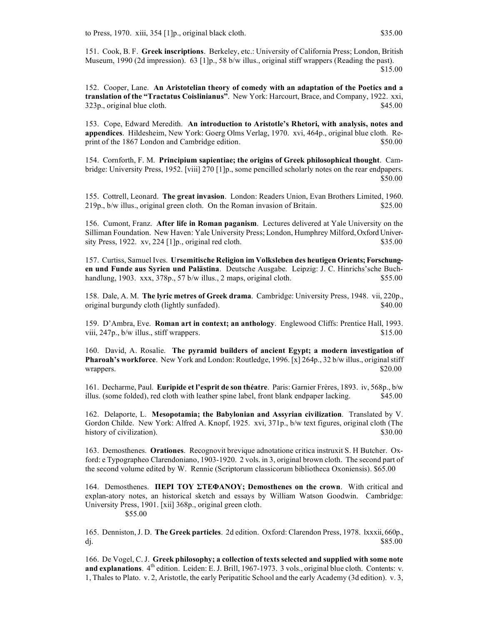151. Cook, B. F. **Greek inscriptions**. Berkeley, etc.: University of California Press; London, British Museum, 1990 (2d impression). 63 [1]p., 58 b/w illus., original stiff wrappers (Reading the past).

\$15.00

152. Cooper, Lane. **An Aristotelian theory of comedy with an adaptation of the Poetics and a translation of the "Tractatus Coislinianus"**. New York: Harcourt, Brace, and Company, 1922. xxi,  $323p$ , original blue cloth.  $$45.00$ 

153. Cope, Edward Meredith. **An introduction to Aristotle's Rhetori, with analysis, notes and appendices**. Hildesheim, New York: Goerg Olms Verlag, 1970. xvi, 464p., original blue cloth. Reprint of the 1867 London and Cambridge edition.  $$50.00$ 

154. Cornforth, F. M. **Principium sapientiae; the origins of Greek philosophical thought**. Cambridge: University Press, 1952. [viii] 270 [1]p., some pencilled scholarly notes on the rear endpapers. \$50.00

155. Cottrell, Leonard. **The great invasion**. London: Readers Union, Evan Brothers Limited, 1960. 219p., b/w illus., original green cloth. On the Roman invasion of Britain. \$25.00

156. Cumont, Franz. **After life in Roman paganism**. Lectures delivered at Yale University on the Silliman Foundation. New Haven: Yale University Press; London, Humphrey Milford, Oxford University Press,  $1922. xv, 224 \left[1\right]p$ , original red cloth. \$35.00

157. Curtiss, Samuel Ives. **Ursemitische Religion im Volksleben des heutigen Orients; Forschungen und Funde aus Syrien und Palästina**. Deutsche Ausgabe. Leipzig: J. C. Hinrichs'sche Buchhandlung, 1903. xxx, 378p., 57 b/w illus., 2 maps, original cloth. \$55.00

158. Dale, A. M. **The lyric metres of Greek drama**. Cambridge: University Press, 1948. vii, 220p., original burgundy cloth (lightly sunfaded). \$40.00

159. D'Ambra, Eve. **Roman art in context; an anthology**. Englewood Cliffs: Prentice Hall, 1993. viii,  $247p$ ,  $b/w$  illus., stiff wrappers.  $$15.00$ 

160. David, A. Rosalie. **The pyramid builders of ancient Egypt; a modern investigation of Pharoah's workforce**. New York and London: Routledge, 1996. [x] 264p., 32 b/w illus., original stiff wrappers. \$20.00

161. Decharme, Paul. **Euripide et l'esprit de son théatre**. Paris: Garnier Frères, 1893. iv, 568p., b/w illus. (some folded), red cloth with leather spine label, front blank endpaper lacking. \$45.00

162. Delaporte, L. **Mesopotamia; the Babylonian and Assyrian civilization**. Translated by V. Gordon Childe. New York: Alfred A. Knopf, 1925. xvi, 371p., b/w text figures, original cloth (The history of civilization). \$30.00

163. Demosthenes. **Orationes**. Recognovit brevique adnotatione critica instruxit S. H Butcher. Oxford: e Typographeo Clarendoniano, 1903-1920. 2 vols. in 3, original brown cloth. The second part of the second volume edited by W. Rennie (Scriptorum classicorum bibliotheca Oxoniensis). \$65.00

164. Demosthenes. **ΠΕΡI ΤΟΥ ΣΤΕΦΑΝΟΥ; Demosthenes on the crown**. With critical and explan-atory notes, an historical sketch and essays by William Watson Goodwin. Cambridge: University Press, 1901. [xii] 368p., original green cloth. \$55.00

165. Denniston, J. D. **The Greek particles**. 2d edition. Oxford: Clarendon Press, 1978. lxxxii, 660p., dj.  $$85.00$ 

166. De Vogel, C. J. **Greek philosophy; a collection of texts selected and supplied with some note and explanations**. 4<sup>th</sup> edition. Leiden: E. J. Brill, 1967-1973. 3 vols., original blue cloth. Contents: v. 1, Thales to Plato. v. 2, Aristotle, the early Peripatitic School and the early Academy (3d edition). v. 3,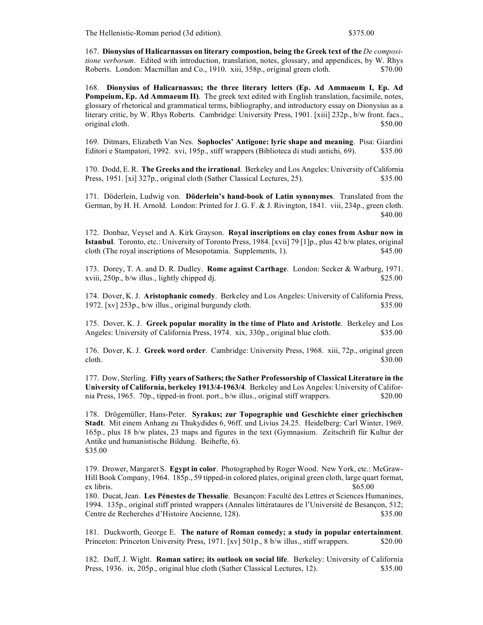The Hellenistic-Roman period (3d edition). \$375.00

167. **Dionysius of Halicarnassus on literary compostion, being the Greek text of the** *De compositione verborum*. Edited with introduction, translation, notes, glossary, and appendices, by W. Rhys Roberts. London: Macmillan and Co., 1910. xiii, 358p., original green cloth. \$70.00

168. **Dionysius of Halicarnassus; the three literary letters (Ep. Ad Ammaeum I, Ep. Ad Pompeium, Ep. Ad Ammaeum II)**. The greek text edited with English translation, facsimile, notes, glossary of rhetorical and grammatical terms, bibliography, and introductory essay on Dionysius as a literary critic, by W. Rhys Roberts. Cambridge: University Press, 1901. [xiii] 232p., b/w front. facs., original cloth.  $$50.00$ 

169. Ditmars, Elizabeth Van Nes. **Sophocles' Antigone: lyric shape and meaning**. Pisa: Giardini Editori e Stampatori, 1992. xvi, 195p., stiff wrappers (Biblioteca di studi antichi, 69). \$35.00

170. Dodd, E. R. **The Greeks and the irrational**. Berkeley and Los Angeles: University of California Press, 1951. [xi] 327p., original cloth (Sather Classical Lectures, 25). \$35.00

171. Döderlein, Ludwig von. **Döderlein's hand-book of Latin synonymes**. Translated from the German, by H. H. Arnold. London: Printed for J. G. F. & J. Rivington, 1841. viii, 234p., green cloth. \$40.00

172. Donbaz, Veysel and A. Kirk Grayson. **Royal inscriptions on clay cones from Ashur now in Istanbul**. Toronto, etc.: University of Toronto Press, 1984. [xvii] 79 [1]p., plus 42 b/w plates, original cloth (The royal inscriptions of Mesopotamia. Supplements, 1). \$45.00

173. Dorey, T. A. and D. R. Dudley. **Rome against Carthage**. London: Secker & Warburg, 1971. xviii, 250p., b/w illus., lightly chipped dj. \$25.00

174. Dover, K. J. **Aristophanic comedy**. Berkeley and Los Angeles: University of California Press, 1972. [xv] 253p., b/w illus., original burgundy cloth. \$35.00

175. Dover, K. J. **Greek popular morality in the time of Plato and Aristotle**. Berkeley and Los Angeles: University of California Press, 1974. xix, 330p., original blue cloth. \$35.00

176. Dover, K. J. **Greek word order**. Cambridge: University Press, 1968. xiii, 72p., original green cloth.  $$30.00$ 

177. Dow, Sterling. **Fifty years of Sathers; the Sather Professorship of Classical Literature in the University of California, berkeley 1913/4-1963/4**. Berkeley and Los Angeles: University of California Press, 1965. 70p., tipped-in front. port., b/w illus., original stiff wrappers. \$20.00

178. Drögemüller, Hans-Peter. **Syrakus; zur Topographie und Geschichte einer griechischen Stadt**. Mit einem Anhang zu Thukydides 6, 96ff. und Livius 24.25. Heidelberg: Carl Winter, 1969. 165p., plus 18 b/w plates, 23 maps and figures in the text (Gymnasium. Zeitschrift für Kultur der Antike und humanistische Bildung. Beihefte, 6). \$35.00

179. Drower, Margaret S. **Egypt in color**. Photographed by Roger Wood. New York, etc.: McGraw-Hill Book Company, 1964. 185p., 59 tipped-in colored plates, original green cloth, large quart format, ex libris. \$65.00

180. Ducat, Jean. **Les Pénestes de Thessalie**. Besançon: Faculté des Lettres et Sciences Humanines, 1994. 135p., original stiff printed wrappers (Annales littérataures de l'Université de Besançon, 512; Centre de Recherches d'Histoire Ancienne, 128). \$35.00

181. Duckworth, George E. **The nature of Roman comedy; a study in popular entertainment**. Princeton: Princeton University Press, 1971. [xv] 501p., 8 b/w illus., stiff wrappers. \$20.00

182. Duff, J. Wight. **Roman satire; its outlook on social life**. Berkeley: University of California Press, 1936. ix, 205p., original blue cloth (Sather Classical Lectures, 12). \$35.00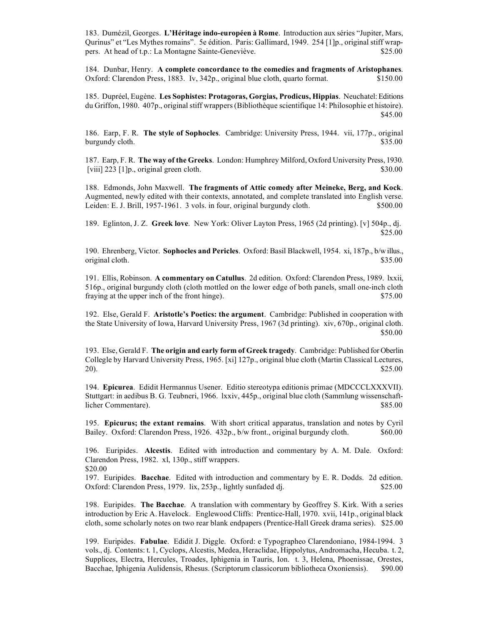183. Dumézil, Georges. **L'Héritage indo-européen à Rome**. Introduction aux séries "Jupiter, Mars, Qurinus" et "Les Mythes romains". 5e édition. Paris: Gallimard, 1949. 254 [1]p., original stiff wrappers. At head of t.p.: La Montagne Sainte-Geneviève. \$25.00

184. Dunbar, Henry. **A complete concordance to the comedies and fragments of Aristophanes**. Oxford: Clarendon Press, 1883. Iv, 342p., original blue cloth, quarto format. \$150.00

185. Dupréel, Eugène. **Les Sophistes: Protagoras, Gorgias, Prodicus, Hippias**. Neuchatel: Editions du Griffon, 1980. 407p., original stiff wrappers (Bibliothèque scientifique 14: Philosophie et histoire). \$45.00

186. Earp, F. R. **The style of Sophocles**. Cambridge: University Press, 1944. vii, 177p., original burgundy cloth.  $\$35.00$ 

187. Earp, F. R. **The way of the Greeks**. London: Humphrey Milford, Oxford University Press, 1930.  $[viii]$  223  $[1]p$ , original green cloth.  $\$30.00$ 

188. Edmonds, John Maxwell. **The fragments of Attic comedy after Meineke, Berg, and Kock**. Augmented, newly edited with their contexts, annotated, and complete translated into English verse. Leiden: E. J. Brill, 1957-1961. 3 vols. in four, original burgundy cloth. \$500.00

189. Eglinton, J. Z. **Greek love**. New York: Oliver Layton Press, 1965 (2d printing). [v] 504p., dj. \$25.00

190. Ehrenberg, Victor. **Sophocles and Pericles**. Oxford: Basil Blackwell, 1954. xi, 187p., b/w illus., original cloth.  $$35.00$ 

191. Ellis, Robinson. **A commentary on Catullus**. 2d edition. Oxford: Clarendon Press, 1989. lxxii, 516p., original burgundy cloth (cloth mottled on the lower edge of both panels, small one-inch cloth fraying at the upper inch of the front hinge). \$75.00

192. Else, Gerald F. **Aristotle's Poetics: the argument**. Cambridge: Published in cooperation with the State University of Iowa, Harvard University Press, 1967 (3d printing). xiv, 670p., original cloth. \$50.00

193. Else, Gerald F. **The origin and early form of Greek tragedy**. Cambridge: Published for Oberlin Collegle by Harvard University Press, 1965. [xi] 127p., original blue cloth (Martin Classical Lectures, 20).  $$25.00$ 

194. **Epicurea**. Edidit Hermannus Usener. Editio stereotypa editionis primae (MDCCCLXXXVII). Stuttgart: in aedibus B. G. Teubneri, 1966. lxxiv, 445p., original blue cloth (Sammlung wissenschaftlicher Commentare). \$85.00

195. **Epicurus; the extant remains**. With short critical apparatus, translation and notes by Cyril Bailey. Oxford: Clarendon Press, 1926. 432p., b/w front., original burgundy cloth.  $\$60.00$ 

196. Euripides. **Alcestis**. Edited with introduction and commentary by A. M. Dale. Oxford: Clarendon Press, 1982. xl, 130p., stiff wrappers. \$20.00

197. Euripides. **Bacchae**. Edited with introduction and commentary by E. R. Dodds. 2d edition. Oxford: Clarendon Press, 1979. lix, 253p., lightly sunfaded dj. \$25.00

198. Euripides. **The Bacchae**. A translation with commentary by Geoffrey S. Kirk. With a series introduction by Eric A. Havelock. Englewood Cliffs: Prentice-Hall, 1970. xvii, 141p., original black cloth, some scholarly notes on two rear blank endpapers (Prentice-Hall Greek drama series). \$25.00

199. Euripides. **Fabulae**. Edidit J. Diggle. Oxford: e Typographeo Clarendoniano, 1984-1994. 3 vols., dj. Contents: t. 1, Cyclops, Alcestis, Medea, Heraclidae, Hippolytus, Andromacha, Hecuba. t. 2, Supplices, Electra, Hercules, Troades, Iphigenia in Tauris, Ion. t. 3, Helena, Phoenissae, Orestes, Bacchae, Iphigenia Aulidensis, Rhesus. (Scriptorum classicorum bibliotheca Oxoniensis). \$90.00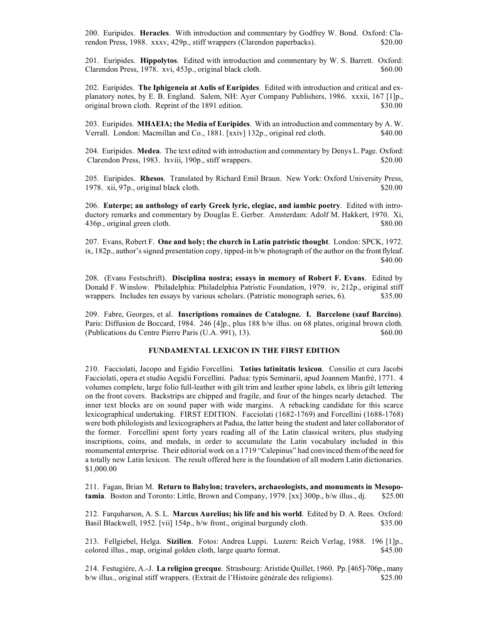200. Euripides. **Heracles**. With introduction and commentary by Godfrey W. Bond. Oxford: Clarendon Press, 1988. xxxv, 429p., stiff wrappers (Clarendon paperbacks). \$20.00

201. Euripides. **Hippolytos**. Edited with introduction and commentary by W. S. Barrett. Oxford: Clarendon Press, 1978. xvi, 453p., original black cloth. \$60.00

202. Euripides. **The Iphigeneia at Aulis of Euripides**. Edited with introduction and critical and explanatory notes, by E. B. England. Salem, NH: Ayer Company Publishers, 1986. xxxii, 167 [1]p., original brown cloth. Reprint of the 1891 edition. \$30.00

203. Euripides. **ΜΗΔΕIΑ; the Media of Euripides**. With an introduction and commentary by A. W. Verrall. London: Macmillan and Co., 1881. [xxiv] 132p., original red cloth. \$40.00

204. Euripides. **Medea**. The text edited with introduction and commentary by Denys L. Page. Oxford: Clarendon Press, 1983. lxviii, 190p., stiff wrappers. \$20.00

205. Euripides. **Rhesos**. Translated by Richard Emil Braun. New York: Oxford University Press, 1978. xii, 97p., original black cloth.  $\frac{1978}{20.00}$ 

206. **Euterpe; an anthology of early Greek lyric, elegiac, and iambic poetry**. Edited with introductory remarks and commentary by Douglas E. Gerber. Amsterdam: Adolf M. Hakkert, 1970. Xi, 436p., original green cloth.  $$80.00$ 

207. Evans, Robert F. **One and holy; the church in Latin patristic thought**. London: SPCK, 1972. ix, 182p., author's signed presentation copy, tipped-in b/w photograph of the author on the front flyleaf. \$40.00

208. (Evans Festschrift). **Disciplina nostra; essays in memory of Robert F. Evans**. Edited by Donald F. Winslow. Philadelphia: Philadelphia Patristic Foundation, 1979. iv, 212p., original stiff wrappers. Includes ten essays by various scholars. (Patristic monograph series, 6).  $\qquad\qquad$  \$35.00

209. Fabre, Georges, et al. **Inscriptions romaines de Catalogne. I. Barcelone (sauf Barcino)**. Paris: Diffusion de Boccard, 1984. 246 [4]p., plus 188 b/w illus. on 68 plates, original brown cloth. (Publications du Centre Pierre Paris (U.A. 991), 13). \$60.00

# **FUNDAMENTAL LEXICON IN THE FIRST EDITION**

210. Facciolati, Jacopo and Egidio Forcellini. **Totius latinitatis lexicon**. Consilio et cura Jacobi Facciolati, opera et studio Aegidii Forcellini. Padua: typis Seminarii, apud Joannem Manfrè, 1771. 4 volumes complete, large folio full-leather with gilt trim and leather spine labels, ex libris gilt lettering on the front covers. Backstrips are chipped and fragile, and four of the hinges nearly detached. The inner text blocks are on sound paper with wide margins. A rebacking candidate for this scarce lexicographical undertaking. FIRST EDITION. Facciolati (1682-1769) and Forcellini (1688-1768) were both philologists and lexicographers at Padua, the latter being the student and later collaborator of the former. Forcellini spent forty years reading all of the Latin classical writers, plus studying inscriptions, coins, and medals, in order to accumulate the Latin vocabulary included in this monumental enterprise. Their editorial work on a 1719 "Calepinus" had convinced them of the need for a totally new Latin lexicon. The result offered here is the foundation of all modern Latin dictionaries. \$1,000.00

211. Fagan, Brian M. **Return to Babylon; travelers, archaeologists, and monuments in Mesopotamia**. Boston and Toronto: Little, Brown and Company, 1979. [xx] 300p., b/w illus., dj. \$25.00

212. Farquharson, A. S. L. **Marcus Aurelius; his life and his world**. Edited by D. A. Rees. Oxford: Basil Blackwell, 1952. [vii] 154p., b/w front., original burgundy cloth. \$35.00

213. Fellgiebel, Helga. **Sizilien**. Fotos: Andrea Luppi. Luzern: Reich Verlag, 1988. 196 [1]p., colored illus., map, original golden cloth, large quarto format. \$45.00

214. Festugière, A.-J. **La religion grecque**. Strasbourg: Aristide Quillet, 1960. Pp. [465]-706p., many b/w illus., original stiff wrappers. (Extrait de l'Histoire générale des religions). \$25.00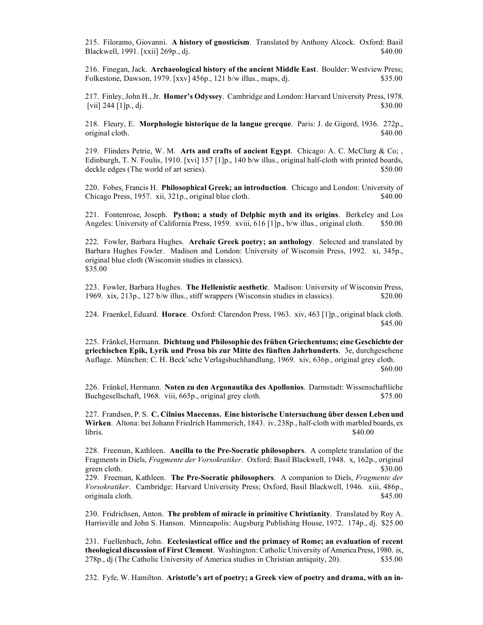215. Filoramo, Giovanni. **A history of gnosticism**. Translated by Anthony Alcock. Oxford: Basil Blackwell, 1991. [xxii] 269p., dj. \$40.00

216. Finegan, Jack. **Archaeological history of the ancient Middle East**. Boulder: Westview Press; Folkestone, Dawson, 1979. [xxv] 456p., 121 b/w illus., maps, dj. \$35.00

217. Finley, John H., Jr. **Homer's Odyssey**. Cambridge and London: Harvard University Press, 1978.  $[vii]$  244  $[1]p_1$ , dj.  $$30.00$ 

218. Fleury, E. **Morphologie historique de la langue grecque**. Paris: J. de Gigord, 1936. 272p., original cloth.  $\$40.00$ 

219. Flinders Petrie, W. M. **Arts and crafts of ancient Egypt**. Chicago: A. C. McClurg & Co; , Edinburgh, T. N. Foulis, 1910. [xvi] 157 [1]p., 140 b/w illus., original half-cloth with printed boards, deckle edges (The world of art series).  $$50.00$ 

220. Fobes, Francis H. **Philosophical Greek; an introduction**. Chicago and London: University of Chicago Press, 1957. xii, 321p., original blue cloth. \$40.00

221. Fontenrose, Joseph. **Python; a study of Delphic myth and its origins**. Berkeley and Los Angeles: University of California Press, 1959. xviii, 616 [1]p., b/w illus., original cloth. \$50.00

222. Fowler, Barbara Hughes. **Archaic Greek poetry; an anthology**. Selected and translated by Barbara Hughes Fowler. Madison and London: University of Wisconsin Press, 1992. xi, 345p., original blue cloth (Wisconsin studies in classics). \$35.00

223. Fowler, Barbara Hughes. **The Hellenistic aesthetic**. Madison: University of Wisconsin Press, 1969. xix, 213p., 127 b/w illus., stiff wrappers (Wisconsin studies in classics). \$20.00

224. Fraenkel, Eduard. **Horace**. Oxford: Clarendon Press, 1963. xiv, 463 [1]p., original black cloth. \$45.00

225. Fränkel, Hermann. **Dichtung und Philosophie des frühen Griechentums; eine Geschichte der griechischen Epik, Lyrik und Prosa bis zur Mitte des fünften Jahrhunderts**. 3e, durchgesehene Auflage. München: C. H. Beck'sche Verlagsbuchhandlung, 1969. xiv, 636p., original grey cloth. \$60.00

226. Fränkel, Hermann. **Noten zu den Argonautika des Apollonios**. Darmstadt: Wissenschaftliche Buchgesellschaft, 1968. viii, 665p., original grey cloth. \$75.00

227. Frandsen, P. S. **C. Cilnius Maecenas. Eine historische Untersuchung über dessen Leben und Wirken**. Altona: bei Johann Friedrich Hammerich, 1843. iv, 238p., half-cloth with marbled boards, ex  $\frac{1}{100}$  libris.  $\frac{1}{100}$  set the set of the set of the set of the set of the set of the set of the set of the set of the set of the set of the set of the set of the set of the set of the set of the set of the set o

228. Freeman, Kathleen. **Ancilla to the Pre-Socratic philosophers**. A complete translation of the Fragments in Diels, *Fragmente der Vorsokratiker*. Oxford: Basil Blackwell, 1948. x, 162p., original green cloth. \$30.00

229. Freeman, Kathleen. **The Pre-Socratic philosophers**. A companion to Diels, *Fragmente der Vorsokratiker*. Cambridge: Harvard Univerisity Press; Oxford, Basil Blackwell, 1946. xiii, 486p., originala cloth. \$45.00

230. Fridrichsen, Anton. **The problem of miracle in primitive Christianity**. Translated by Roy A. Harrisville and John S. Hanson. Minneapolis: Augsburg Publishing House, 1972. 174p., dj. \$25.00

231. Fuellenbach, John. **Ecclesiastical office and the primacy of Rome; an evaluation of recent theological discussion of First Clement**. Washington: Catholic University of America Press, 1980. ix, 278p., dj (The Catholic University of America studies in Christian antiquity, 20). \$35.00

232. Fyfe, W. Hamilton. **Aristotle's art of poetry; a Greek view of poetry and drama, with an in-**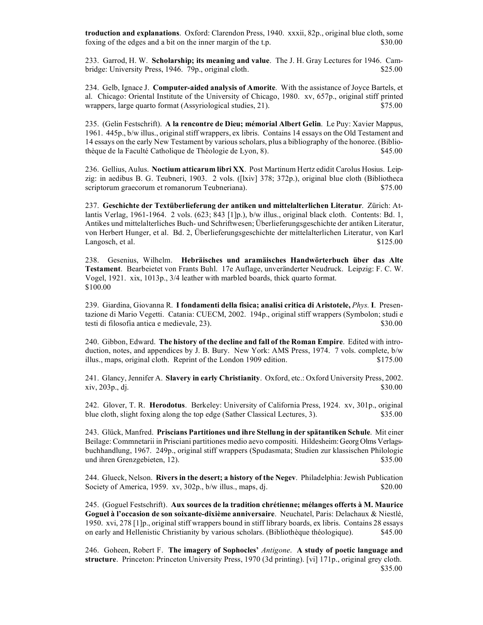**troduction and explanations**. Oxford: Clarendon Press, 1940. xxxii, 82p., original blue cloth, some foxing of the edges and a bit on the inner margin of the t.p. \$30.00

233. Garrod, H. W. **Scholarship; its meaning and value**. The J. H. Gray Lectures for 1946. Cambridge: University Press, 1946. 79p., original cloth. \$25.00

234. Gelb, Ignace J. **Computer-aided analysis of Amorite**. With the assistance of Joyce Bartels, et al. Chicago: Oriental Institute of the University of Chicago, 1980. xv, 657p., original stiff printed wrappers, large quarto format (Assyriological studies, 21). \$75.00

235. (Gelin Festschrift). **A la rencontre de Dieu; mémorial Albert Gelin**. Le Puy: Xavier Mappus, 1961. 445p., b/w illus., original stiff wrappers, ex libris. Contains 14 essays on the Old Testament and 14 essays on the early New Testament by various scholars, plus a bibliography of the honoree. (Bibliothèque de la Faculté Catholique de Théologie de Lyon, 8). \$45.00

236. Gellius, Aulus. **Noctium atticarum libri XX**. Post Martinum Hertz edidit Carolus Hosius. Leipzig: in aedibus B. G. Teubneri, 1903. 2 vols. ([lxiv] 378; 372p.), original blue cloth (Bibliotheca scriptorum graecorum et romanorum Teubneriana).  $$75.00$ 

237. **Geschichte der Textüberlieferung der antiken und mittelalterlichen Literatur**. Zürich: Atlantis Verlag, 1961-1964. 2 vols. (623; 843 [1]p.), b/w illus., original black cloth. Contents: Bd. 1, Antikes und mittelalterliches Buch- und Schriftwesen; Überlieferungsgeschichte der antiken Literatur, von Herbert Hunger, et al. Bd. 2, Überlieferungsgeschichte der mittelalterlichen Literatur, von Karl Langosch, et al.  $$125.00$ 

238. Gesenius, Wilhelm. **Hebräisches und aramäisches Handwörterbuch über das Alte Testament**. Bearbeietet von Frants Buhl. 17e Auflage, unveränderter Neudruck. Leipzig: F. C. W. Vogel, 1921. xix, 1013p., 3/4 leather with marbled boards, thick quarto format. \$100.00

239. Giardina, Giovanna R. **I fondamenti della fisica; analisi critica di Aristotele,** *Phys.* **I**. Presentazione di Mario Vegetti. Catania: CUECM, 2002. 194p., original stiff wrappers (Symbolon; studi e testi di filosofia antica e medievale, 23). \$30.00

240. Gibbon, Edward. **The history of the decline and fall of the Roman Empire**. Edited with introduction, notes, and appendices by J. B. Bury. New York: AMS Press, 1974. 7 vols. complete, b/w illus., maps, original cloth. Reprint of the London 1909 edition. \$175.00

241. Glancy, Jennifer A. **Slavery in early Christianity**. Oxford, etc.: Oxford University Press, 2002.  $xiv, 203p, d$ .  $\frac{1}{30.00}$ 

242. Glover, T. R. **Herodotus**. Berkeley: University of California Press, 1924. xv, 301p., original blue cloth, slight foxing along the top edge (Sather Classical Lectures, 3). \$35.00

243. Glück, Manfred. **Priscians Partitiones und ihre Stellung in der spätantiken Schule**. Mit einer Beilage: Commnetarii in Prisciani partitiones medio aevo compositi. Hildesheim: Georg Olms Verlagsbuchhandlung, 1967. 249p., original stiff wrappers (Spudasmata; Studien zur klassischen Philologie und ihren Grenzgebieten, 12). \$35.00

244. Glueck, Nelson. **Rivers in the desert; a history of the Negev**. Philadelphia: Jewish Publication Society of America, 1959. xv,  $302p$ ,  $b/w$  illus., maps, dj.  $$20.00$ 

245. (Goguel Festschrift). **Aux sources de la tradition chrétienne; mélanges offerts à M. Maurice Goguel à l'occasion de son soixante-dixième anniversaire**. Neuchatel, Paris: Delachaux & Niestlé, 1950. xvi, 278 [1]p., original stiff wrappers bound in stiff library boards, ex libris. Contains 28 essays on early and Hellenistic Christianity by various scholars. (Bibliothèque théologique). \$45.00

246. Goheen, Robert F. **The imagery of Sophocles'** *Antigone*. **A study of poetic language and structure**. Princeton: Princeton University Press, 1970 (3d printing). [vi] 171p., original grey cloth. \$35.00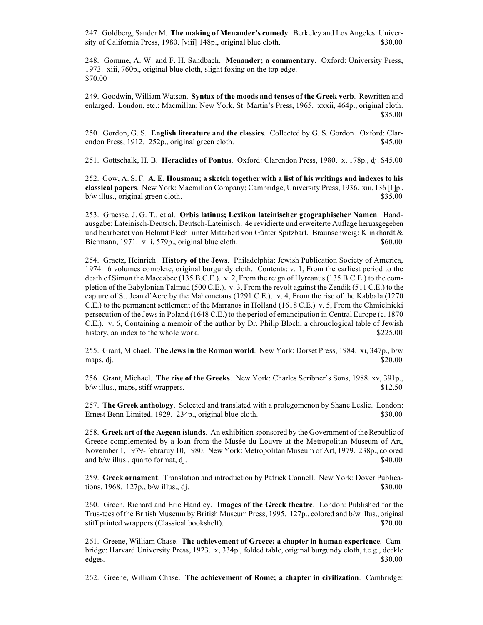247. Goldberg, Sander M. **The making of Menander's comedy**. Berkeley and Los Angeles: University of California Press, 1980. [viii] 148p., original blue cloth. \$30.00

248. Gomme, A. W. and F. H. Sandbach. **Menander; a commentary**. Oxford: University Press, 1973. xiii, 760p., original blue cloth, slight foxing on the top edge. \$70.00

249. Goodwin, William Watson. **Syntax of the moods and tenses of the Greek verb**. Rewritten and enlarged. London, etc.: Macmillan; New York, St. Martin's Press, 1965. xxxii, 464p., original cloth. \$35.00

250. Gordon, G. S. **English literature and the classics**. Collected by G. S. Gordon. Oxford: Clarendon Press, 1912. 252p., original green cloth. \$45.00

251. Gottschalk, H. B. **Heraclides of Pontus**. Oxford: Clarendon Press, 1980. x, 178p., dj. \$45.00

252. Gow, A. S. F. **A. E. Housman; a sketch together with a list of his writings and indexes to his classical papers**. New York: Macmillan Company; Cambridge, University Press, 1936. xiii, 136 [1]p., b/w illus., original green cloth. \$35.00

253. Graesse, J. G. T., et al. **Orbis latinus; Lexikon lateinischer geographischer Namen**. Handausgabe: Lateinisch-Deutsch, Deutsch-Lateinisch. 4e revidierte und erweiterte Auflage heruasgegeben und bearbeitet von Helmut Plechl unter Mitarbeit von Günter Spitzbart. Braunschweig: Klinkhardt & Biermann, 1971. viii, 579p., original blue cloth.  $$60.00$ 

254. Graetz, Heinrich. **History of the Jews**. Philadelphia: Jewish Publication Society of America, 1974. 6 volumes complete, original burgundy cloth. Contents: v. 1, From the earliest period to the death of Simon the Maccabee (135 B.C.E.). v. 2, From the reign of Hyrcanus (135 B.C.E.) to the completion of the Babylonian Talmud (500 C.E.). v. 3, From the revolt against the Zendik (511 C.E.) to the capture of St. Jean d'Acre by the Mahometans (1291 C.E.). v. 4, From the rise of the Kabbala (1270 C.E.) to the permanent settlement of the Marranos in Holland (1618 C.E.) v. 5, From the Chmielnicki persecution of the Jews in Poland (1648 C.E.) to the period of emancipation in Central Europe (c. 1870 C.E.). v. 6, Containing a memoir of the author by Dr. Philip Bloch, a chronological table of Jewish history, an index to the whole work.  $$225.00$ 

255. Grant, Michael. **The Jews in the Roman world**. New York: Dorset Press, 1984. xi, 347p., b/w maps, dj.  $$20.00$ 

256. Grant, Michael. **The rise of the Greeks**. New York: Charles Scribner's Sons, 1988. xv, 391p.,  $b/w$  illus., maps, stiff wrappers.  $$12.50$ 

257. **The Greek anthology**. Selected and translated with a prolegomenon by Shane Leslie. London: Ernest Benn Limited, 1929. 234p., original blue cloth. \$30.00

258. **Greek art of the Aegean islands**. An exhibition sponsored by the Government of the Republic of Greece complemented by a loan from the Musée du Louvre at the Metropolitan Museum of Art, November 1, 1979-Febraruy 10, 1980. New York: Metropolitan Museum of Art, 1979. 238p., colored and  $b/w$  illus., quarto format, dj.  $$40.00$ 

259. **Greek ornament**. Translation and introduction by Patrick Connell. New York: Dover Publications,  $1968. 127p$ ,  $b/w$  illus., dj.  $$30.00$ 

260. Green, Richard and Eric Handley. **Images of the Greek theatre**. London: Published for the Trus-tees of the British Museum by British Museum Press, 1995. 127p., colored and b/w illus., original stiff printed wrappers (Classical bookshelf).  $\qquad$  \$20.00

261. Greene, William Chase. **The achievement of Greece; a chapter in human experience**. Cambridge: Harvard University Press, 1923. x, 334p., folded table, original burgundy cloth, t.e.g., deckle edges. \$30.00

262. Greene, William Chase. **The achievement of Rome; a chapter in civilization**. Cambridge: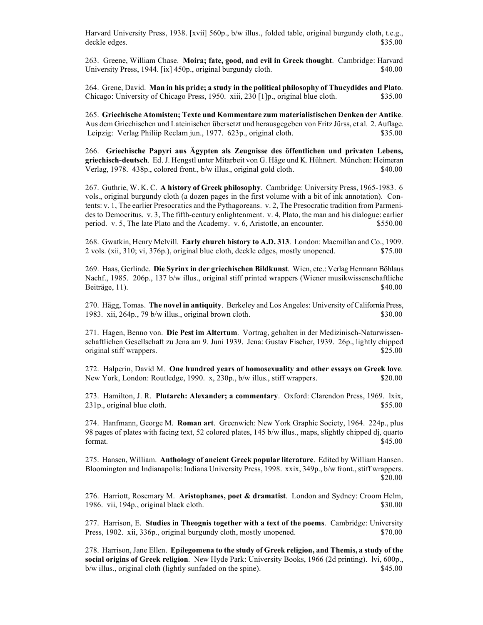Harvard University Press, 1938. [xvii] 560p., b/w illus., folded table, original burgundy cloth, t.e.g., deckle edges. \$35.00

263. Greene, William Chase. **Moira; fate, good, and evil in Greek thought**. Cambridge: Harvard University Press, 1944. [ix] 450p., original burgundy cloth. \$40.00

264. Grene, David. **Man in his pride; a study in the political philosophy of Thucydides and Plato**. Chicago: University of Chicago Press, 1950. xiii, 230 [1]p., original blue cloth. \$35.00

265. **Griechische Atomisten; Texte und Kommentare zum materialistischen Denken der Antike**. Aus dem Griechischen und Lateinischen übersetzt und herausgegeben von Fritz Jürss, et al. 2. Auflage. Leipzig: Verlag Philiip Reclam jun., 1977. 623p., original cloth. \$35.00

266. **Griechische Papyri aus Ägypten als Zeugnisse des öffentlichen und privaten Lebens, griechisch-deutsch**. Ed. J. Hengstl unter Mitarbeit von G. Häge und K. Hühnert. München: Heimeran Verlag, 1978. 438p., colored front., b/w illus., original gold cloth. \$40.00

267. Guthrie, W. K. C. **A history of Greek philosophy**. Cambridge: University Press, 1965-1983. 6 vols., original burgundy cloth (a dozen pages in the first volume with a bit of ink annotation). Contents: v. 1, The earlier Presocratics and the Pythagoreans. v. 2, The Presocratic tradition from Parmenides to Democritus. v. 3, The fifth-century enlightenment. v. 4, Plato, the man and his dialogue: earlier period. v. 5, The late Plato and the Academy. v. 6, Aristotle, an encounter. \$550.00

268. Gwatkin, Henry Melvill. **Early church history to A.D. 313**. London: Macmillan and Co., 1909. 2 vols. (xii, 310; vi, 376p.), original blue cloth, deckle edges, mostly unopened. \$75.00

269. Haas, Gerlinde. **Die Syrinx in der griechischen Bildkunst**. Wien, etc.: Verlag Hermann Böhlaus Nachf., 1985. 206p., 137 b/w illus., original stiff printed wrappers (Wiener musikwissenschaftliche Beiträge, 11). \$40.00

270. Hägg, Tomas. **The novel in antiquity**. Berkeley and Los Angeles: University of California Press, 1983. xii, 264p., 79 b/w illus., original brown cloth. \$30.00

271. Hagen, Benno von. **Die Pest im Altertum**. Vortrag, gehalten in der Medizinisch-Naturwissenschaftlichen Gesellschaft zu Jena am 9. Juni 1939. Jena: Gustav Fischer, 1939. 26p., lightly chipped original stiff wrappers. \$25.00

272. Halperin, David M. **One hundred years of homosexuality and other essays on Greek love**. New York, London: Routledge, 1990. x, 230p., b/w illus., stiff wrappers. \$20.00

273. Hamilton, J. R. **Plutarch: Alexander; a commentary**. Oxford: Clarendon Press, 1969. lxix, 231p., original blue cloth.  $$55.00$ 

274. Hanfmann, George M. **Roman art**. Greenwich: New York Graphic Society, 1964. 224p., plus 98 pages of plates with facing text, 52 colored plates, 145 b/w illus., maps, slightly chipped dj, quarto format.  $$45.00$ 

275. Hansen, William. **Anthology of ancient Greek popular literature**. Edited by William Hansen. Bloomington and Indianapolis: Indiana University Press, 1998. xxix, 349p., b/w front., stiff wrappers. \$20.00

276. Harriott, Rosemary M. **Aristophanes, poet & dramatist**. London and Sydney: Croom Helm, 1986. vii, 194p., original black cloth.  $\frac{1986}{60}$  S30.00

277. Harrison, E. **Studies in Theognis together with a text of the poems**. Cambridge: University Press, 1902. xii, 336p., original burgundy cloth, mostly unopened. \$70.00

278. Harrison, Jane Ellen. **Epilegomena to the study of Greek religion, and Themis, a study of the social origins of Greek religion**. New Hyde Park: University Books, 1966 (2d printing). lvi, 600p., b/w illus., original cloth (lightly sunfaded on the spine). \$45.00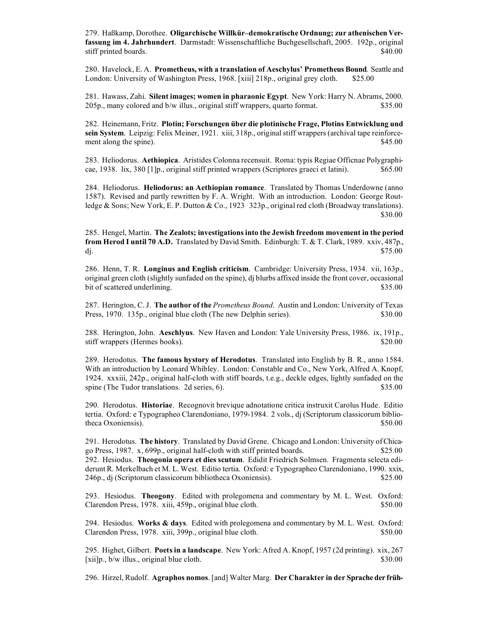279. Haßkamp, Dorothee. **Oligarchische Willkür–demokratische Ordnung; zur athenischen Verfassung im 4. Jahrhundert**. Darmstadt: Wissenschaftliche Buchgesellschaft, 2005. 192p., original stiff printed boards. \$40.00

280. Havelock, E. A. **Prometheus, with a translation of Aeschylus' Prometheus Bound**. Seattle and London: University of Washington Press, 1968. [xiii] 218p., original grey cloth. \$25.00

281. Hawass, Zahi. **Silent images; women in pharaonic Egypt**. New York: Harry N. Abrams, 2000. 205p., many colored and b/w illus., original stiff wrappers, quarto format. \$35.00

282. Heinemann, Fritz. **Plotin; Forschungen über die plotinische Frage, Plotins Entwicklung und sein System**. Leipzig: Felix Meiner, 1921. xiii, 318p., original stiff wrappers (archival tape reinforcement along the spine).  $\$45.00$ 

283. Heliodorus. **Aethiopica**. Aristides Colonna recensuit. Roma: typis Regiae Officnae Polygraphicae, 1938. lix, 380 [1]p., original stiff printed wrappers (Scriptores graeci et latini). \$65.00

284. Heliodorus. **Heliodorus: an Aethiopian romance**. Translated by Thomas Underdowne (anno 1587). Revised and partly rewritten by F. A. Wright. With an introduction. London: George Routledge & Sons; New York, E. P. Dutton & Co., 1923 323p., original red cloth (Broadway translations). \$30.00

285. Hengel, Martin. **The Zealots; investigations into the Jewish freedom movement in the period from Herod I until 70 A.D.** Translated by David Smith. Edinburgh: T. & T. Clark, 1989. xxiv, 487p., dj.  $$75.00$ 

286. Henn, T. R. **Longinus and English criticism**. Cambridge: University Press, 1934. vii, 163p., original green cloth (slightly sunfaded on the spine), dj blurbs affixed inside the front cover, occasional bit of scattered underlining.  $$35.00$ 

287. Herington, C. J. **The author of the** *Prometheus Bound*. Austin and London: University of Texas Press, 1970. 135p., original blue cloth (The new Delphin series). \$30.00

288. Herington, John. **Aeschlyus**. New Haven and London: Yale University Press, 1986. ix, 191p., stiff wrappers (Hermes books). \$20.00

289. Herodotus. **The famous hystory of Herodotus**. Translated into English by B. R., anno 1584. With an introduction by Leonard Whibley. London: Constable and Co., New York, Alfred A. Knopf, 1924. xxxiii, 242p., original half-cloth with stiff boards, t.e.g., deckle edges, lightly sunfaded on the spine (The Tudor translations. 2d series, 6). \$35.00

290. Herodotus. **Historiae**. Recognovit brevique adnotatione critica instruxit Carolus Hude. Editio tertia. Oxford: e Typographeo Clarendoniano, 1979-1984. 2 vols., dj (Scriptorum classicorum bibliotheca Oxoniensis).  $$50.00$ 

291. Herodotus. **The history**. Translated by David Grene. Chicago and London: University of Chicago Press, 1987. x, 699p., original half-cloth with stiff printed boards. \$25.00 292. Hesiodus. **Theogonia opera et dies scutum**. Edidit Friedrich Solmsen. Fragmenta selecta ediderunt R. Merkelbach et M. L. West. Editio tertia. Oxford: e Typographeo Clarendoniano, 1990. xxix, 246p., dj (Scriptorum classicorum bibliotheca Oxoniensis). \$25.00

293. Hesiodus. **Theogony**. Edited with prolegomena and commentary by M. L. West. Oxford: Clarendon Press, 1978. xiii, 459p., original blue cloth. \$50.00

294. Hesiodus. **Works & days**. Edited with prolegomena and commentary by M. L. West. Oxford: Clarendon Press, 1978. xiii, 399p., original blue cloth. \$50.00

295. Highet, Gilbert. **Poets in a landscape**. New York: Afred A. Knopf, 1957 (2d printing). xix, 267 [xii]p., b/w illus., original blue cloth. \$30.00

296. Hirzel, Rudolf. **Agraphos nomos**. [and] Walter Marg. **Der Charakter in der Sprache der früh-**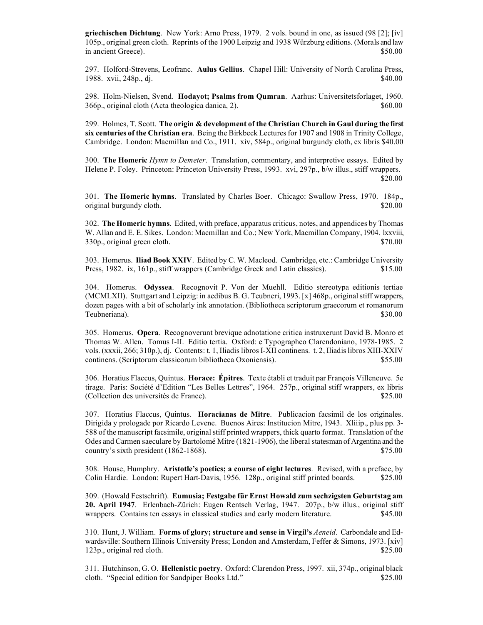**griechischen Dichtung**. New York: Arno Press, 1979. 2 vols. bound in one, as issued (98 [2]; [iv] 105p., original green cloth. Reprints of the 1900 Leipzig and 1938 Würzburg editions. (Morals and law in ancient Greece). \$50.00

297. Holford-Strevens, Leofranc. **Aulus Gellius**. Chapel Hill: University of North Carolina Press, 1988. xvii, 248p., dj. \$40.00

298. Holm-Nielsen, Svend. **Hodayot; Psalms from Qumran**. Aarhus: Universitetsforlaget, 1960. 366p., original cloth (Acta theologica danica, 2). \$60.00

299. Holmes, T. Scott. **The origin & development of the Christian Church in Gaul during the first six centuries of the Christian era**. Being the Birkbeck Lectures for 1907 and 1908 in Trinity College, Cambridge. London: Macmillan and Co., 1911. xiv, 584p., original burgundy cloth, ex libris \$40.00

300. **The Homeric** *Hymn to Demeter*. Translation, commentary, and interpretive essays. Edited by Helene P. Foley. Princeton: Princeton University Press, 1993. xvi, 297p., b/w illus., stiff wrappers. \$20.00

301. **The Homeric hymns**. Translated by Charles Boer. Chicago: Swallow Press, 1970. 184p., original burgundy cloth. \$20.00

302. **The Homeric hymns**. Edited, with preface, apparatus criticus, notes, and appendices by Thomas W. Allan and E. E. Sikes. London: Macmillan and Co.; New York, Macmillan Company, 1904. lxxviii, 330p., original green cloth. \$70.00

303. Homerus. **Iliad Book XXIV**. Edited by C. W. Macleod. Cambridge, etc.: Cambridge University Press, 1982. ix, 161p., stiff wrappers (Cambridge Greek and Latin classics). \$15.00

304. Homerus. **Odyssea**. Recognovit P. Von der Muehll. Editio stereotypa editionis tertiae (MCMLXII). Stuttgart and Leipzig: in aedibus B. G. Teubneri, 1993. [x] 468p., original stiff wrappers, dozen pages with a bit of scholarly ink annotation. (Bibliotheca scriptorum graecorum et romanorum Teubneriana). \$30.00

305. Homerus. **Opera**. Recognoverunt brevique adnotatione critica instruxerunt David B. Monro et Thomas W. Allen. Tomus I-II. Editio tertia. Oxford: e Typographeo Clarendoniano, 1978-1985. 2 vols. (xxxii, 266; 310p.), dj. Contents: t. 1, Iliadis libros I-XII continens. t. 2, Iliadis libros XIII-XXIV continens. (Scriptorum classicorum bibliotheca Oxoniensis). \$55.00

306. Horatius Flaccus, Quintus. **Horace: Épitres**. Texte établi et traduit par François Villeneuve. 5e tirage. Paris: Société d'Edition "Les Belles Lettres", 1964. 257p., original stiff wrappers, ex libris (Collection des universités de France). \$25.00

307. Horatius Flaccus, Quintus. **Horacianas de Mitre**. Publicacion facsimil de los originales. Dirigida y prologade por Ricardo Levene. Buenos Aires: Institucion Mitre, 1943. Xliiip., plus pp. 3- 588 of the manuscript facsimile, original stiff printed wrappers, thick quarto format. Translation of the Odes and Carmen saeculare by Bartolomé Mitre (1821-1906), the liberal statesman of Argentina and the country's sixth president (1862-1868). \$75.00

308. House, Humphry. **Aristotle's poetics; a course of eight lectures**. Revised, with a preface, by Colin Hardie. London: Rupert Hart-Davis, 1956. 128p., original stiff printed boards. \$25.00

309. (Howald Festschrift). **Eumusia; Festgabe für Ernst Howald zum sechzigsten Geburtstag am 20. April 1947**. Erlenbach-Zürich: Eugen Rentsch Verlag, 1947. 207p., b/w illus., original stiff wrappers. Contains ten essays in classical studies and early modern literature. \$45.00

310. Hunt, J. William. **Forms of glory; structure and sense in Virgil's** *Aeneid*. Carbondale and Edwardsville: Southern Illinois University Press; London and Amsterdam, Feffer & Simons, 1973. [xiv] 123p., original red cloth. \$25.00

311. Hutchinson, G. O. **Hellenistic poetry**. Oxford: Clarendon Press, 1997. xii, 374p., original black cloth. "Special edition for Sandpiper Books Ltd." \$25.00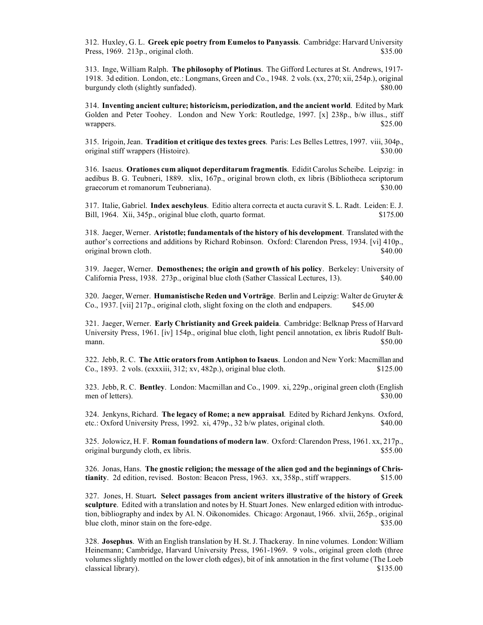312. Huxley, G. L. **Greek epic poetry from Eumelos to Panyassis**. Cambridge: Harvard University Press, 1969. 213p., original cloth. \$35.00

313. Inge, William Ralph. **The philosophy of Plotinus**. The Gifford Lectures at St. Andrews, 1917- 1918. 3d edition. London, etc.: Longmans, Green and Co., 1948. 2 vols. (xx, 270; xii, 254p.), original burgundy cloth (slightly sunfaded).  $$80.00$ 

314. **Inventing ancient culture; historicism, periodization, and the ancient world**. Edited by Mark Golden and Peter Toohey. London and New York: Routledge, 1997. [x] 238p., b/w illus., stiff wrappers. \$25.00

315. Irigoin, Jean. **Tradition et critique des textes grecs**. Paris: Les Belles Lettres, 1997. viii, 304p., original stiff wrappers (Histoire).  $\frac{1}{2}$  \$30.000

316. Isaeus. **Orationes cum aliquot deperditarum fragmentis**. Edidit Carolus Scheibe. Leipzig: in aedibus B. G. Teubneri, 1889. xlix, 167p., original brown cloth, ex libris (Bibliotheca scriptorum graecorum et romanorum Teubneriana).  $$30.00$ 

317. Italie, Gabriel. **Index aeschyleus**. Editio altera correcta et aucta curavit S. L. Radt. Leiden: E. J. Bill, 1964. Xii, 345p., original blue cloth, quarto format. \$175.00

318. Jaeger, Werner. **Aristotle; fundamentals of the history of his development**. Translated with the author's corrections and additions by Richard Robinson. Oxford: Clarendon Press, 1934. [vi] 410p., original brown cloth.  $\$40.00$ 

319. Jaeger, Werner. **Demosthenes; the origin and growth of his policy**. Berkeley: University of California Press, 1938. 273p., original blue cloth (Sather Classical Lectures, 13). \$40.00

320. Jaeger, Werner. **Humanistische Reden und Vorträge**. Berlin and Leipzig: Walter de Gruyter & Co., 1937. [vii] 217p., original cloth, slight foxing on the cloth and endpapers. \$45.00

321. Jaeger, Werner. **Early Christianity and Greek paideia**. Cambridge: Belknap Press of Harvard University Press, 1961. [iv] 154p., original blue cloth, light pencil annotation, ex libris Rudolf Bultmann.  $$50.00$ 

322. Jebb, R. C. **The Attic orators from Antiphon to Isaeus**. London and New York: Macmillan and Co., 1893. 2 vols. (cxxxiii, 312; xv, 482p.), original blue cloth. \$125.00

323. Jebb, R. C. **Bentley**. London: Macmillan and Co., 1909. xi, 229p., original green cloth (English men of letters). \$30.00

324. Jenkyns, Richard. **The legacy of Rome; a new appraisal**. Edited by Richard Jenkyns. Oxford, etc.: Oxford University Press, 1992. xi, 479p., 32 b/w plates, original cloth. \$40.00

325. Jolowicz, H. F. **Roman foundations of modern law**. Oxford: Clarendon Press, 1961. xx, 217p., original burgundy cloth, ex libris.  $$55.00$ 

326. Jonas, Hans. **The gnostic religion; the message of the alien god and the beginnings of Christianity**. 2d edition, revised. Boston: Beacon Press, 1963. xx, 358p., stiff wrappers. \$15.00

327. Jones, H. Stuart**. Select passages from ancient writers illustrative of the history of Greek sculpture**. Edited with a translation and notes by H. Stuart Jones. New enlarged edition with introduction, bibliography and index by Al. N. Oikonomides. Chicago: Argonaut, 1966. xlvii, 265p., original blue cloth, minor stain on the fore-edge.  $$35.00$ 

328. **Josephus**. With an English translation by H. St. J. Thackeray. In nine volumes. London: William Heinemann; Cambridge, Harvard University Press, 1961-1969. 9 vols., original green cloth (three volumes slightly mottled on the lower cloth edges), bit of ink annotation in the first volume (The Loeb classical library). \$135.00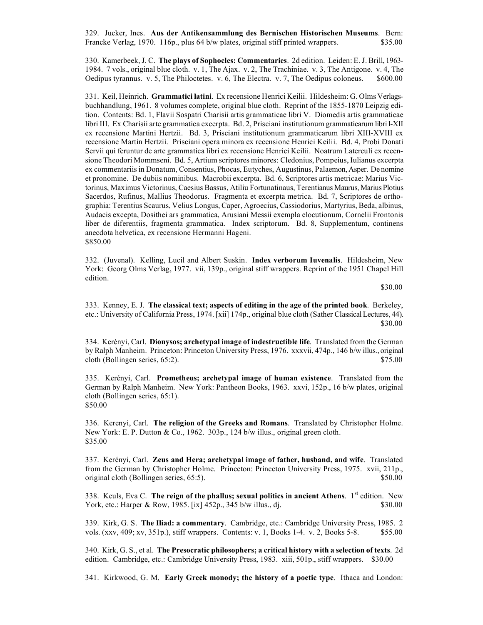329. Jucker, Ines. **Aus der Antikensammlung des Bernischen Historischen Museums**. Bern: Francke Verlag, 1970. 116p., plus 64 b/w plates, original stiff printed wrappers. \$35.00

330. Kamerbeek, J. C. **The plays of Sophocles: Commentaries**. 2d edition. Leiden: E. J. Brill, 1963- 1984. 7 vols., original blue cloth. v. 1, The Ajax. v. 2, The Trachiniae. v. 3, The Antigone. v. 4, The Oedipus tyrannus. v. 5, The Philoctetes. v. 6, The Electra. v. 7, The Oedipus coloneus. \$600.00

331. Keil, Heinrich. **Grammatici latini**. Ex recensione Henrici Keilii. Hildesheim: G. Olms Verlagsbuchhandlung, 1961. 8 volumes complete, original blue cloth. Reprint of the 1855-1870 Leipzig edition. Contents: Bd. 1, Flavii Sospatri Charisii artis grammaticae libri V. Diomedis artis grammaticae libri III. Ex Charisii arte grammatica excerpta. Bd. 2, Prisciani institutionum grammaticarum libri I-XII ex recensione Martini Hertzii. Bd. 3, Prisciani institutionum grammaticarum libri XIII-XVIII ex recensione Martin Hertzii. Prisciani opera minora ex recensione Henrici Keilii. Bd. 4, Probi Donati Servii qui feruntur de arte grammatica libri ex recensione Henrici Keilii. Noatrum Laterculi ex recensione Theodori Mommseni. Bd. 5, Artium scriptores minores: Cledonius, Pompeius, Iulianus excerpta ex commentariis in Donatum, Consentius, Phocas, Eutyches, Augustinus, Palaemon, Asper. De nomine et pronomine. De dubiis nominibus. Macrobii excerpta. Bd. 6, Scriptores artis metricae: Marius Victorinus, Maximus Victorinus, Caesius Bassus, Atiliu Fortunatinaus, Terentianus Maurus, Marius Plotius Sacerdos, Rufinus, Mallius Theodorus. Fragmenta et excerpta metrica. Bd. 7, Scriptores de orthographia: Terentius Scaurus, Velius Longus, Caper, Agroecius, Cassiodorius, Martyrius, Beda, albinus, Audacis excepta, Dosithei ars grammatica, Arusiani Messii exempla elocutionum, Cornelii Frontonis liber de diferentiis, fragmenta grammatica. Index scriptorum. Bd. 8, Supplementum, continens anecdota helvetica, ex recensione Hermanni Hageni. \$850.00

332. (Juvenal). Kelling, Lucil and Albert Suskin. **Index verborum Iuvenalis**. Hildesheim, New York: Georg Olms Verlag, 1977. vii, 139p., original stiff wrappers. Reprint of the 1951 Chapel Hill edition.

\$30.00

333. Kenney, E. J. **The classical text; aspects of editing in the age of the printed book**. Berkeley, etc.: University of California Press, 1974. [xii] 174p., original blue cloth (Sather Classical Lectures, 44). \$30.00

334. Kerényi, Carl. **Dionysos; archetypal image of indestructible life**. Translated from the German by Ralph Manheim. Princeton: Princeton University Press, 1976. xxxvii, 474p., 146 b/w illus., original cloth (Bollingen series,  $65:2$ ).  $$75.00$ 

335. Kerényi, Carl. **Prometheus; archetypal image of human existence**. Translated from the German by Ralph Manheim. New York: Pantheon Books, 1963. xxvi, 152p., 16 b/w plates, original cloth (Bollingen series, 65:1). \$50.00

336. Kerenyi, Carl. **The religion of the Greeks and Romans**. Translated by Christopher Holme. New York: E. P. Dutton & Co., 1962. 303p., 124 b/w illus., original green cloth. \$35.00

337. Kerényi, Carl. **Zeus and Hera; archetypal image of father, husband, and wife**. Translated from the German by Christopher Holme. Princeton: Princeton University Press, 1975. xvii, 211p., original cloth (Bollingen series, 65:5). \$50.00

338. Keuls, Eva C. **The reign of the phallus; sexual politics in ancient Athens**. 1<sup>st</sup> edition. New York, etc.: Harper & Row, 1985. [ix] 452p., 345 b/w illus., dj. \$30.00

339. Kirk, G. S. **The Iliad: a commentary**. Cambridge, etc.: Cambridge University Press, 1985. 2 vols. (xxv, 409; xv, 351p.), stiff wrappers. Contents: v. 1, Books 1-4. v. 2, Books 5-8. \$55.00

340. Kirk, G. S., et al. **The Presocratic philosophers; a critical history with a selection of texts**. 2d edition. Cambridge, etc.: Cambridge University Press, 1983. xiii, 501p., stiff wrappers. \$30.00

341. Kirkwood, G. M. **Early Greek monody; the history of a poetic type**. Ithaca and London: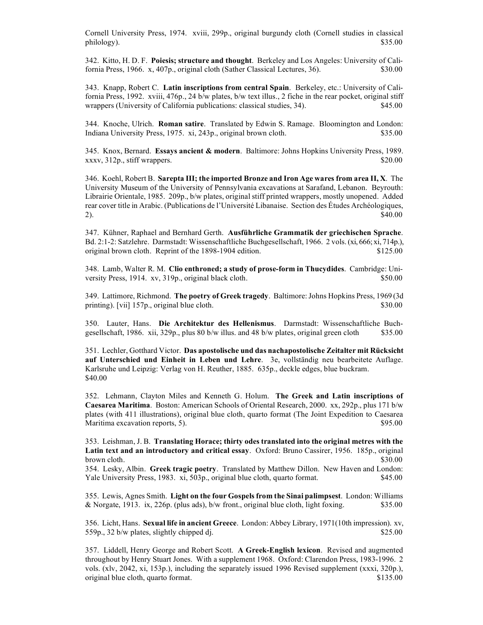Cornell University Press, 1974. xviii, 299p., original burgundy cloth (Cornell studies in classical philology). \$35.00

342. Kitto, H. D. F. **Poiesis; structure and thought**. Berkeley and Los Angeles: University of California Press, 1966. x, 407p., original cloth (Sather Classical Lectures, 36). \$30.00

343. Knapp, Robert C. **Latin inscriptions from central Spain**. Berkeley, etc.: University of California Press, 1992. xviii, 476p., 24 b/w plates, b/w text illus., 2 fiche in the rear pocket, original stiff wrappers (University of California publications: classical studies, 34). \$45.00

344. Knoche, Ulrich. **Roman satire**. Translated by Edwin S. Ramage. Bloomington and London: Indiana University Press, 1975. xi, 243p., original brown cloth. \$35.00

345. Knox, Bernard. **Essays ancient & modern**. Baltimore: Johns Hopkins University Press, 1989.  $xxxv$ ,  $312p$ , stiff wrappers.  $$20.00$ 

346. Koehl, Robert B. **Sarepta III; the imported Bronze and Iron Age wares from area II, X**. The University Museum of the University of Pennsylvania excavations at Sarafand, Lebanon. Beyrouth: Librairie Orientale, 1985. 209p., b/w plates, original stiff printed wrappers, mostly unopened. Added rear cover title in Arabic. (Publications de l'Université Libanaise. Section des Études Archéologiques, 2).  $\$40.00$ 

347. Kühner, Raphael and Bernhard Gerth. **Ausführliche Grammatik der griechischen Sprache**. Bd. 2:1-2: Satzlehre. Darmstadt: Wissenschaftliche Buchgesellschaft, 1966. 2 vols. (xi, 666; xi, 714p.), original brown cloth. Reprint of the 1898-1904 edition. \$125.00

348. Lamb, Walter R. M. **Clio enthroned; a study of prose-form in Thucydides**. Cambridge: University Press, 1914. xv, 319p., original black cloth. \$50.00

349. Lattimore, Richmond. **The poetry of Greek tragedy**. Baltimore: Johns Hopkins Press, 1969 (3d printing). [vii] 157p., original blue cloth.  $\$\,30.00$ 

350. Lauter, Hans. **Die Architektur des Hellenismus**. Darmstadt: Wissenschaftliche Buchgesellschaft, 1986. xii, 329p., plus 80 b/w illus. and 48 b/w plates, original green cloth \$35.00

351. Lechler, Gotthard Victor. **Das apostolische und das nachapostolische Zeitalter mit Rücksicht auf Unterschied und Einheit in Leben und Lehre**. 3e, vollständig neu bearbeitete Auflage. Karlsruhe und Leipzig: Verlag von H. Reuther, 1885. 635p., deckle edges, blue buckram. \$40.00

352. Lehmann, Clayton Miles and Kenneth G. Holum. **The Greek and Latin inscriptions of Caesarea Maritima**. Boston: American Schools of Oriental Research, 2000. xx, 292p., plus 171 b/w plates (with 411 illustrations), original blue cloth, quarto format (The Joint Expedition to Caesarea Maritima excavation reports, 5).  $\qquad$  895.00

353. Leishman, J. B. **Translating Horace; thirty odes translated into the original metres with the Latin text and an introductory and critical essay**. Oxford: Bruno Cassirer, 1956. 185p., original brown cloth.  $$30.00$ 354. Lesky, Albin. **Greek tragic poetry**. Translated by Matthew Dillon. New Haven and London: Yale University Press, 1983. xi, 503p., original blue cloth, quarto format. \$45.00

355. Lewis, Agnes Smith. **Light on the four Gospels from the Sinai palimpsest**. London: Williams & Norgate, 1913. ix, 226p. (plus ads), b/w front., original blue cloth, light foxing.  $$35.00$ 

356. Licht, Hans. **Sexual life in ancient Greece**. London: Abbey Library, 1971(10th impression). xv, 559p., 32 b/w plates, slightly chipped dj.  $$25.00$ 

357. Liddell, Henry George and Robert Scott. **A Greek-English lexicon**. Revised and augmented throughout by Henry Stuart Jones. With a supplement 1968. Oxford: Clarendon Press, 1983-1996. 2 vols. (xlv, 2042, xi, 153p.), including the separately issued 1996 Revised supplement (xxxi, 320p.), original blue cloth, quarto format. \$135.00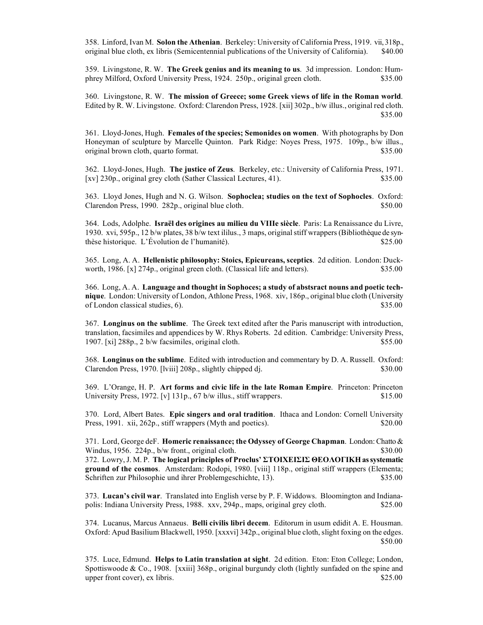358. Linford, Ivan M. **Solon the Athenian**. Berkeley: University of California Press, 1919. vii, 318p., original blue cloth, ex libris (Semicentennial publications of the University of California). \$40.00

359. Livingstone, R. W. **The Greek genius and its meaning to us**. 3d impression. London: Humphrey Milford, Oxford University Press, 1924. 250p., original green cloth. \$35.00

360. Livingstone, R. W. **The mission of Greece; some Greek views of life in the Roman world**. Edited by R. W. Livingstone. Oxford: Clarendon Press, 1928. [xii] 302p., b/w illus., original red cloth. \$35.00

361. Lloyd-Jones, Hugh. **Females of the species; Semonides on women**. With photographs by Don Honeyman of sculpture by Marcelle Quinton. Park Ridge: Noyes Press, 1975. 109p., b/w illus., original brown cloth, quarto format. \$35.00

362. Lloyd-Jones, Hugh. **The justice of Zeus**. Berkeley, etc.: University of California Press, 1971. [xv] 230p., original grey cloth (Sather Classical Lectures, 41). \$35.00

363. Lloyd Jones, Hugh and N. G. Wilson. **Sophoclea; studies on the text of Sophocles**. Oxford: Clarendon Press, 1990. 282p., original blue cloth. \$50.00

364. Lods, Adolphe. **Israël des origines au milieu du VIIIe siècle**. Paris: La Renaissance du Livre, 1930. xvi, 595p., 12 b/w plates, 38 b/w text ililus., 3 maps, original stiff wrappers (Bibliothèque de synthèse historique. L'Évolution de l'humanité). \$25.00

365. Long, A. A. **Hellenistic philosophy: Stoics, Epicureans, sceptics**. 2d edition. London: Duckworth, 1986. [x] 274p., original green cloth. (Classical life and letters). \$35.00

366. Long, A. A. **Language and thought in Sophoces; a study of abstsract nouns and poetic technique**. London: University of London, Athlone Press, 1968. xiv, 186p., original blue cloth (University of London classical studies,  $6$ ).  $$35.00$ 

367. **Longinus on the sublime**. The Greek text edited after the Paris manuscript with introduction, translation, facsimiles and appendices by W. Rhys Roberts. 2d edition. Cambridge: University Press, 1907. [xi] 288p., 2 b/w facsimiles, original cloth. \$55.00

368. **Longinus on the sublime**. Edited with introduction and commentary by D. A. Russell. Oxford: Clarendon Press, 1970. [lviii] 208p., slightly chipped dj. \$30.00

369. L'Orange, H. P. **Art forms and civic life in the late Roman Empire**. Princeton: Princeton University Press,  $1972$ . [v]  $131p$ .,  $67 b/w$  illus., stiff wrappers. \$15.00

370. Lord, Albert Bates. **Epic singers and oral tradition**. Ithaca and London: Cornell University Press, 1991. xii, 262p., stiff wrappers (Myth and poetics). \$20.00

371. Lord, George deF. **Homeric renaissance; the Odyssey of George Chapman**. London: Chatto & Windus,  $1956. 224p$ , b/w front., original cloth.  $$30.00$ 372. Lowry, J. M. P. **The logical principles of Proclus' ΣΤΟIΧΕIΣIΣ ΘΕΟΛΟΓIΚΗ as systematic ground of the cosmos**. Amsterdam: Rodopi, 1980. [viii] 118p., original stiff wrappers (Elementa; Schriften zur Philosophie und ihrer Problemgeschichte, 13). \$35.00

373. **Lucan's civil war**. Translated into English verse by P. F. Widdows. Bloomington and Indianapolis: Indiana University Press, 1988. xxv, 294p., maps, original grey cloth. \$25.00

374. Lucanus, Marcus Annaeus. **Belli civilis libri decem**. Editorum in usum edidit A. E. Housman. Oxford: Apud Basilium Blackwell, 1950. [xxxvi] 342p., original blue cloth, slight foxing on the edges. \$50.00

375. Luce, Edmund. **Helps to Latin translation at sight**. 2d edition. Eton: Eton College; London, Spottiswoode  $\&$  Co., 1908. [xxiii] 368p., original burgundy cloth (lightly sunfaded on the spine and upper front cover), ex libris. \$25.00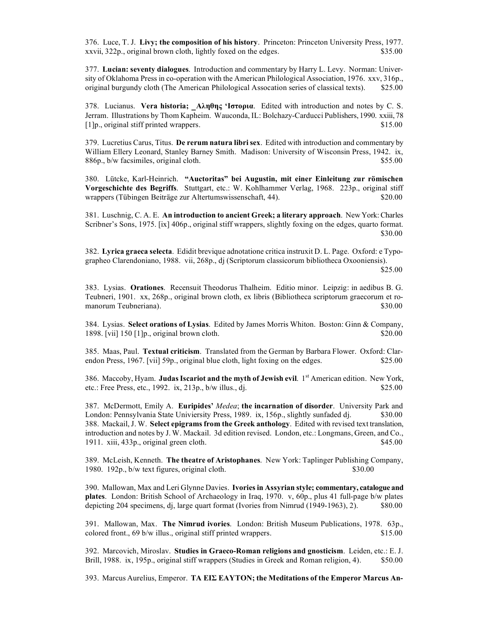376. Luce, T. J. **Livy; the composition of his history**. Princeton: Princeton University Press, 1977. xxvii, 322p., original brown cloth, lightly foxed on the edges. \$35.00

377. **Lucian: seventy dialogues**. Introduction and commentary by Harry L. Levy. Norman: University of Oklahoma Press in co-operation with the American Philological Association, 1976. xxv, 316p., original burgundy cloth (The American Philological Assocation series of classical texts). \$25.00

378. Lucianus. **Vera historia;** \_**Αληθης 'Iστoρια**. Edited with introduction and notes by C. S. Jerram. Illustrations by Thom Kapheim. Wauconda, IL: Bolchazy-Carducci Publishers, 1990. xxiii, 78 [1]p., original stiff printed wrappers. \$15.00

379. Lucretius Carus, Titus. **De rerum natura libri sex**. Edited with introduction and commentary by William Ellery Leonard, Stanley Barney Smith. Madison: University of Wisconsin Press, 1942. ix, 886p., b/w facsimiles, original cloth.  $$55.00$ 

380. Lütcke, Karl-Heinrich. **"Auctoritas" bei Augustin, mit einer Einleitung zur römischen Vorgeschichte des Begriffs**. Stuttgart, etc.: W. Kohlhammer Verlag, 1968. 223p., original stiff wrappers (Tübingen Beiträge zur Altertumswissenschaft, 44). \$20.00

381. Luschnig, C. A. E. **An introduction to ancient Greek; a literary approach**. New York: Charles Scribner's Sons, 1975. [ix] 406p., original stiff wrappers, slightly foxing on the edges, quarto format. \$30.00

382. **Lyrica graeca selecta**. Edidit brevique adnotatione critica instruxit D. L. Page. Oxford: e Typographeo Clarendoniano, 1988. vii, 268p., dj (Scriptorum classicorum bibliotheca Oxooniensis).

\$25.00

383. Lysias. **Orationes**. Recensuit Theodorus Thalheim. Editio minor. Leipzig: in aedibus B. G. Teubneri, 1901. xx, 268p., original brown cloth, ex libris (Bibliotheca scriptorum graecorum et romanorum Teubneriana). \$30.00

384. Lysias. **Select orations of Lysias**. Edited by James Morris Whiton. Boston: Ginn & Company, 1898. [vii] 150 [1]p., original brown cloth. \$20.00

385. Maas, Paul. **Textual criticism**. Translated from the German by Barbara Flower. Oxford: Clarendon Press, 1967. [vii] 59p., original blue cloth, light foxing on the edges. \$25.00

386. Maccoby, Hyam. **Judas Iscariot and the myth of Jewish evil**. 1<sup>st</sup> American edition. New York, etc.: Free Press, etc.,  $1992.$  ix,  $213p$ ,  $b/w$  illus., di.  $$25.00$ 

387. McDermott, Emily A. **Euripides'** *Medea*; **the incarnation of disorder**. University Park and London: Pennsylvania State Univiersity Press, 1989. ix, 156p., slightly sunfaded dj.  $\qquad$  \$30.00 388. Mackail, J. W. **Select epigrams from the Greek anthology**. Edited with revised text translation, introduction and notes by J. W. Mackail. 3d edition revised. London, etc.: Longmans, Green, and Co., 1911. xiii, 433p., original green cloth. \$45.00

389. McLeish, Kenneth. **The theatre of Aristophanes**. New York: Taplinger Publishing Company, 1980. 192p., b/w text figures, original cloth. \$30.00

390. Mallowan, Max and Leri Glynne Davies. **Ivories in Assyrian style; commentary, catalogue and plates**. London: British School of Archaeology in Iraq, 1970. v, 60p., plus 41 full-page b/w plates depicting 204 specimens, dj, large quart format (Ivories from Nimrud (1949-1963), 2). \$80.00

391. Mallowan, Max. **The Nimrud ivories**. London: British Museum Publications, 1978. 63p., colored front., 69 b/w illus., original stiff printed wrappers. \$15.00

392. Marcovich, Miroslav. **Studies in Graeco-Roman religions and gnosticism**. Leiden, etc.: E. J. Brill, 1988. ix, 195p., original stiff wrappers (Studies in Greek and Roman religion, 4). \$50.00

393. Marcus Aurelius, Emperor. **ΤΑ ΕIΣ ΕΑΥΤΟΝ; the Meditations of the Emperor Marcus An-**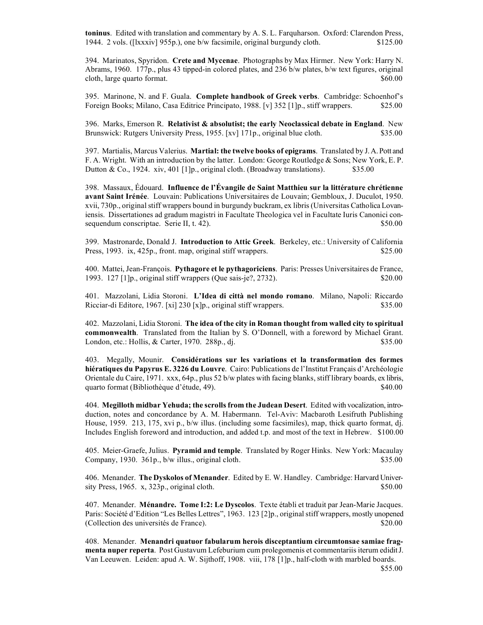**toninus**. Edited with translation and commentary by A. S. L. Farquharson. Oxford: Clarendon Press, 1944. 2 vols. ([lxxxiv] 955p.), one b/w facsimile, original burgundy cloth. \$125.00

394. Marinatos, Spyridon. **Crete and Mycenae**. Photographs by Max Hirmer. New York: Harry N. Abrams, 1960. 177p., plus 43 tipped-in colored plates, and 236 b/w plates, b/w text figures, original cloth, large quarto format.  $$60.00$ 

395. Marinone, N. and F. Guala. **Complete handbook of Greek verbs**. Cambridge: Schoenhof's Foreign Books; Milano, Casa Editrice Principato, 1988. [v] 352 [1]p., stiff wrappers. \$25.00

396. Marks, Emerson R. **Relativist & absolutist; the early Neoclassical debate in England**. New Brunswick: Rutgers University Press, 1955. [xv] 171p., original blue cloth. \$35.00

397. Martialis, Marcus Valerius. **Martial: the twelve books of epigrams**. Translated by J. A. Pott and F. A. Wright. With an introduction by the latter. London: George Routledge & Sons; New York, E. P. Dutton & Co., 1924. xiv, 401 [1]p., original cloth. (Broadway translations).  $$35.00$ 

398. Massaux, Édouard. **Influence de l'Évangile de Saint Matthieu sur la littérature chrétienne avant Saint Irénée**. Louvain: Publications Universitaires de Louvain; Gembloux, J. Duculot, 1950. xvii, 730p., original stiff wrappers bound in burgundy buckram, ex libris (Universitas Catholica Lovaniensis. Dissertationes ad gradum magistri in Facultate Theologica vel in Facultate Iuris Canonici consequendum conscriptae. Serie II, t. 42). \$50.00

399. Mastronarde, Donald J. **Introduction to Attic Greek**. Berkeley, etc.: University of California Press, 1993. ix, 425p., front. map, original stiff wrappers. \$25.00

400. Mattei, Jean-François. **Pythagore et le pythagoriciens**. Paris: Presses Universitaires de France, 1993. 127 [1]p., original stiff wrappers (Que sais-je?, 2732). \$20.00

401. Mazzolani, Lidia Storoni. **L'Idea di città nel mondo romano**. Milano, Napoli: Riccardo Ricciar-di Editore, 1967. [xi] 230 [x]p., original stiff wrappers. \$35.00

402. Mazzolani, Lidia Storoni. **The idea of the city in Roman thought from walled city to spiritual commonwealth**. Translated from the Italian by S. O'Donnell, with a foreword by Michael Grant. London, etc.: Hollis, & Carter, 1970. 288p., dj.  $$35.00$ 

403. Megally, Mounir. **Considérations sur les variations et la transformation des formes hiératiques du Papyrus E. 3226 du Louvre**. Cairo: Publications de l'Institut Français d'Archéologie Orientale du Caire, 1971. xxx, 64p., plus 52 b/w plates with facing blanks, stiff library boards, ex libris, quarto format (Bibliothèque d'étude, 49). \$40.00

404. **Megilloth midbar Yehuda; the scrolls from the Judean Desert**. Edited with vocalization, introduction, notes and concordance by A. M. Habermann. Tel-Aviv: Macbaroth Lesifruth Publishing House, 1959. 213, 175, xvi p., b/w illus. (including some facsimiles), map, thick quarto format, dj. Includes English foreword and introduction, and added t.p. and most of the text in Hebrew. \$100.00

405. Meier-Graefe, Julius. **Pyramid and temple**. Translated by Roger Hinks. New York: Macaulay Company, 1930. 361p., b/w illus., original cloth. \$35.00

406. Menander. **The Dyskolos of Menander**. Edited by E. W. Handley. Cambridge: Harvard Univer $s$  sity Press, 1965. x, 323p., original cloth.  $$50.00$ 

407. Menander. **Ménandre. Tome I:2: Le Dyscolos**. Texte établi et traduit par Jean-Marie Jacques. Paris: Société d'Edition "Les Belles Lettres", 1963. 123 [2]p., original stiff wrappers, mostly unopened (Collection des universités de France). \$20.00

408. Menander. **Menandri quatuor fabularum herois disceptantium circumtonsae samiae fragmenta nuper reperta**. Post Gustavum Lefeburium cum prolegomenis et commentariis iterum edidit J. Van Leeuwen. Leiden: apud A. W. Sijthoff, 1908. viii, 178 [1]p., half-cloth with marbled boards.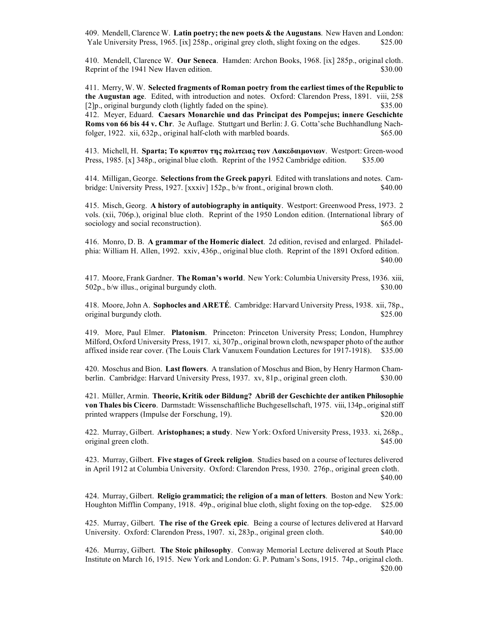409. Mendell, Clarence W. **Latin poetry; the new poets & the Augustans**. New Haven and London: Yale University Press, 1965. [ix] 258p., original grey cloth, slight foxing on the edges. \$25.00

410. Mendell, Clarence W. **Our Seneca**. Hamden: Archon Books, 1968. [ix] 285p., original cloth. Reprint of the 1941 New Haven edition. \$30.00

411. Merry, W. W. **Selected fragments of Roman poetry from the earliest times of the Republic to the Augustan age**. Edited, with introduction and notes. Oxford: Clarendon Press, 1891. viii, 258  $[2]p$ , original burgundy cloth (lightly faded on the spine).  $$35.00$ 

412. Meyer, Eduard. **Caesars Monarchie und das Principat des Pompejus; innere Geschichte Roms von 66 bis 44 v. Chr**. 3e Auflage. Stuttgart und Berlin: J. G. Cotta'sche Buchhandlung Nachfolger, 1922. xii, 632p., original half-cloth with marbled boards. \$65.00

413. Michell, H. **Sparta; Τo κρυπτov της πoλιτειας τωv Λακεδαιµovιωv**. Westport: Green-wood Press, 1985. [x] 348p., original blue cloth. Reprint of the 1952 Cambridge edition. \$35.00

414. Milligan, George. **Selections from the Greek papyri**. Edited with translations and notes. Cambridge: University Press, 1927. [xxxiv] 152p., b/w front., original brown cloth. \$40.00

415. Misch, Georg. **A history of autobiography in antiquity**. Westport: Greenwood Press, 1973. 2 vols. (xii, 706p.), original blue cloth. Reprint of the 1950 London edition. (International library of sociology and social reconstruction).  $$65.00$ 

416. Monro, D. B. **A grammar of the Homeric dialect**. 2d edition, revised and enlarged. Philadelphia: William H. Allen, 1992. xxiv, 436p., original blue cloth. Reprint of the 1891 Oxford edition. \$40.00

417. Moore, Frank Gardner. **The Roman's world**. New York: Columbia University Press, 1936. xiii, 502p., b/w illus., original burgundy cloth. \$30.00

418. Moore, John A. **Sophocles and ARETÉ**. Cambridge: Harvard University Press, 1938. xii, 78p., original burgundy cloth. \$25.00

419. More, Paul Elmer. **Platonism**. Princeton: Princeton University Press; London, Humphrey Milford, Oxford University Press, 1917. xi, 307p., original brown cloth, newspaper photo of the author affixed inside rear cover. (The Louis Clark Vanuxem Foundation Lectures for 1917-1918). \$35.00

420. Moschus and Bion. **Last flowers**. A translation of Moschus and Bion, by Henry Harmon Chamberlin. Cambridge: Harvard University Press, 1937. xv, 81p., original green cloth. \$30.00

421. Müller, Armin. **Theorie, Kritik oder Bildung? Abriß der Geschichte der antiken Philosophie von Thales bis Cicero**. Darmstadt: Wissenschaftliche Buchgesellschaft, 1975. viii, 134p., original stiff printed wrappers (Impulse der Forschung, 19). \$20.00

422. Murray, Gilbert. **Aristophanes; a study**. New York: Oxford University Press, 1933. xi, 268p., original green cloth.  $$45.00$ 

423. Murray, Gilbert. **Five stages of Greek religion**. Studies based on a course of lectures delivered in April 1912 at Columbia University. Oxford: Clarendon Press, 1930. 276p., original green cloth. \$40.00

424. Murray, Gilbert. **Religio grammatici; the religion of a man of letters**. Boston and New York: Houghton Mifflin Company, 1918. 49p., original blue cloth, slight foxing on the top-edge. \$25.00

425. Murray, Gilbert. **The rise of the Greek epic**. Being a course of lectures delivered at Harvard University. Oxford: Clarendon Press, 1907. xi, 283p., original green cloth. \$40.00

426. Murray, Gilbert. **The Stoic philosophy**. Conway Memorial Lecture delivered at South Place Institute on March 16, 1915. New York and London: G. P. Putnam's Sons, 1915. 74p., original cloth. \$20.00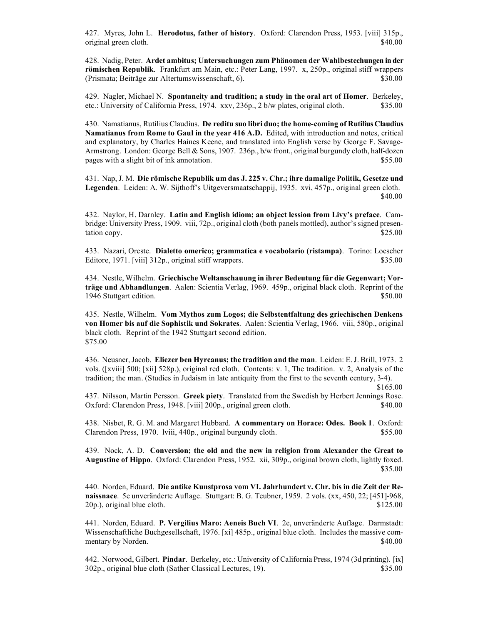427. Myres, John L. **Herodotus, father of history**. Oxford: Clarendon Press, 1953. [viii] 315p., original green cloth. \$40.00

428. Nadig, Peter. **Ardet ambitus; Untersuchungen zum Phänomen der Wahlbestechungen in der römischen Republik**. Frankfurt am Main, etc.: Peter Lang, 1997. x, 250p., original stiff wrappers (Prismata; Beiträge zur Altertumswissenschaft, 6). \$30.00

429. Nagler, Michael N. **Spontaneity and tradition; a study in the oral art of Homer**. Berkeley, etc.: University of California Press, 1974. xxv, 236p., 2 b/w plates, original cloth. \$35.00

430. Namatianus, Rutilius Claudius. **De reditu suo libri duo; the home-coming of Rutilius Claudius Namatianus from Rome to Gaul in the year 416 A.D.** Edited, with introduction and notes, critical and explanatory, by Charles Haines Keene, and translated into English verse by George F. Savage-Armstrong. London: George Bell & Sons, 1907. 236p., b/w front., original burgundy cloth, half-dozen pages with a slight bit of ink annotation. \$55.00

431. Nap, J. M. **Die römische Republik um das J. 225 v. Chr.; ihre damalige Politik, Gesetze und Legenden**. Leiden: A. W. Sijthoff's Uitgeversmaatschappij, 1935. xvi, 457p., original green cloth. \$40.00

432. Naylor, H. Darnley. **Latin and English idiom; an object lession from Livy's preface**. Cambridge: University Press, 1909. viii, 72p., original cloth (both panels mottled), author's signed presentation copy. \$25.00

433. Nazari, Oreste. **Dialetto omerico; grammatica e vocabolario (ristampa)**. Torino: Loescher Editore, 1971. [viii] 312p., original stiff wrappers.  $$35.00$ 

434. Nestle, Wilhelm. **Griechische Weltanschauung in ihrer Bedeutung für die Gegenwart; Vorträge und Abhandlungen**. Aalen: Scientia Verlag, 1969. 459p., original black cloth. Reprint of the 1946 Stuttgart edition. \$50.00

435. Nestle, Wilhelm. **Vom Mythos zum Logos; die Selbstentfaltung des griechischen Denkens von Homer bis auf die Sophistik und Sokrates**. Aalen: Scientia Verlag, 1966. viii, 580p., original black cloth. Reprint of the 1942 Stuttgart second edition. \$75.00

436. Neusner, Jacob. **Eliezer ben Hyrcanus; the tradition and the man**. Leiden: E. J. Brill, 1973. 2 vols. ([xviii] 500; [xii] 528p.), original red cloth. Contents: v. 1, The tradition. v. 2, Analysis of the tradition; the man. (Studies in Judaism in late antiquity from the first to the seventh century, 3-4).

437. Nilsson, Martin Persson. **Greek piety**. Translated from the Swedish by Herbert Jennings Rose. Oxford: Clarendon Press, 1948. [viii] 200p., original green cloth. \$40.00

438. Nisbet, R. G. M. and Margaret Hubbard. **A commentary on Horace: Odes. Book 1**. Oxford: Clarendon Press, 1970. lviii, 440p., original burgundy cloth. \$55.00

439. Nock, A. D. **Conversion; the old and the new in religion from Alexander the Great to Augustine of Hippo**. Oxford: Clarendon Press, 1952. xii, 309p., original brown cloth, lightly foxed. \$35.00

440. Norden, Eduard. **Die antike Kunstprosa vom VI. Jahrhundert v. Chr. bis in die Zeit der Renaissnace**. 5e unveränderte Auflage. Stuttgart: B. G. Teubner, 1959. 2 vols. (xx, 450, 22; [451]-968, 20p.), original blue cloth. \$125.00

441. Norden, Eduard. **P. Vergilius Maro: Aeneis Buch VI**. 2e, unveränderte Auflage. Darmstadt: Wissenschaftliche Buchgesellschaft, 1976. [xi] 485p., original blue cloth. Includes the massive commentary by Norden.  $\degree$ 

442. Norwood, Gilbert. **Pindar**. Berkeley, etc.: University of California Press, 1974 (3d printing). [ix] 302p., original blue cloth (Sather Classical Lectures, 19). \$35.00

 <sup>\$165.00</sup>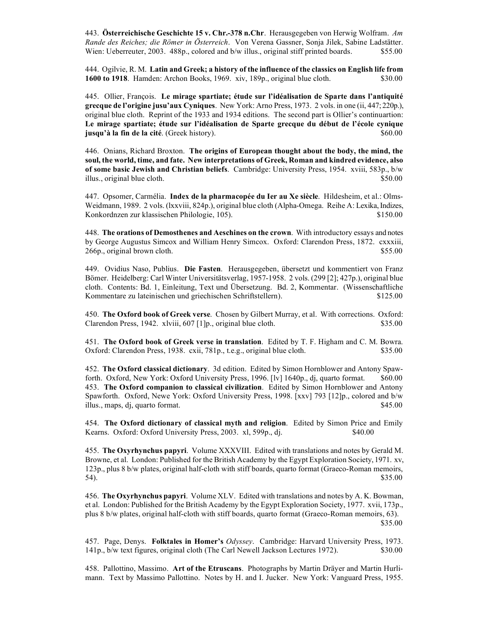443. **Österreichische Geschichte 15 v. Chr.-378 n.Chr**. Herausgegeben von Herwig Wolfram. *Am Rande des Reiches; die Römer in Österreich*. Von Verena Gassner, Sonja Jilek, Sabine Ladstätter. Wien: Ueberreuter, 2003. 488p., colored and b/w illus., original stiff printed boards. \$55.00

444. Ogilvie, R. M. **Latin and Greek; a history of the influence of the classics on English life from 1600 to 1918**. Hamden: Archon Books, 1969. xiv, 189p., original blue cloth. \$30.00

445. Ollier, François. **Le mirage spartiate; étude sur l'idéalisation de Sparte dans l'antiquité grecque de l'origine jusu'aux Cyniques**. New York: Arno Press, 1973. 2 vols. in one (ii, 447; 220p.), original blue cloth. Reprint of the 1933 and 1934 editions. The second part is Ollier's continuartion: **Le mirage spartiate; étude sur l'idéalisation de Sparte grecque du début de l'école cynique jusqu'à la fin de la cité**. (Greek history).  $$60.00$ 

446. Onians, Richard Broxton. **The origins of European thought about the body, the mind, the soul, the world, time, and fate. New interpretations of Greek, Roman and kindred evidence, also of some basic Jewish and Christian beliefs**. Cambridge: University Press, 1954. xviii, 583p., b/w illus., original blue cloth. \$50.00

447. Opsomer, Carmélia. **Index de la pharmacopée du Ier au Xe siècle**. Hildesheim, et al.: Olms-Weidmann, 1989. 2 vols. (lxxviii, 824p.), original blue cloth (Alpha-Omega. Reihe A: Lexika, Indizes, Konkordnzen zur klassischen Philologie, 105). \$150.00

448. **The orations of Demosthenes and Aeschines on the crown**. With introductory essays and notes by George Augustus Simcox and William Henry Simcox. Oxford: Clarendon Press, 1872. cxxxiii, 266p., original brown cloth.  $$55.00$ 

449. Ovidius Naso, Publius. **Die Fasten**. Herausgegeben, übersetzt und kommentiert von Franz Bömer. Heidelberg: Carl Winter Universitätsverlag, 1957-1958. 2 vols. (299 [2]; 427p.), original blue cloth. Contents: Bd. 1, Einleitung, Text und Übersetzung. Bd. 2, Kommentar. (Wissenschaftliche Kommentare zu lateinischen und griechischen Schriftstellern). \$125.00

450. **The Oxford book of Greek verse**. Chosen by Gilbert Murray, et al. With corrections. Oxford: Clarendon Press, 1942. xlviii, 607 [1]p., original blue cloth. \$35.00

451. **The Oxford book of Greek verse in translation**. Edited by T. F. Higham and C. M. Bowra. Oxford: Clarendon Press, 1938. cxii, 781p., t.e.g., original blue cloth. \$35.00

452. **The Oxford classical dictionary**. 3d edition. Edited by Simon Hornblower and Antony Spawforth. Oxford, New York: Oxford University Press, 1996. [lv] 1640p., dj, quarto format. \$60.00 453. **The Oxford companion to classical civilization**. Edited by Simon Hornblower and Antony Spawforth. Oxford, Newe York: Oxford University Press, 1998. [xxv] 793 [12]p., colored and b/w illus., maps, dj, quarto format. \$45.00

454. **The Oxford dictionary of classical myth and religion**. Edited by Simon Price and Emily Kearns. Oxford: Oxford University Press, 2003. xl, 599p., dj.  $$40.00$ 

455. **The Oxyrhynchus papyri**. Volume XXXVIII. Edited with translations and notes by Gerald M. Browne, et al. London: Published for the British Academy by the Egypt Exploration Society, 1971. xv, 123p., plus 8 b/w plates, original half-cloth with stiff boards, quarto format (Graeco-Roman memoirs,  $54$ ).  $$35.00$ 

456. **The Oxyrhynchus papyri**. Volume XLV. Edited with translations and notes by A. K. Bowman, et al. London: Published for the British Academy by the Egypt Exploration Society, 1977. xvii, 173p., plus 8 b/w plates, original half-cloth with stiff boards, quarto format (Graeco-Roman memoirs, 63). \$35.00

457. Page, Denys. **Folktales in Homer's** *Odyssey*. Cambridge: Harvard University Press, 1973. 141p., b/w text figures, original cloth (The Carl Newell Jackson Lectures 1972). \$30.00

458. Pallottino, Massimo. **Art of the Etruscans**. Photographs by Martin Dräyer and Martin Hurlimann. Text by Massimo Pallottino. Notes by H. and I. Jucker. New York: Vanguard Press, 1955.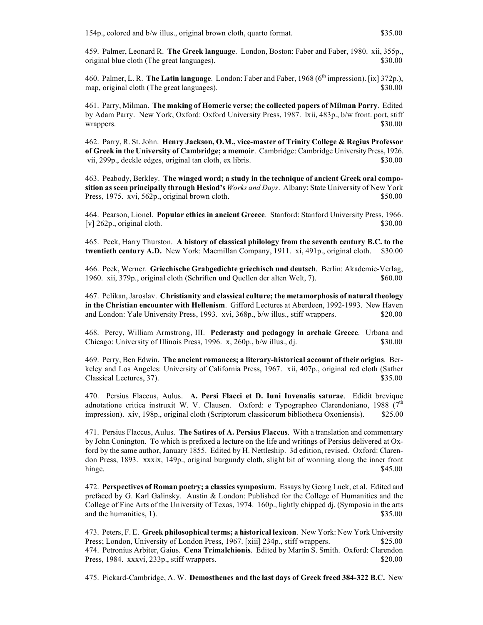459. Palmer, Leonard R. **The Greek language**. London, Boston: Faber and Faber, 1980. xii, 355p., original blue cloth (The great languages). \$30.00

460. Palmer, L. R. **The Latin language**. London: Faber and Faber, 1968 (6<sup>th</sup> impression). [ix] 372p.), map, original cloth (The great languages). \$30.00

461. Parry, Milman. **The making of Homeric verse; the collected papers of Milman Parry**. Edited by Adam Parry. New York, Oxford: Oxford University Press, 1987. lxii, 483p., b/w front. port, stiff wrappers. \$30.00

462. Parry, R. St. John. **Henry Jackson, O.M., vice-master of Trinity College & Regius Professor of Greek in the University of Cambridge; a memoir**. Cambridge: Cambridge University Press, 1926. vii, 299p., deckle edges, original tan cloth, ex libris. \$30.000 \$30.00

463. Peabody, Berkley. **The winged word; a study in the technique of ancient Greek oral composition as seen principally through Hesiod's** *Works and Days*. Albany: State University of New York Press, 1975. xvi, 562p., original brown cloth. \$50.00

464. Pearson, Lionel. **Popular ethics in ancient Greece**. Stanford: Stanford University Press, 1966.  $[v]$  262p., original cloth. \$30.00

465. Peck, Harry Thurston. **A history of classical philology from the seventh century B.C. to the twentieth century A.D.** New York: Macmillan Company, 1911. xi, 491p., original cloth. \$30.00

466. Peek, Werner. **Griechische Grabgedichte griechisch und deutsch**. Berlin: Akademie-Verlag, 1960. xii, 379p., original cloth (Schriften und Quellen der alten Welt, 7). \$60.00

467. Pelikan, Jaroslav. **Christianity and classical culture; the metamorphosis of natural theology in the Christian encounter with Hellenism**. Gifford Lectures at Aberdeen, 1992-1993. New Haven and London: Yale University Press, 1993. xvi, 368p., b/w illus., stiff wrappers. \$20.00

468. Percy, William Armstrong, III. **Pederasty and pedagogy in archaic Greece**. Urbana and Chicago: University of Illinois Press, 1996. x, 260p., b/w illus., dj. \$30.00

469. Perry, Ben Edwin. **The ancient romances; a literary-historical account of their origins**. Berkeley and Los Angeles: University of California Press, 1967. xii, 407p., original red cloth (Sather Classical Lectures, 37). \$35.00

470. Persius Flaccus, Aulus. **A. Persi Flacci et D. Iuni Iuvenalis saturae**. Edidit brevique adnotatione critica instruxit W. V. Clausen. Oxford: e Typographeo Clarendoniano, 1988 ( $7<sup>th</sup>$ impression). xiv, 198p., original cloth (Scriptorum classicorum bibliotheca Oxoniensis). \$25.00

471. Persius Flaccus, Aulus. **The Satires of A. Persius Flaccus**. With a translation and commentary by John Conington. To which is prefixed a lecture on the life and writings of Persius delivered at Oxford by the same author, January 1855. Edited by H. Nettleship. 3d edition, revised. Oxford: Clarendon Press, 1893. xxxix, 149p., original burgundy cloth, slight bit of worming along the inner front hinge. SAS.00

472. **Perspectives of Roman poetry; a classics symposium**. Essays by Georg Luck, et al. Edited and prefaced by G. Karl Galinsky. Austin & London: Published for the College of Humanities and the College of Fine Arts of the University of Texas, 1974. 160p., lightly chipped dj. (Symposia in the arts and the humanities, 1). \$35.00

473. Peters, F. E. **Greek philosophical terms; a historical lexicon**. New York: New York University Press; London, University of London Press, 1967. [xiii] 234p., stiff wrappers. \$25.00 474. Petronius Arbiter, Gaius. **Cena Trimalchionis**. Edited by Martin S. Smith. Oxford: Clarendon Press, 1984. xxxvi, 233p., stiff wrappers. \$20.00

475. Pickard-Cambridge, A. W. **Demosthenes and the last days of Greek freed 384-322 B.C.** New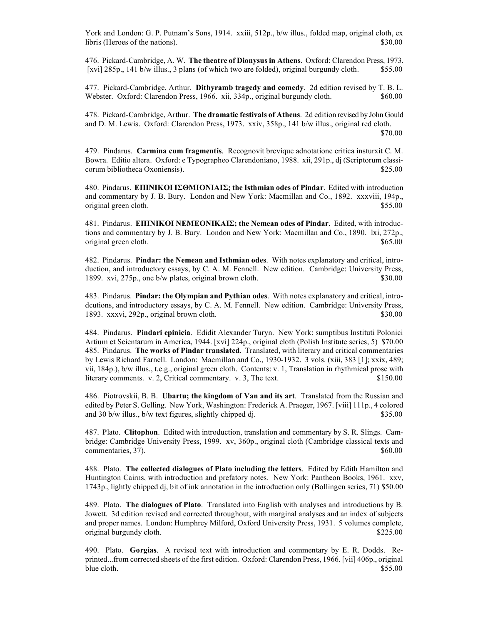York and London: G. P. Putnam's Sons, 1914. xxiii, 512p., b/w illus., folded map, original cloth, ex libris (Heroes of the nations). \$30.00

476. Pickard-Cambridge, A. W. **The theatre of Dionysus in Athens**. Oxford: Clarendon Press, 1973. [xvi] 285p., 141 b/w illus., 3 plans (of which two are folded), original burgundy cloth. \$55.00

477. Pickard-Cambridge, Arthur. **Dithyramb tragedy and comedy**. 2d edition revised by T. B. L. Webster. Oxford: Clarendon Press, 1966. xii, 334p., original burgundy cloth. \$60.00

478. Pickard-Cambridge, Arthur. **The dramatic festivals of Athens**. 2d edition revised by John Gould and D. M. Lewis. Oxford: Clarendon Press, 1973. xxiv, 358p., 141 b/w illus., original red cloth. \$70.00

479. Pindarus. **Carmina cum fragmentis**. Recognovit brevique adnotatione critica insturxit C. M. Bowra. Editio altera. Oxford: e Typographeo Clarendoniano, 1988. xii, 291p., dj (Scriptorum classicorum bibliotheca Oxoniensis). \$25.00

480. Pindarus. **ΕΠIΝIΚΟI IΣΘΜIΟΝIΑIΣ; the Isthmian odes of Pindar**. Edited with introduction and commentary by J. B. Bury. London and New York: Macmillan and Co., 1892. xxxviii, 194p., original green cloth.  $$55.00$ 

481. Pindarus. **ΕΠIΝIΚΟI ΝΕΜΕΟΝIΚΑIΣ; the Nemean odes of Pindar**. Edited, with introductions and commentary by J. B. Bury. London and New York: Macmillan and Co., 1890. lxi, 272p., original green cloth.  $\$65.00$ 

482. Pindarus. **Pindar: the Nemean and Isthmian odes**. With notes explanatory and critical, introduction, and introductory essays, by C. A. M. Fennell. New edition. Cambridge: University Press, 1899. xvi, 275p., one b/w plates, original brown cloth. \$30.00

483. Pindarus. **Pindar: the Olympian and Pythian odes**. With notes explanatory and critical, introdcutions, and introductory essays, by C. A. M. Fennell. New edition. Cambridge: University Press, 1893. xxxvi, 292p., original brown cloth.  $\frac{1893}{180.00}$ 

484. Pindarus. **Pindari epinicia**. Edidit Alexander Turyn. New York: sumptibus Instituti Polonici Artium et Scientarum in America, 1944. [xvi] 224p., original cloth (Polish Institute series, 5) \$70.00 485. Pindarus. **The works of Pindar translated**. Translated, with literary and critical commentaries by Lewis Richard Farnell. London: Macmillan and Co., 1930-1932. 3 vols. (xiii, 383 [1]; xxix, 489; vii, 184p.), b/w illus., t.e.g., original green cloth. Contents: v. 1, Translation in rhythmical prose with literary comments. v. 2, Critical commentary. v. 3, The text. \$150.00

486. Piotrovskii, B. B. **Ubartu; the kingdom of Van and its art**. Translated from the Russian and edited by Peter S. Gelling. New York, Washington: Frederick A. Praeger, 1967. [viii] 111p., 4 colored and 30 b/w illus., b/w text figures, slightly chipped dj.  $$35.00$ 

487. Plato. **Clitophon**. Edited with introduction, translation and commentary by S. R. Slings. Cambridge: Cambridge University Press, 1999. xv, 360p., original cloth (Cambridge classical texts and commentaries, 37). \$60.00

488. Plato. **The collected dialogues of Plato including the letters**. Edited by Edith Hamilton and Huntington Cairns, with introduction and prefatory notes. New York: Pantheon Books, 1961. xxv, 1743p., lightly chipped dj, bit of ink annotation in the introduction only (Bollingen series, 71) \$50.00

489. Plato. **The dialogues of Plato**. Translated into English with analyses and introductions by B. Jowett. 3d edition revised and corrected throughout, with marginal analyses and an index of subjects and proper names. London: Humphrey Milford, Oxford University Press, 1931. 5 volumes complete, original burgundy cloth.  $$225.00$ 

490. Plato. **Gorgias**. A revised text with introduction and commentary by E. R. Dodds. Reprinted...from corrected sheets of the first edition. Oxford: Clarendon Press, 1966. [vii] 406p., original blue cloth. \$55.00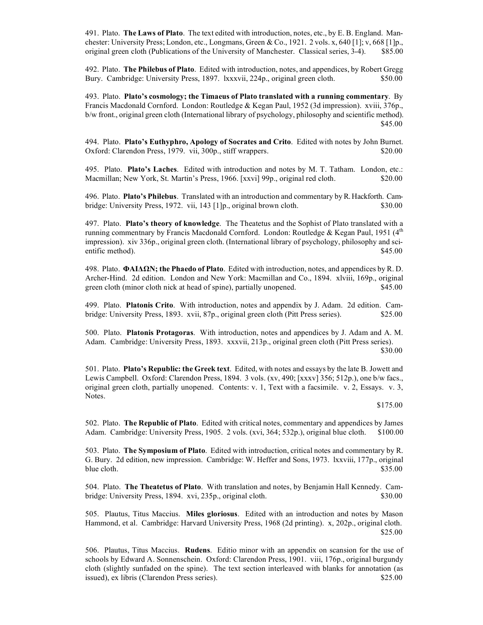491. Plato. **The Laws of Plato**. The text edited with introduction, notes, etc., by E. B. England. Manchester: University Press; London, etc., Longmans, Green & Co., 1921. 2 vols. x, 640 [1]; v, 668 [1]p., original green cloth (Publications of the University of Manchester. Classical series, 3-4). \$85.00

492. Plato. **The Philebus of Plato**. Edited with introduction, notes, and appendices, by Robert Gregg Bury. Cambridge: University Press, 1897. lxxxvii, 224p., original green cloth. \$50.00

493. Plato. **Plato's cosmology; the Timaeus of Plato translated with a running commentary**. By Francis Macdonald Cornford. London: Routledge & Kegan Paul, 1952 (3d impression). xviii, 376p., b/w front., original green cloth (International library of psychology, philosophy and scientific method). \$45.00

494. Plato. **Plato's Euthyphro, Apology of Socrates and Crito**. Edited with notes by John Burnet. Oxford: Clarendon Press, 1979. vii, 300p., stiff wrappers. \$20.00

495. Plato. **Plato's Laches**. Edited with introduction and notes by M. T. Tatham. London, etc.: Macmillan; New York, St. Martin's Press, 1966. [xxvi] 99p., original red cloth. \$20.00

496. Plato. **Plato's Philebus**. Translated with an introduction and commentary by R. Hackforth. Cambridge: University Press, 1972. vii, 143 [1]p., original brown cloth. \$30.00

497. Plato. **Plato's theory of knowledge**. The Theatetus and the Sophist of Plato translated with a running commentnary by Francis Macdonald Cornford. London: Routledge & Kegan Paul, 1951 ( $4<sup>th</sup>$ impression). xiv 336p., original green cloth. (International library of psychology, philosophy and scientific method). \$45.00

498. Plato. **ΦΑIΔΩΝ; the Phaedo of Plato**. Edited with introduction, notes, and appendices by R. D. Archer-Hind. 2d edition. London and New York: Macmillan and Co., 1894. xlviii, 169p., original green cloth (minor cloth nick at head of spine), partially unopened. \$45.00

499. Plato. **Platonis Crito**. With introduction, notes and appendix by J. Adam. 2d edition. Cambridge: University Press, 1893. xvii, 87p., original green cloth (Pitt Press series). \$25.00

500. Plato. **Platonis Protagoras**. With introduction, notes and appendices by J. Adam and A. M. Adam. Cambridge: University Press, 1893. xxxvii, 213p., original green cloth (Pitt Press series). \$30.00

501. Plato. **Plato's Republic: the Greek text**. Edited, with notes and essays by the late B. Jowett and Lewis Campbell. Oxford: Clarendon Press, 1894. 3 vols. (xv, 490; [xxxv] 356; 512p.), one b/w facs., original green cloth, partially unopened. Contents: v. 1, Text with a facsimile. v. 2, Essays. v. 3, Notes.

\$175.00

502. Plato. **The Republic of Plato**. Edited with critical notes, commentary and appendices by James Adam. Cambridge: University Press, 1905. 2 vols. (xvi, 364; 532p.), original blue cloth. \$100.00

503. Plato. **The Symposium of Plato**. Edited with introduction, critical notes and commentary by R. G. Bury. 2d edition, new impression. Cambridge: W. Heffer and Sons, 1973. lxxviii, 177p., original blue cloth.  $$35.00$ 

504. Plato. **The Theatetus of Plato**. With translation and notes, by Benjamin Hall Kennedy. Cambridge: University Press, 1894. xvi, 235p., original cloth. \$30.00

505. Plautus, Titus Maccius. **Miles gloriosus**. Edited with an introduction and notes by Mason Hammond, et al. Cambridge: Harvard University Press, 1968 (2d printing). x, 202p., original cloth. \$25.00

506. Plautus, Titus Maccius. **Rudens**. Editio minor with an appendix on scansion for the use of schools by Edward A. Sonnenschein. Oxford: Clarendon Press, 1901. viii, 176p., original burgundy cloth (slightly sunfaded on the spine). The text section interleaved with blanks for annotation (as issued), ex libris (Clarendon Press series). \$25.00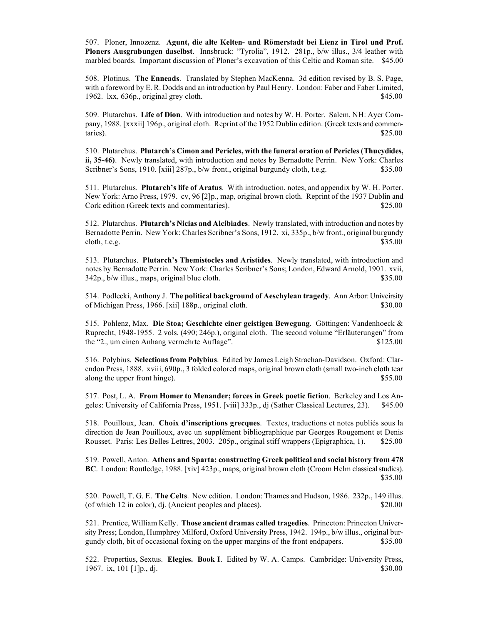507. Ploner, Innozenz. **Agunt, die alte Kelten- und Römerstadt bei Lienz in Tirol und Prof. Ploners Ausgrabungen daselbst**. Innsbruck: "Tyrolia", 1912. 281p., b/w illus., 3/4 leather with marbled boards. Important discussion of Ploner's excavation of this Celtic and Roman site. \$45.00

508. Plotinus. **The Enneads**. Translated by Stephen MacKenna. 3d edition revised by B. S. Page, with a foreword by E. R. Dodds and an introduction by Paul Henry. London: Faber and Faber Limited, 1962. lxx,  $636p$ , original grey cloth.  $$45.00$ 

509. Plutarchus. **Life of Dion**. With introduction and notes by W. H. Porter. Salem, NH: Ayer Company, 1988. [xxxii] 196p., original cloth. Reprint of the 1952 Dublin edition. (Greek texts and commen- $\text{stars}$ ).  $\$25.00$ 

510. Plutarchus. **Plutarch's Cimon and Pericles, with the funeral oration of Pericles (Thucydides, ii, 35-46)**. Newly translated, with introduction and notes by Bernadotte Perrin. New York: Charles Scribner's Sons, 1910. [xiii] 287p., b/w front., original burgundy cloth, t.e.g. \$35.00

511. Plutarchus. **Plutarch's life of Aratus**. With introduction, notes, and appendix by W. H. Porter. New York: Arno Press, 1979. cv, 96 [2]p., map, original brown cloth. Reprint of the 1937 Dublin and Cork edition (Greek texts and commentaries).  $$25.00$ 

512. Plutarchus. **Plutarch's Nicias and Alcibiades**. Newly translated, with introduction and notes by Bernadotte Perrin. New York: Charles Scribner's Sons, 1912. xi, 335p., b/w front., original burgundy  $\cosh, t.e.g.$  \$35.00

513. Plutarchus. **Plutarch's Themistocles and Aristides**. Newly translated, with introduction and notes by Bernadotte Perrin. New York: Charles Scribner's Sons; London, Edward Arnold, 1901. xvii, 342p., b/w illus., maps, original blue cloth. \$35.00

514. Podlecki, Anthony J. **The political background of Aeschylean tragedy**. Ann Arbor: Univeirsity of Michigan Press, 1966. [xii] 188p., original cloth. \$30.00

515. Pohlenz, Max. **Die Stoa; Geschichte einer geistigen Bewegung**. Göttingen: Vandenhoeck & Ruprecht, 1948-1955. 2 vols. (490; 246p.), original cloth. The second volume "Erläuterungen" from the "2., um einen Anhang vermehrte Auflage".  $$125.00$ 

516. Polybius. **Selections from Polybius**. Edited by James Leigh Strachan-Davidson. Oxford: Clarendon Press, 1888. xviii, 690p., 3 folded colored maps, original brown cloth (small two-inch cloth tear along the upper front hinge).  $$55.00$ 

517. Post, L. A. **From Homer to Menander; forces in Greek poetic fiction**. Berkeley and Los Angeles: University of California Press, 1951. [viii] 333p., dj (Sather Classical Lectures, 23). \$45.00

518. Pouilloux, Jean. **Choix d'inscriptions grecques**. Textes, traductions et notes publiés sous la direction de Jean Pouilloux, avec un supplément bibliographique par Georges Rougemont et Denis Rousset. Paris: Les Belles Lettres, 2003. 205p., original stiff wrappers (Epigraphica, 1). \$25.00

519. Powell, Anton. **Athens and Sparta; constructing Greek political and social history from 478 BC**. London: Routledge, 1988. [xiv] 423p., maps, original brown cloth (Croom Helm classical studies). \$35.00

520. Powell, T. G. E. **The Celts**. New edition. London: Thames and Hudson, 1986. 232p., 149 illus. (of which 12 in color), dj. (Ancient peoples and places). \$20.00

521. Prentice, William Kelly. **Those ancient dramas called tragedies**. Princeton: Princeton University Press; London, Humphrey Milford, Oxford University Press, 1942. 194p., b/w illus., original burgundy cloth, bit of occasional foxing on the upper margins of the front endpapers. \$35.00

522. Propertius, Sextus. **Elegies. Book I**. Edited by W. A. Camps. Cambridge: University Press, 1967. ix, 101 [1]p., dj.  $$30.00$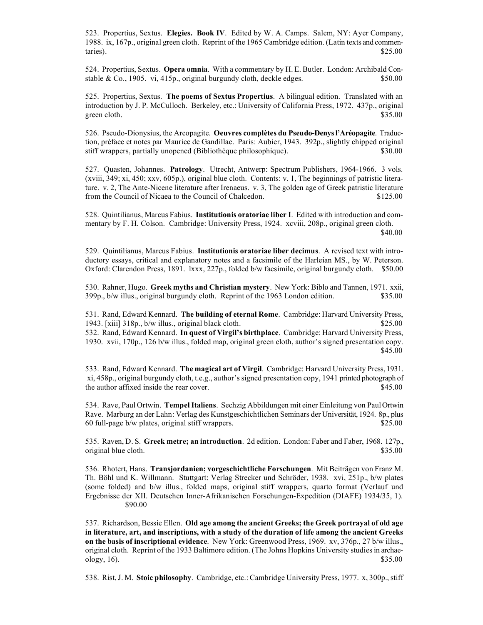523. Propertius, Sextus. **Elegies. Book IV**. Edited by W. A. Camps. Salem, NY: Ayer Company, 1988. ix, 167p., original green cloth. Reprint of the 1965 Cambridge edition. (Latin texts and commen- $\text{stars}$ ).  $\$25.00$ 

524. Propertius, Sextus. **Opera omnia**. With a commentary by H. E. Butler. London: Archibald Constable & Co., 1905. vi, 415p., original burgundy cloth, deckle edges. \$50.00

525. Propertius, Sextus. **The poems of Sextus Propertius**. A bilingual edition. Translated with an introduction by J. P. McCulloch. Berkeley, etc.: University of California Press, 1972. 437p., original green cloth. \$35.00

526. Pseudo-Dionysius, the Areopagite. **Oeuvres complètes du Pseudo-Denys l'Aréopagite**. Traduction, préface et notes par Maurice de Gandillac. Paris: Aubier, 1943. 392p., slightly chipped original stiff wrappers, partially unopened (Bibliothèque philosophique). \$30.00

527. Quasten, Johannes. **Patrology**. Utrecht, Antwerp: Spectrum Publishers, 1964-1966. 3 vols. (xviii, 349; xi, 450; xxv, 605p.), original blue cloth. Contents: v. 1, The beginnings of patristic literature. v. 2, The Ante-Nicene literature after Irenaeus. v. 3, The golden age of Greek patristic literature from the Council of Nicaea to the Council of Chalcedon. \$125.00

528. Quintilianus, Marcus Fabius. **Institutionis oratoriae liber I**. Edited with introduction and commentary by F. H. Colson. Cambridge: University Press, 1924. xcviii, 208p., original green cloth. \$40.00

529. Quintilianus, Marcus Fabius. **Institutionis oratoriae liber decimus**. A revised text with introductory essays, critical and explanatory notes and a facsimile of the Harleian MS., by W. Peterson. Oxford: Clarendon Press, 1891. lxxx, 227p., folded b/w facsimile, original burgundy cloth. \$50.00

530. Rahner, Hugo. **Greek myths and Christian mystery**. New York: Biblo and Tannen, 1971. xxii, 399p., b/w illus., original burgundy cloth. Reprint of the 1963 London edition. \$35.00

531. Rand, Edward Kennard. **The building of eternal Rome**. Cambridge: Harvard University Press, 1943. [xiii] 318p., b/w illus., original black cloth. \$25.00 532. Rand, Edward Kennard. **In quest of Virgil's birthplace**. Cambridge: Harvard University Press, 1930. xvii, 170p., 126 b/w illus., folded map, original green cloth, author's signed presentation copy. \$45.00

533. Rand, Edward Kennard. **The magical art of Virgil**. Cambridge: Harvard University Press, 1931. xi, 458p., original burgundy cloth, t.e.g., author's signed presentation copy, 1941 printed photograph of the author affixed inside the rear cover. \$45.00

534. Rave, Paul Ortwin. **Tempel Italiens**. Sechzig Abbildungen mit einer Einleitung von Paul Ortwin Rave. Marburg an der Lahn: Verlag des Kunstgeschichtlichen Seminars der Universität, 1924. 8p., plus 60 full-page b/w plates, original stiff wrappers. \$25.00

535. Raven, D. S. **Greek metre; an introduction**. 2d edition. London: Faber and Faber, 1968. 127p., original blue cloth. \$35.00

536. Rhotert, Hans. **Transjordanien; vorgeschichtliche Forschungen**. Mit Beiträgen von Franz M. Th. Böhl und K. Willmann. Stuttgart: Verlag Strecker und Schröder, 1938. xvi, 251p., b/w plates (some folded) and b/w illus., folded maps, original stiff wrappers, quarto format (Verlauf und Ergebnisse der XII. Deutschen Inner-Afrikanischen Forschungen-Expedition (DIAFE) 1934/35, 1). \$90.00

537. Richardson, Bessie Ellen. **Old age among the ancient Greeks; the Greek portrayal of old age in literature, art, and inscriptions, with a study of the duration of life among the ancient Greeks on the basis of inscriptional evidence**. New York: Greenwood Press, 1969. xv, 376p., 27 b/w illus., original cloth. Reprint of the 1933 Baltimore edition. (The Johns Hopkins University studies in archaeology,  $16)$ . \$35.00

538. Rist, J. M. **Stoic philosophy**. Cambridge, etc.: Cambridge University Press, 1977. x, 300p., stiff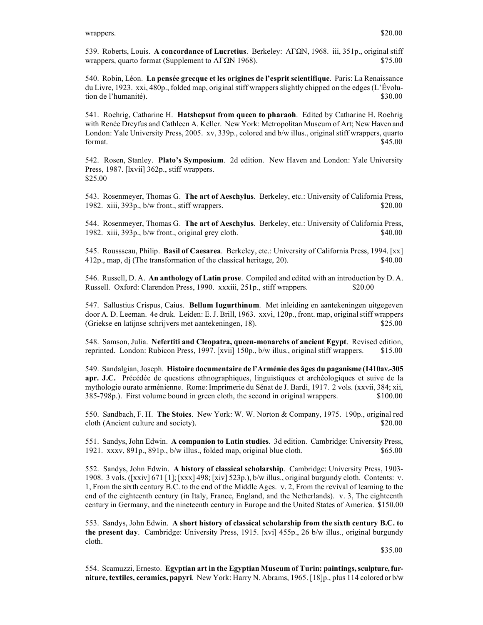539. Roberts, Louis. **A concordance of Lucretius**. Berkeley: ΑΓΩΝ, 1968. iii, 351p., original stiff wrappers, quarto format (Supplement to  $A\Gamma\Omega N$  1968). \$75.00

540. Robin, Léon. **La pensée grecque et les origines de l'esprit scientifique**. Paris: La Renaissance du Livre, 1923. xxi, 480p., folded map, original stiff wrappers slightly chipped on the edges (L'Évolution de l'humanité). \$30.00

541. Roehrig, Catharine H. **Hatshepsut from queen to pharaoh**. Edited by Catharine H. Roehrig with Renée Dreyfus and Cathleen A. Keller. New York: Metropolitan Museum of Art; New Haven and London: Yale University Press, 2005. xv, 339p., colored and b/w illus., original stiff wrappers, quarto format.  $$45.00$ 

542. Rosen, Stanley. **Plato's Symposium**. 2d edition. New Haven and London: Yale University Press, 1987. [lxvii] 362p., stiff wrappers. \$25.00

543. Rosenmeyer, Thomas G. **The art of Aeschylus**. Berkeley, etc.: University of California Press, 1982. xiii, 393p., b/w front., stiff wrappers. \$20.00

544. Rosenmeyer, Thomas G. **The art of Aeschylus**. Berkeley, etc.: University of California Press, 1982. xiii, 393p., b/w front., original grey cloth. \$40.00

545. Roussseau, Philip. **Basil of Caesarea**. Berkeley, etc.: University of California Press, 1994. [xx] 412p., map, dj (The transformation of the classical heritage, 20). \$40.00

546. Russell, D. A. **An anthology of Latin prose**. Compiled and edited with an introduction by D. A. Russell. Oxford: Clarendon Press, 1990. xxxiii, 251p., stiff wrappers. \$20.00

547. Sallustius Crispus, Caius. **Bellum Iugurthinum**. Met inleiding en aantekeningen uitgegeven door A. D. Leeman. 4e druk. Leiden: E. J. Brill, 1963. xxvi, 120p., front. map, original stiff wrappers (Griekse en latijnse schrijvers met aantekeningen, 18). \$25.00

548. Samson, Julia. **Nefertiti and Cleopatra, queen-monarchs of ancient Egypt**. Revised edition, reprinted. London: Rubicon Press, 1997. [xvii] 150p., b/w illus., original stiff wrappers. \$15.00

549. Sandalgian, Joseph. **Histoire documentaire de l'Arménie des âges du paganisme (1410av.-305 apr. J.C.** Précédée de questions ethnographiques, linguistiques et archéologiques et suive de la mythologie ourato arménienne. Rome: Imprimerie du Sénat de J. Bardi, 1917. 2 vols. (xxvii, 384; xii, 385-798p.). First volume bound in green cloth, the second in original wrappers. \$100.00

550. Sandbach, F. H. **The Stoics**. New York: W. W. Norton & Company, 1975. 190p., original red cloth (Ancient culture and society).  $$20.00$ 

551. Sandys, John Edwin. **A companion to Latin studies**. 3d edition. Cambridge: University Press, 1921. xxxv, 891p., 891p., b/w illus., folded map, original blue cloth. \$65.00

552. Sandys, John Edwin. **A history of classical scholarship**. Cambridge: University Press, 1903- 1908. 3 vols. ([xxiv] 671 [1]; [xxx] 498; [xiv] 523p.), b/w illus., original burgundy cloth. Contents: v. 1, From the sixth century B.C. to the end of the Middle Ages. v. 2, From the revival of learning to the end of the eighteenth century (in Italy, France, England, and the Netherlands). v. 3, The eighteenth century in Germany, and the nineteenth century in Europe and the United States of America. \$150.00

553. Sandys, John Edwin. **A short history of classical scholarship from the sixth century B.C. to the present day**. Cambridge: University Press, 1915. [xvi] 455p., 26 b/w illus., original burgundy cloth.

\$35.00

554. Scamuzzi, Ernesto. **Egyptian art in the Egyptian Museum of Turin: paintings, sculpture, furniture, textiles, ceramics, papyri**. New York: Harry N. Abrams, 1965. [18]p., plus 114 colored or b/w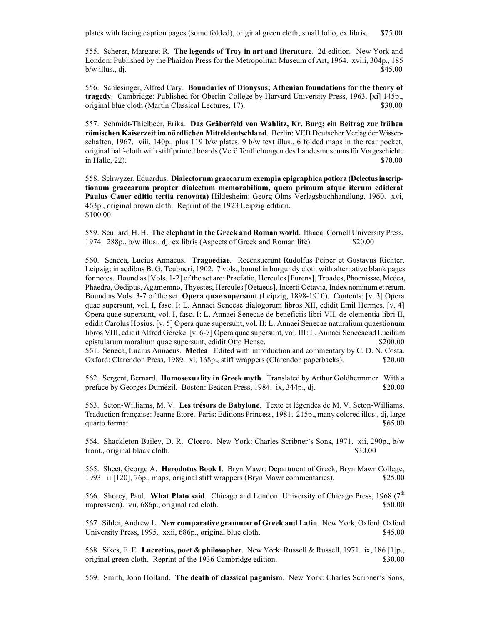plates with facing caption pages (some folded), original green cloth, small folio, ex libris. \$75.00

555. Scherer, Margaret R. **The legends of Troy in art and literature**. 2d edition. New York and London: Published by the Phaidon Press for the Metropolitan Museum of Art, 1964. xviii, 304p., 185  $b/w$  illus., dj.  $$45.00$ 

556. Schlesinger, Alfred Cary. **Boundaries of Dionysus; Athenian foundations for the theory of tragedy**. Cambridge: Published for Oberlin College by Harvard University Press, 1963. [xi] 145p., original blue cloth (Martin Classical Lectures, 17). \$30.00

557. Schmidt-Thielbeer, Erika. **Das Gräberfeld von Wahlitz, Kr. Burg; ein Beitrag zur frühen römischen Kaiserzeit im nördlichen Mitteldeutschland**. Berlin: VEB Deutscher Verlag der Wissenschaften, 1967. viii, 140p., plus 119 b/w plates, 9 b/w text illus., 6 folded maps in the rear pocket, original half-cloth with stiff printed boards (Veröffentlichungen des Landesmuseums für Vorgeschichte  $\mu$  Halle, 22).  $\frac{$70.00}{2}$ 

558. Schwyzer, Eduardus. **Dialectorum graecarum exempla epigraphica potiora (Delectus inscriptionum graecarum propter dialectum memorabilium, quem primum atque iterum ediderat Paulus Cauer editio tertia renovata)** Hildesheim: Georg Olms Verlagsbuchhandlung, 1960. xvi, 463p., original brown cloth. Reprint of the 1923 Leipzig edition. \$100.00

559. Scullard, H. H. **The elephant in the Greek and Roman world**. Ithaca: Cornell University Press, 1974. 288p., b/w illus., dj, ex libris (Aspects of Greek and Roman life). \$20.00

560. Seneca, Lucius Annaeus. **Tragoediae**. Recensuerunt Rudolfus Peiper et Gustavus Richter. Leipzig: in aedibus B. G. Teubneri, 1902. 7 vols., bound in burgundy cloth with alternative blank pages for notes. Bound as [Vols. 1-2] of the set are: Praefatio, Hercules [Furens], Troades, Phoenissae, Medea, Phaedra, Oedipus, Agamemno, Thyestes, Hercules [Oetaeus], Incerti Octavia, Index nominum et rerum. Bound as Vols. 3-7 of the set: **Opera quae supersunt** (Leipzig, 1898-1910). Contents: [v. 3] Opera quae supersunt, vol. I, fasc. I: L. Annaei Senecae dialogorum libros XII, edidit Emil Hermes. [v. 4] Opera quae supersunt, vol. I, fasc. I: L. Annaei Senecae de beneficiis libri VII, de clementia libri II, edidit Carolus Hosius. [v. 5] Opera quae supersunt, vol. II: L. Annaei Senecae naturalium quaestionum libros VIII, edidit Alfred Gercke. [v. 6-7] Opera quae supersunt, vol. III: L. Annaei Senecae ad Lucilium epistularum moralium quae supersunt, edidit Otto Hense. \$200.00 561. Seneca, Lucius Annaeus. **Medea**. Edited with introduction and commentary by C. D. N. Costa. Oxford: Clarendon Press, 1989. xi, 168p., stiff wrappers (Clarendon paperbacks). \$20.00

562. Sergent, Bernard. **Homosexuality in Greek myth**. Translated by Arthur Goldhermmer. With a preface by Georges Dumézil. Boston: Beacon Press, 1984. ix, 344p., dj. \$20.00

563. Seton-Williams, M. V. **Les trésors de Babylone**. Texte et légendes de M. V. Seton-Williams. Traduction française: Jeanne Etoré. Paris: Editions Princess, 1981. 215p., many colored illus., dj, large quarto format.  $$65.00$ 

564. Shackleton Bailey, D. R. **Cicero**. New York: Charles Scribner's Sons, 1971. xii, 290p., b/w front., original black cloth.  $\$\frac{30.00}{20}$ 

565. Sheet, George A. **Herodotus Book I**. Bryn Mawr: Department of Greek, Bryn Mawr College, 1993. ii [120], 76p., maps, original stiff wrappers (Bryn Mawr commentaries). \$25.00

566. Shorey, Paul. What Plato said. Chicago and London: University of Chicago Press, 1968 (7<sup>th</sup> impression). vii, 686p., original red cloth.  $$50.00$ 

567. Sihler, Andrew L. **New comparative grammar of Greek and Latin**. New York, Oxford: Oxford University Press, 1995. xxii, 686p., original blue cloth. \$45.00

568. Sikes, E. E. **Lucretius, poet & philosopher**. New York: Russell & Russell, 1971. ix, 186 [1]p., original green cloth. Reprint of the 1936 Cambridge edition. \$30.00

569. Smith, John Holland. **The death of classical paganism**. New York: Charles Scribner's Sons,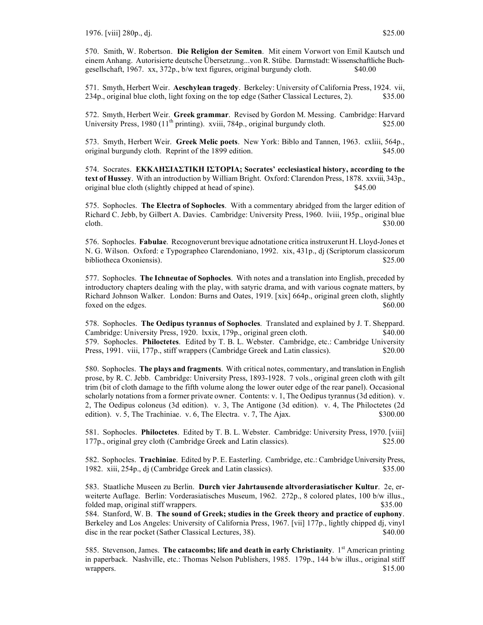570. Smith, W. Robertson. **Die Religion der Semiten**. Mit einem Vorwort von Emil Kautsch und einem Anhang. Autorisierte deutsche Übersetzung...von R. Stübe. Darmstadt: Wissenschaftliche Buchgesellschaft, 1967. xx, 372p., b/w text figures, original burgundy cloth. \$40.00

571. Smyth, Herbert Weir. **Aeschylean tragedy**. Berkeley: University of California Press, 1924. vii, 234p., original blue cloth, light foxing on the top edge (Sather Classical Lectures, 2). \$35.00

572. Smyth, Herbert Weir. **Greek grammar**. Revised by Gordon M. Messing. Cambridge: Harvard University Press,  $1980 (11<sup>th</sup> printing)$ . xviii, 784p., original burgundy cloth. \$25.00

573. Smyth, Herbert Weir. **Greek Melic poets**. New York: Biblo and Tannen, 1963. cxliii, 564p., original burgundy cloth. Reprint of the 1899 edition. \$45.00

574. Socrates. **ΕΚΚΛΗΣIΑΣΤIΚΗ IΣΤΟΡIΑ; Socrates' ecclesiastical history, according to the text of Hussey**. With an introduction by William Bright. Oxford: Clarendon Press, 1878. xxviii, 343p., original blue cloth (slightly chipped at head of spine). \$45.00

575. Sophocles. **The Electra of Sophocles**. With a commentary abridged from the larger edition of Richard C. Jebb, by Gilbert A. Davies. Cambridge: University Press, 1960. lviii, 195p., original blue cloth.  $$30.00$ 

576. Sophocles. **Fabulae**. Recognoverunt brevique adnotatione critica instruxerunt H. Lloyd-Jones et N. G. Wilson. Oxford: e Typographeo Clarendoniano, 1992. xix, 431p., dj (Scriptorum classicorum bibliotheca Oxoniensis). \$25.00

577. Sophocles. **The Ichneutae of Sophocles**. With notes and a translation into English, preceded by introductory chapters dealing with the play, with satyric drama, and with various cognate matters, by Richard Johnson Walker. London: Burns and Oates, 1919. [xix] 664p., original green cloth, slightly foxed on the edges. \$60.00

578. Sophocles. **The Oedipus tyrannus of Sophocles**. Translated and explained by J. T. Sheppard. Cambridge: University Press, 1920. lxxix, 179p., original green cloth. \$40.00 579. Sophocles. **Philoctetes**. Edited by T. B. L. Webster. Cambridge, etc.: Cambridge University Press, 1991. viii, 177p., stiff wrappers (Cambridge Greek and Latin classics). \$20.00

580. Sophocles. **The plays and fragments**. With critical notes, commentary, and translation in English prose, by R. C. Jebb. Cambridge: University Press, 1893-1928. 7 vols., original green cloth with gilt trim (bit of cloth damage to the fifth volume along the lower outer edge of the rear panel). Occasional scholarly notations from a former private owner. Contents: v. 1, The Oedipus tyrannus (3d edition). v. 2, The Oedipus coloneus (3d edition). v. 3, The Antigone (3d edition). v. 4, The Philoctetes (2d edition). v. 5, The Trachiniae. v. 6, The Electra. v. 7, The Ajax. \$300.00

581. Sophocles. **Philoctetes**. Edited by T. B. L. Webster. Cambridge: University Press, 1970. [viii] 177p., original grey cloth (Cambridge Greek and Latin classics). \$25.00

582. Sophocles. **Trachiniae**. Edited by P. E. Easterling. Cambridge, etc.: Cambridge University Press, 1982. xiii, 254p., dj (Cambridge Greek and Latin classics). \$35.00

583. Staatliche Museen zu Berlin. **Durch vier Jahrtausende altvorderasiatischer Kultur**. 2e, erweiterte Auflage. Berlin: Vorderasiatisches Museum, 1962. 272p., 8 colored plates, 100 b/w illus., folded map, original stiff wrappers.  $$35.00$ 

584. Stanford, W. B. **The sound of Greek; studies in the Greek theory and practice of euphony**. Berkeley and Los Angeles: University of California Press, 1967. [vii] 177p., lightly chipped dj, vinyl disc in the rear pocket (Sather Classical Lectures, 38). \$40.00

585. Stevenson, James. **The catacombs; life and death in early Christianity**. 1st American printing in paperback. Nashville, etc.: Thomas Nelson Publishers, 1985. 179p., 144 b/w illus., original stiff wrappers. \$15.00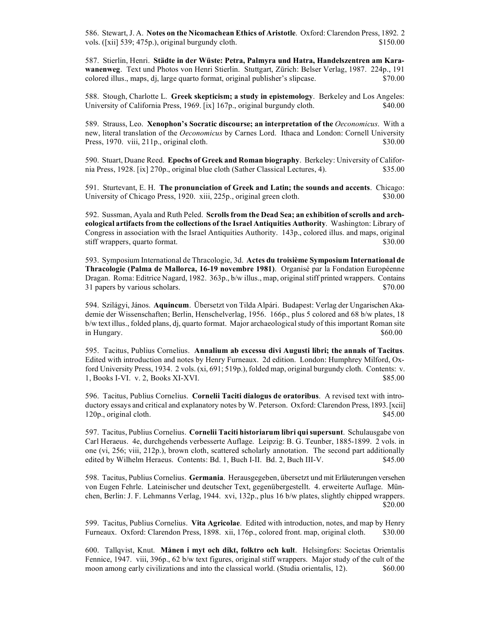586. Stewart, J. A. **Notes on the Nicomachean Ethics of Aristotle**. Oxford: Clarendon Press, 1892. 2 vols. ([xii] 539; 475p.), original burgundy cloth. \$150.00

587. Stierlin, Henri. **Städte in der Wüste: Petra, Palmyra und Hatra, Handelszentren am Karawanenweg**. Text und Photos von Henri Stierlin. Stuttgart, Zürich: Belser Verlag, 1987. 224p., 191 colored illus., maps, dj, large quarto format, original publisher's slipcase. \$70.00

588. Stough, Charlotte L. **Greek skepticism; a study in epistemology**. Berkeley and Los Angeles: University of California Press, 1969. [ix] 167p., original burgundy cloth. \$40.00

589. Strauss, Leo. **Xenophon's Socratic discourse; an interpretation of the** *Oeconomicus*. With a new, literal translation of the *Oeconomicus* by Carnes Lord. Ithaca and London: Cornell University Press, 1970. viii, 211p., original cloth. \$30.00

590. Stuart, Duane Reed. **Epochs of Greek and Roman biography**. Berkeley: University of California Press, 1928. [ix] 270p., original blue cloth (Sather Classical Lectures, 4). \$35.00

591. Sturtevant, E. H. **The pronunciation of Greek and Latin; the sounds and accents**. Chicago: University of Chicago Press, 1920. xiii, 225p., original green cloth. \$30.00

592. Sussman, Ayala and Ruth Peled. **Scrolls from the Dead Sea; an exhibition of scrolls and archeological artifacts from the collections of the Israel Antiquities Authority**. Washington: Library of Congress in association with the Israel Antiquities Authority. 143p., colored illus. and maps, original stiff wrappers, quarto format.  $\text{\$30.00}$ 

593. Symposium International de Thracologie, 3d. **Actes du troisième Symposium International de Thracologie (Palma de Mallorca, 16-19 novembre 1981)**. Organisé par la Fondation Européenne Dragan. Roma: Editrice Nagard, 1982. 363p., b/w illus., map, original stiff printed wrappers. Contains 31 papers by various scholars.  $\degree$  \$70.00

594. Szilágyi, János. **Aquincum**. Übersetzt von Tilda Alpári. Budapest: Verlag der Ungarischen Akademie der Wissenschaften; Berlin, Henschelverlag, 1956. 166p., plus 5 colored and 68 b/w plates, 18 b/w text illus., folded plans, dj, quarto format. Major archaeological study of this important Roman site in Hungary.  $\$60.00$ 

595. Tacitus, Publius Cornelius. **Annalium ab excessu divi Augusti libri; the annals of Tacitus**. Edited with introduction and notes by Henry Furneaux. 2d edition. London: Humphrey Milford, Oxford University Press, 1934. 2 vols. (xi, 691; 519p.), folded map, original burgundy cloth. Contents: v. 1, Books I-VI. v. 2, Books XI-XVI. \$85.00

596. Tacitus, Publius Cornelius. **Cornelii Taciti dialogus de oratoribus**. A revised text with introductory essays and critical and explanatory notes by W. Peterson. Oxford: Clarendon Press, 1893. [xcii] 120p., original cloth. \$45.00

597. Tacitus, Publius Cornelius. **Cornelii Taciti historiarum libri qui supersunt**. Schulausgabe von Carl Heraeus. 4e, durchgehends verbesserte Auflage. Leipzig: B. G. Teunber, 1885-1899. 2 vols. in one (vi, 256; viii, 212p.), brown cloth, scattered scholarly annotation. The second part additionally edited by Wilhelm Heraeus. Contents: Bd. 1, Buch I-II. Bd. 2, Buch III-V. \$45.00

598. Tacitus, Publius Cornelius. **Germania**. Herausgegeben, übersetzt und mit Erläuterungen versehen von Eugen Fehrle. Lateinischer und deutscher Text, gegenübergestellt. 4. erweiterte Auflage. München, Berlin: J. F. Lehmanns Verlag, 1944. xvi, 132p., plus 16 b/w plates, slightly chipped wrappers. \$20.00

599. Tacitus, Publius Cornelius. **Vita Agricolae**. Edited with introduction, notes, and map by Henry Furneaux. Oxford: Clarendon Press, 1898. xii, 176p., colored front. map, original cloth. \$30.00

600. Tallqvist, Knut. **Månen i myt och dikt, folktro och kult**. Helsingfors: Societas Orientalis Fennice, 1947. viii, 396p., 62 b/w text figures, original stiff wrappers. Major study of the cult of the moon among early civilizations and into the classical world. (Studia orientalis, 12). \$60.00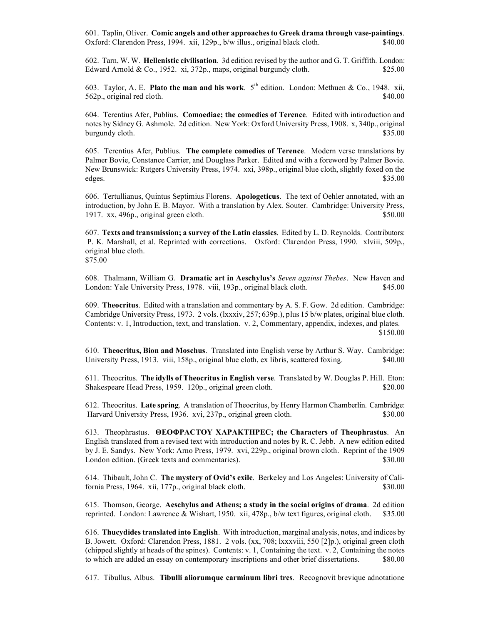601. Taplin, Oliver. **Comic angels and other approaches to Greek drama through vase-paintings**. Oxford: Clarendon Press, 1994. xii, 129p., b/w illus., original black cloth. \$40.00

602. Tarn, W. W. **Hellenistic civilisation**. 3d edition revised by the author and G. T. Griffith. London: Edward Arnold & Co., 1952. xi, 372p., maps, original burgundy cloth.  $$25.00$ 

603. Taylor, A. E. **Plato the man and his work**. 5th edition. London: Methuen & Co., 1948. xii, 562p., original red cloth.  $\frac{1}{2}$  \$40.00

604. Terentius Afer, Publius. **Comoediae; the comedies of Terence**. Edited with intiroduction and notes by Sidney G. Ashmole. 2d edition. New York: Oxford University Press, 1908. x, 340p., original burgundy cloth. \$35.00

605. Terentius Afer, Publius. **The complete comedies of Terence**. Modern verse translations by Palmer Bovie, Constance Carrier, and Douglass Parker. Edited and with a foreword by Palmer Bovie. New Brunswick: Rutgers University Press, 1974. xxi, 398p., original blue cloth, slightly foxed on the edges. \$35.00

606. Tertullianus, Quintus Septimius Florens. **Apologeticus**. The text of Oehler annotated, with an introduction, by John E. B. Mayor. With a translation by Alex. Souter. Cambridge: University Press, 1917. xx, 496p., original green cloth.  $$50.00$ 

607. **Texts and transmission; a survey of the Latin classics**. Edited by L. D. Reynolds. Contributors: P. K. Marshall, et al. Reprinted with corrections. Oxford: Clarendon Press, 1990. xlviii, 509p., original blue cloth.

\$75.00

608. Thalmann, William G. **Dramatic art in Aeschylus's** *Seven against Thebes*. New Haven and London: Yale University Press, 1978. viii, 193p., original black cloth. \$45.00

609. **Theocritus**. Edited with a translation and commentary by A. S. F. Gow. 2d edition. Cambridge: Cambridge University Press, 1973. 2 vols. (lxxxiv, 257; 639p.), plus 15 b/w plates, original blue cloth. Contents: v. 1, Introduction, text, and translation. v. 2, Commentary, appendix, indexes, and plates. \$150.00

610. **Theocritus, Bion and Moschus**. Translated into English verse by Arthur S. Way. Cambridge: University Press, 1913. viii, 158p., original blue cloth, ex libris, scattered foxing. \$40.00

611. Theocritus. **The idylls of Theocritus in English verse**. Translated by W. Douglas P. Hill. Eton: Shakespeare Head Press, 1959. 120p., original green cloth. \$20.00

612. Theocritus. **Late spring**. A translation of Theocritus, by Henry Harmon Chamberlin. Cambridge: Harvard University Press, 1936. xvi, 237p., original green cloth. \$30.00

613. Theophrastus. **ΘΕΟΦΡΑCΤΟΥ ΧΑΡΑΚΤΗΡΕC; the Characters of Theophrastus**. An English translated from a revised text with introduction and notes by R. C. Jebb. A new edition edited by J. E. Sandys. New York: Arno Press, 1979. xvi, 229p., original brown cloth. Reprint of the 1909 London edition. (Greek texts and commentaries). \$30.00

614. Thibault, John C. **The mystery of Ovid's exile**. Berkeley and Los Angeles: University of California Press, 1964. xii, 177p., original black cloth. \$30.00

615. Thomson, George. **Aeschylus and Athens; a study in the social origins of drama**. 2d edition reprinted. London: Lawrence & Wishart, 1950. xii, 478p., b/w text figures, original cloth. \$35.00

616. **Thucydides translated into English**. With introduction, marginal analysis, notes, and indices by B. Jowett. Oxford: Clarendon Press, 1881. 2 vols. (xx, 708; lxxxviii, 550 [2]p.), original green cloth (chipped slightly at heads of the spines). Contents: v. 1, Containing the text. v. 2, Containing the notes to which are added an essay on contemporary inscriptions and other brief dissertations. \$80.00

617. Tibullus, Albus. **Tibulli aliorumque carminum libri tres**. Recognovit brevique adnotatione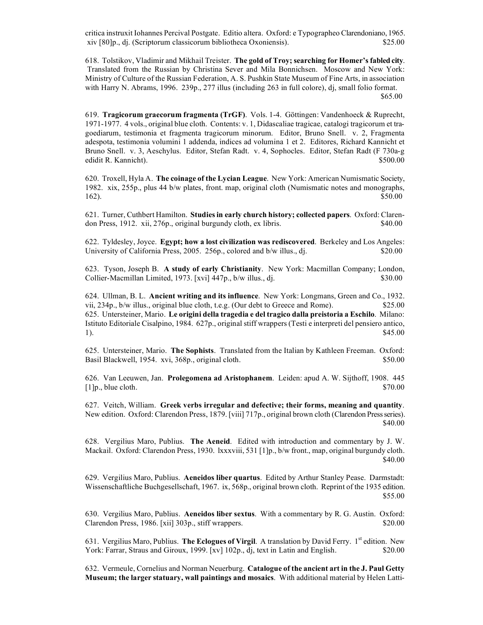critica instruxit Iohannes Percival Postgate. Editio altera. Oxford: e Typographeo Clarendoniano, 1965. xiv [80]p., dj. (Scriptorum classicorum bibliotheca Oxoniensis). \$25.00

618. Tolstikov, Vladimir and Mikhail Treister. **The gold of Troy; searching for Homer's fabled city**. Translated from the Russian by Christina Sever and Mila Bonnichsen. Moscow and New York: Ministry of Culture of the Russian Federation, A. S. Pushkin State Museum of Fine Arts, in association with Harry N. Abrams, 1996. 239p., 277 illus (including 263 in full colore), dj, small folio format. \$65.00

619. **Tragicorum graecorum fragmenta (TrGF)**. Vols. 1-4. Göttingen: Vandenhoeck & Ruprecht, 1971-1977. 4 vols., original blue cloth. Contents: v. 1, Didascaliae tragicae, catalogi tragicorum et tragoediarum, testimonia et fragmenta tragicorum minorum. Editor, Bruno Snell. v. 2, Fragmenta adespota, testimonia volumini 1 addenda, indices ad volumina 1 et 2. Editores, Richard Kannicht et Bruno Snell. v. 3, Aeschylus. Editor, Stefan Radt. v. 4, Sophocles. Editor, Stefan Radt (F 730a-g edidit R. Kannicht). \$500.00

620. Troxell, Hyla A. **The coinage of the Lycian League**. New York: American Numismatic Society, 1982. xix, 255p., plus 44 b/w plates, front. map, original cloth (Numismatic notes and monographs,  $162$ ). \$50.00

621. Turner, Cuthbert Hamilton. **Studies in early church history; collected papers**. Oxford: Clarendon Press, 1912. xii, 276p., original burgundy cloth, ex libris. \$40.00

622. Tyldesley, Joyce. **Egypt; how a lost civilization was rediscovered**. Berkeley and Los Angeles: University of California Press, 2005. 256p., colored and b/w illus., dj. \$20.00

623. Tyson, Joseph B. **A study of early Christianity**. New York: Macmillan Company; London, Collier-Macmillan Limited, 1973. [xvi] 447p., b/w illus., dj.  $$30.00$ 

624. Ullman, B. L. **Ancient writing and its influence**. New York: Longmans, Green and Co., 1932. vii, 234p., b/w illus., original blue cloth, t.e.g. (Our debt to Greece and Rome). \$25.00 625. Untersteiner, Mario. **Le origini della tragedia e del tragico dalla preistoria a Eschilo**. Milano: Istituto Editoriale Cisalpino, 1984. 627p., original stiff wrappers (Testi e interpreti del pensiero antico, 1).  $$45.00$ 

625. Untersteiner, Mario. **The Sophists**. Translated from the Italian by Kathleen Freeman. Oxford: Basil Blackwell, 1954. xvi, 368p., original cloth. \$50.000 \$50.00

626. Van Leeuwen, Jan. **Prolegomena ad Aristophanem**. Leiden: apud A. W. Sijthoff, 1908. 445  $[1]$ p., blue cloth.  $$70.00$ 

627. Veitch, William. **Greek verbs irregular and defective; their forms, meaning and quantity**. New edition. Oxford: Clarendon Press, 1879. [viii] 717p., original brown cloth (Clarendon Press series). \$40.00

628. Vergilius Maro, Publius. **The Aeneid**. Edited with introduction and commentary by J. W. Mackail. Oxford: Clarendon Press, 1930. lxxxviii, 531 [1]p., b/w front., map, original burgundy cloth. \$40.00

629. Vergilius Maro, Publius. **Aeneidos liber quartus**. Edited by Arthur Stanley Pease. Darmstadt: Wissenschaftliche Buchgesellschaft, 1967. ix, 568p., original brown cloth. Reprint of the 1935 edition. \$55.00

630. Vergilius Maro, Publius. **Aeneidos liber sextus**. With a commentary by R. G. Austin. Oxford: Clarendon Press, 1986. [xii] 303p., stiff wrappers. \$20.00

631. Vergilius Maro, Publius. **The Eclogues of Virgil**. A translation by David Ferry. 1<sup>st</sup> edition. New York: Farrar, Straus and Giroux, 1999. [xv] 102p., dj, text in Latin and English. \$20.00

632. Vermeule, Cornelius and Norman Neuerburg. **Catalogue of the ancient art in the J. Paul Getty Museum; the larger statuary, wall paintings and mosaics**. With additional material by Helen Latti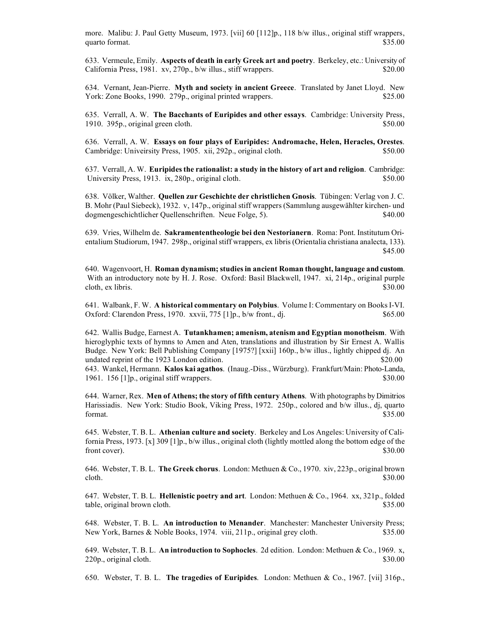more. Malibu: J. Paul Getty Museum, 1973. [vii] 60 [112]p., 118 b/w illus., original stiff wrappers, quarto format. \$35.00

633. Vermeule, Emily. **Aspects of death in early Greek art and poetry**. Berkeley, etc.: University of California Press, 1981. xv, 270p., b/w illus., stiff wrappers. \$20.00

634. Vernant, Jean-Pierre. **Myth and society in ancient Greece**. Translated by Janet Lloyd. New York: Zone Books, 1990. 279p., original printed wrappers. \$25.00

635. Verrall, A. W. **The Bacchants of Euripides and other essays**. Cambridge: University Press, 1910. 395p., original green cloth.  $$50.00$ 

636. Verrall, A. W. **Essays on four plays of Euripides: Andromache, Helen, Heracles, Orestes**. Cambridge: Univeirsity Press, 1905. xii, 292p., original cloth. \$50.00

637. Verrall, A. W. **Euripides the rationalist: a study in the history of art and religion**. Cambridge: University Press, 1913. ix, 280p., original cloth. \$50.00

638. Völker, Walther. **Quellen zur Geschichte der christlichen Gnosis**. Tübingen: Verlag von J. C. B. Mohr (Paul Siebeck), 1932. v, 147p., original stiff wrappers (Sammlung ausgewählter kirchen- und dogmengeschichtlicher Quellenschriften. Neue Folge, 5). \$40.00

639. Vries, Wilhelm de. **Sakramententheologie bei den Nestorianern**. Roma: Pont. Institutum Orientalium Studiorum, 1947. 298p., original stiff wrappers, ex libris (Orientalia christiana analecta, 133). \$45.00

640. Wagenvoort, H. **Roman dynamism; studies in ancient Roman thought, language and custom**. With an introductory note by H. J. Rose. Oxford: Basil Blackwell, 1947. xi, 214p., original purple cloth, ex libris.  $$30.00$ 

641. Walbank, F. W. **A historical commentary on Polybius**. Volume I: Commentary on Books I-VI. Oxford: Clarendon Press, 1970. xxvii, 775 [1]p., b/w front., dj. \$65.00

642. Wallis Budge, Earnest A. **Tutankhamen; amenism, atenism and Egyptian monotheism**. With hieroglyphic texts of hymns to Amen and Aten, translations and illustration by Sir Ernest A. Wallis Budge. New York: Bell Publishing Company [1975?] [xxii] 160p., b/w illus., lightly chipped dj. An undated reprint of the 1923 London edition. \$20.00

643. Wankel, Hermann. **Kalos kai agathos**. (Inaug.-Diss., Würzburg). Frankfurt/Main: Photo-Landa, 1961. 156 [1]p., original stiff wrappers. \$30.00

644. Warner, Rex. **Men of Athens; the story of fifth century Athens**. With photographs by Dimitrios Harissiadis. New York: Studio Book, Viking Press, 1972. 250p., colored and b/w illus., dj, quarto format.  $$35.00$ 

645. Webster, T. B. L. **Athenian culture and society**. Berkeley and Los Angeles: University of California Press, 1973. [x] 309 [1]p., b/w illus., original cloth (lightly mottled along the bottom edge of the front cover). \$30.00

646. Webster, T. B. L. **The Greek chorus**. London: Methuen & Co., 1970. xiv, 223p., original brown cloth.  $$30.00$ 

647. Webster, T. B. L. **Hellenistic poetry and art**. London: Methuen & Co., 1964. xx, 321p., folded table, original brown cloth.  $$35.00$ 

648. Webster, T. B. L. **An introduction to Menander**. Manchester: Manchester University Press; New York, Barnes & Noble Books, 1974. viii, 211p., original grey cloth. \$35.00

649. Webster, T. B. L. **An introduction to Sophocles**. 2d edition. London: Methuen & Co., 1969. x, 220p., original cloth. \$30.00

650. Webster, T. B. L. **The tragedies of Euripides**. London: Methuen & Co., 1967. [vii] 316p.,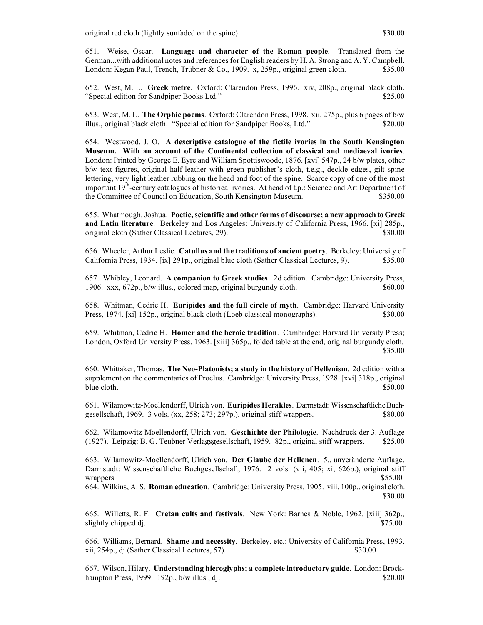original red cloth (lightly sunfaded on the spine). \$30.00

651. Weise, Oscar. **Language and character of the Roman people**. Translated from the German...with additional notes and references for English readers by H. A. Strong and A. Y. Campbell. London: Kegan Paul, Trench, Trübner & Co., 1909. x, 259p., original green cloth. \$35.00

652. West, M. L. **Greek metre**. Oxford: Clarendon Press, 1996. xiv, 208p., original black cloth. "Special edition for Sandpiper Books Ltd." \$25.00

653. West, M. L. **The Orphic poems**. Oxford: Clarendon Press, 1998. xii, 275p., plus 6 pages of b/w illus., original black cloth. "Special edition for Sandpiper Books, Ltd." \$20.00

654. Westwood, J. O. **A descriptive catalogue of the fictile ivories in the South Kensington Museum. With an account of the Continental collection of classical and mediaeval ivories**. London: Printed by George E. Eyre and William Spottiswoode, 1876. [xvi] 547p., 24 b/w plates, other b/w text figures, original half-leather with green publisher's cloth, t.e.g., deckle edges, gilt spine lettering, very light leather rubbing on the head and foot of the spine. Scarce copy of one of the most important 19<sup>th</sup>-century catalogues of historical ivories. At head of t.p.: Science and Art Department of the Committee of Council on Education, South Kensington Museum. \$350.00

655. Whatmough, Joshua. **Poetic, scientific and other forms of discourse; a new approach to Greek and Latin literature**. Berkeley and Los Angeles: University of California Press, 1966. [xi] 285p., original cloth (Sather Classical Lectures, 29). \$30.00

656. Wheeler, Arthur Leslie. **Catullus and the traditions of ancient poetry**. Berkeley: University of California Press, 1934. [ix] 291p., original blue cloth (Sather Classical Lectures, 9). \$35.00

657. Whibley, Leonard. **A companion to Greek studies**. 2d edition. Cambridge: University Press, 1906. xxx, 672p., b/w illus., colored map, original burgundy cloth. \$60.00

658. Whitman, Cedric H. **Euripides and the full circle of myth**. Cambridge: Harvard University Press, 1974. [xi] 152p., original black cloth (Loeb classical monographs). \$30.00

659. Whitman, Cedric H. **Homer and the heroic tradition**. Cambridge: Harvard University Press; London, Oxford University Press, 1963. [xiii] 365p., folded table at the end, original burgundy cloth. \$35.00

660. Whittaker, Thomas. **The Neo-Platonists; a study in the history of Hellenism**. 2d edition with a supplement on the commentaries of Proclus. Cambridge: University Press, 1928. [xvi] 318p., original blue cloth.  $$50.00$ 

661. Wilamowitz-Moellendorff, Ulrich von. **Euripides Herakles**. Darmstadt: Wissenschaftliche Buchgesellschaft, 1969. 3 vols.  $(xx, 258, 273, 297p)$ , original stiff wrappers.  $$80.00$ 

662. Wilamowitz-Moellendorff, Ulrich von. **Geschichte der Philologie**. Nachdruck der 3. Auflage (1927). Leipzig: B. G. Teubner Verlagsgesellschaft, 1959. 82p., original stiff wrappers. \$25.00

663. Wilamowitz-Moellendorff, Ulrich von. **Der Glaube der Hellenen**. 5., unveränderte Auflage. Darmstadt: Wissenschaftliche Buchgesellschaft, 1976. 2 vols. (vii, 405; xi, 626p.), original stiff wrappers. \$55.00

664. Wilkins, A. S. **Roman education**. Cambridge: University Press, 1905. viii, 100p., original cloth. \$30.00

665. Willetts, R. F. **Cretan cults and festivals**. New York: Barnes & Noble, 1962. [xiii] 362p., slightly chipped dj.  $$75.00$ 

666. Williams, Bernard. **Shame and necessity**. Berkeley, etc.: University of California Press, 1993. xii, 254p., dj (Sather Classical Lectures, 57). \$30.00

667. Wilson, Hilary. **Understanding hieroglyphs; a complete introductory guide**. London: Brockhampton Press, 1999. 192p., b/w illus., dj.  $$20.00$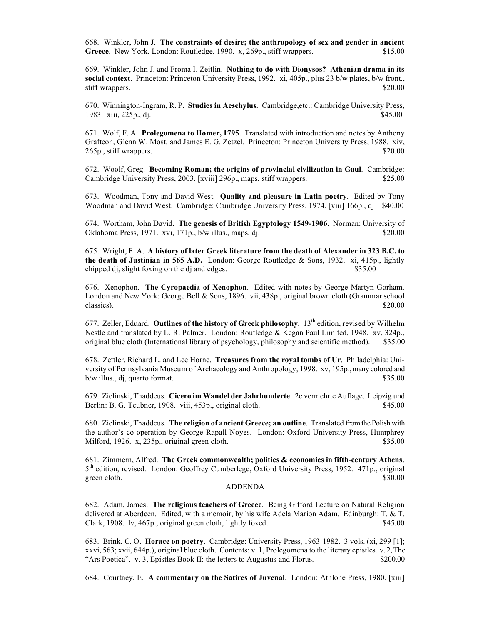668. Winkler, John J. **The constraints of desire; the anthropology of sex and gender in ancient**  Greece. New York, London: Routledge, 1990. x, 269p., stiff wrappers. \$15.00

669. Winkler, John J. and Froma I. Zeitlin. **Nothing to do with Dionysos? Athenian drama in its social context**. Princeton: Princeton University Press, 1992. xi, 405p., plus 23 b/w plates, b/w front., stiff wrappers. \$20.00

670. Winnington-Ingram, R. P. **Studies in Aeschylus**. Cambridge,etc.: Cambridge University Press, 1983. xiii, 225p., dj. **\$45.00** 

671. Wolf, F. A. **Prolegomena to Homer, 1795**. Translated with introduction and notes by Anthony Grafteon, Glenn W. Most, and James E. G. Zetzel. Princeton: Princeton University Press, 1988. xiv, 265p., stiff wrappers. \$20.00

672. Woolf, Greg. **Becoming Roman; the origins of provincial civilization in Gaul**. Cambridge: Cambridge University Press, 2003. [xviii] 296p., maps, stiff wrappers. \$25.00

673. Woodman, Tony and David West. **Quality and pleasure in Latin poetry**. Edited by Tony Woodman and David West. Cambridge: Cambridge University Press, 1974. [viii] 166p., dj \$40.00

674. Wortham, John David. **The genesis of British Egyptology 1549-1906**. Norman: University of Oklahoma Press, 1971. xvi, 171p., b/w illus., maps, dj. \$20.00

675. Wright, F. A. **A history of later Greek literature from the death of Alexander in 323 B.C. to the death of Justinian in 565 A.D.** London: George Routledge & Sons, 1932. xi, 415p., lightly chipped dj, slight foxing on the dj and edges. \$35.00

676. Xenophon. **The Cyropaedia of Xenophon**. Edited with notes by George Martyn Gorham. London and New York: George Bell & Sons, 1896. vii, 438p., original brown cloth (Grammar school classics).  $$20.00$ 

677. Zeller, Eduard. Outlines of the history of Greek philosophy. 13<sup>th</sup> edition, revised by Wilhelm Nestle and translated by L. R. Palmer. London: Routledge & Kegan Paul Limited, 1948. xv, 324p., original blue cloth (International library of psychology, philosophy and scientific method). \$35.00

678. Zettler, Richard L. and Lee Horne. **Treasures from the royal tombs of Ur**. Philadelphia: University of Pennsylvania Museum of Archaeology and Anthropology, 1998. xv, 195p., many colored and b/w illus., dj, quarto format. \$35.00

679. Zielinski, Thaddeus. **Cicero im Wandel der Jahrhunderte**. 2e vermehrte Auflage. Leipzig und Berlin: B. G. Teubner, 1908. viii, 453p., original cloth. \$45.00

680. Zielinski, Thaddeus. **The religion of ancient Greece; an outline**. Translated from the Polish with the author's co-operation by George Rapall Noyes. London: Oxford University Press, Humphrey Milford, 1926. x, 235p., original green cloth. \$35.00

681. Zimmern, Alfred. **The Greek commonwealth; politics & economics in fifth-century Athens**. 5<sup>th</sup> edition, revised. London: Geoffrey Cumberlege, Oxford University Press, 1952. 471p., original green cloth. \$30.00

#### ADDENDA

682. Adam, James. **The religious teachers of Greece**. Being Gifford Lecture on Natural Religion delivered at Aberdeen. Edited, with a memoir, by his wife Adela Marion Adam. Edinburgh: T. & T. Clark, 1908. lv, 467p., original green cloth, lightly foxed. \$45.00

683. Brink, C. O. **Horace on poetry**. Cambridge: University Press, 1963-1982. 3 vols. (xi, 299 [1]; xxvi, 563; xvii, 644p.), original blue cloth. Contents: v. 1, Prolegomena to the literary epistles. v. 2, The "Ars Poetica". v. 3, Epistles Book II: the letters to Augustus and Florus. \$200.00

684. Courtney, E. **A commentary on the Satires of Juvenal**. London: Athlone Press, 1980. [xiii]